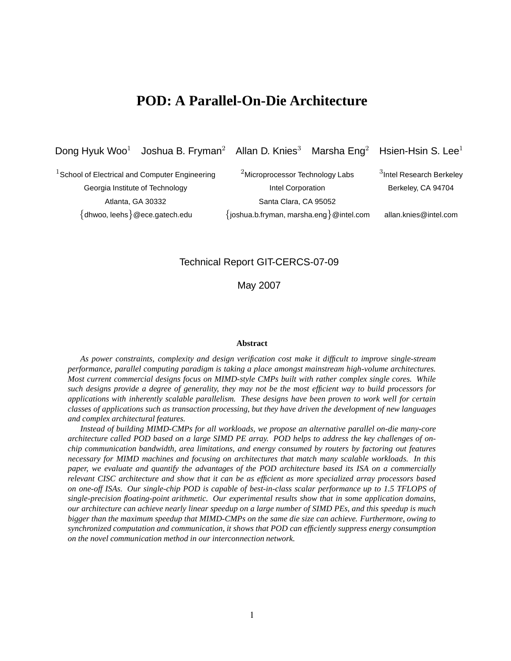# **POD: A Parallel-On-Die Architecture**

Dong Hyuk Woo<sup>1</sup> Joshua B. Fryman<sup>2</sup> Allan D. Knies<sup>3</sup> Marsha Eng<sup>2</sup> Hsien-Hsin S. Lee<sup>1</sup>

 $^1$ School of Electrical and Computer Engineering  $^{2}$ Microprocessor Technology Labs Georgia Institute of Technology **Intel Corporation** Berkeley, CA 94704 Atlanta, GA 30332 Santa Clara, CA 95052 {dhwoo, leehs}@ece.gatech.edu {joshua.b.fryman, marsha.eng}@intel.com allan.knies@intel.com

<sup>3</sup>Intel Research Berkeley

## Technical Report GIT-CERCS-07-09

May 2007

#### **Abstract**

*As power constraints, complexity and design verification cost make it difficult to improve single-stream performance, parallel computing paradigm is taking a place amongst mainstream high-volume architectures. Most current commercial designs focus on MIMD-style CMPs built with rather complex single cores. While* such designs provide a degree of generality, they may not be the most efficient way to build processors for *applications with inherently scalable parallelism. These designs have been proven to work well for certain classes of applications such as transaction processing, but they have driven the development of new languages and complex architectural features.*

*Instead of building MIMD-CMPs for all workloads, we propose an alternative parallel on-die many-core* architecture called POD based on a large SIMD PE array. POD helps to address the key challenges of on*chip communication bandwidth, area limitations, and energy consumed by routers by factoring out features necessary for MIMD machines and focusing on architectures that match many scalable workloads. In this paper, we evaluate and quantify the advantages of the POD architecture based its ISA on a commercially* relevant CISC architecture and show that it can be as efficient as more specialized array processors based *on one-off ISAs. Our single-chip POD is capable of best-in-class scalar performance up to 1.5 TFLOPS of single-precision floating-point arithmetic. Our experimental results show that in some application domains,* our architecture can achieve nearly linear speedup on a large number of SIMD PEs, and this speedup is much *bigger than the maximum speedup that MIMD-CMPs on the same die size can achieve. Furthermore, owing to synchronized computation and communication, it shows that POD can efficiently suppress energy consumption on the novel communication method in our interconnection network.*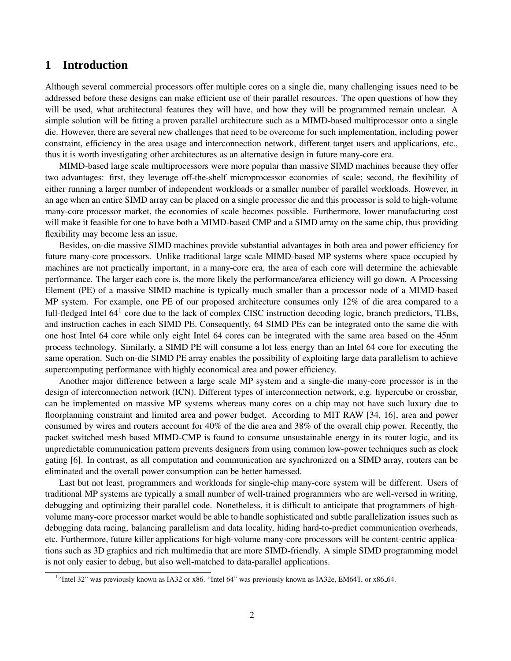# **1 Introduction**

Although several commercial processors offer multiple cores on a single die, many challenging issues need to be addressed before these designs can make efficient use of their parallel resources. The open questions of how they will be used, what architectural features they will have, and how they will be programmed remain unclear. A simple solution will be fitting a proven parallel architecture such as a MIMD-based multiprocessor onto a single die. However, there are several new challenges that need to be overcome for such implementation, including power constraint, efficiency in the area usage and interconnection network, different target users and applications, etc., thus it is worth investigating other architectures as an alternative design in future many-core era.

MIMD-based large scale multiprocessors were more popular than massive SIMD machines because they offer two advantages: first, they leverage off-the-shelf microprocessor economies of scale; second, the flexibility of either running a larger number of independent workloads or a smaller number of parallel workloads. However, in an age when an entire SIMD array can be placed on a single processor die and this processor is sold to high-volume many-core processor market, the economies of scale becomes possible. Furthermore, lower manufacturing cost will make it feasible for one to have both a MIMD-based CMP and a SIMD array on the same chip, thus providing flexibility may become less an issue.

Besides, on-die massive SIMD machines provide substantial advantages in both area and power efficiency for future many-core processors. Unlike traditional large scale MIMD-based MP systems where space occupied by machines are not practically important, in a many-core era, the area of each core will determine the achievable performance. The larger each core is, the more likely the performance/area efficiency will go down. A Processing Element (PE) of a massive SIMD machine is typically much smaller than a processor node of a MIMD-based MP system. For example, one PE of our proposed architecture consumes only 12% of die area compared to a full-fledged Intel  $64<sup>1</sup>$  core due to the lack of complex CISC instruction decoding logic, branch predictors, TLBs, and instruction caches in each SIMD PE. Consequently, 64 SIMD PEs can be integrated onto the same die with one host Intel 64 core while only eight Intel 64 cores can be integrated with the same area based on the 45nm process technology. Similarly, a SIMD PE will consume a lot less energy than an Intel 64 core for executing the same operation. Such on-die SIMD PE array enables the possibility of exploiting large data parallelism to achieve supercomputing performance with highly economical area and power efficiency.

Another major difference between a large scale MP system and a single-die many-core processor is in the design of interconnection network (ICN). Different types of interconnection network, e.g. hypercube or crossbar, can be implemented on massive MP systems whereas many cores on a chip may not have such luxury due to floorplanning constraint and limited area and power budget. According to MIT RAW [34, 16], area and power consumed by wires and routers account for 40% of the die area and 38% of the overall chip power. Recently, the packet switched mesh based MIMD-CMP is found to consume unsustainable energy in its router logic, and its unpredictable communication pattern prevents designers from using common low-power techniques such as clock gating [6]. In contrast, as all computation and communication are synchronized on a SIMD array, routers can be eliminated and the overall power consumption can be better harnessed.

Last but not least, programmers and workloads for single-chip many-core system will be different. Users of traditional MP systems are typically a small number of well-trained programmers who are well-versed in writing, debugging and optimizing their parallel code. Nonetheless, it is difficult to anticipate that programmers of highvolume many-core processor market would be able to handle sophisticated and subtle parallelization issues such as debugging data racing, balancing parallelism and data locality, hiding hard-to-predict communication overheads, etc. Furthermore, future killer applications for high-volume many-core processors will be content-centric applications such as 3D graphics and rich multimedia that are more SIMD-friendly. A simple SIMD programming model is not only easier to debug, but also well-matched to data-parallel applications.

<sup>&</sup>lt;sup>1</sup>"Intel 32" was previously known as IA32 or x86. "Intel 64" was previously known as IA32e, EM64T, or x86\_64.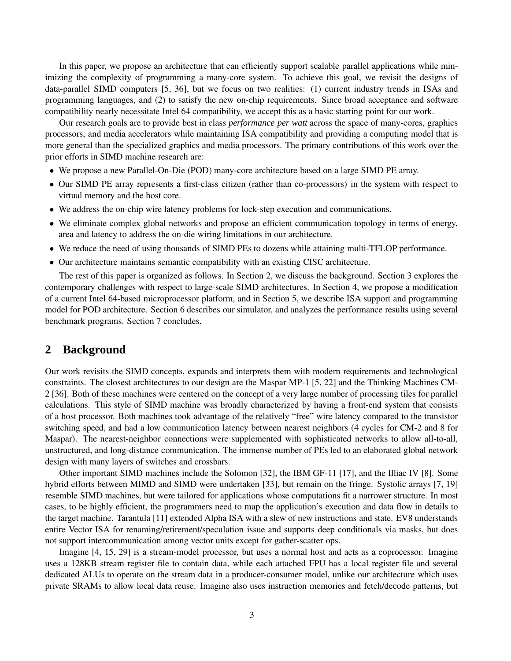In this paper, we propose an architecture that can efficiently support scalable parallel applications while minimizing the complexity of programming a many-core system. To achieve this goal, we revisit the designs of data-parallel SIMD computers [5, 36], but we focus on two realities: (1) current industry trends in ISAs and programming languages, and (2) to satisfy the new on-chip requirements. Since broad acceptance and software compatibility nearly necessitate Intel 64 compatibility, we accept this as a basic starting point for our work.

Our research goals are to provide best in class *performance per watt* across the space of many-cores, graphics processors, and media accelerators while maintaining ISA compatibility and providing a computing model that is more general than the specialized graphics and media processors. The primary contributions of this work over the prior efforts in SIMD machine research are:

- We propose a new Parallel-On-Die (POD) many-core architecture based on a large SIMD PE array.
- Our SIMD PE array represents a first-class citizen (rather than co-processors) in the system with respect to virtual memory and the host core.
- We address the on-chip wire latency problems for lock-step execution and communications.
- We eliminate complex global networks and propose an efficient communication topology in terms of energy, area and latency to address the on-die wiring limitations in our architecture.
- We reduce the need of using thousands of SIMD PEs to dozens while attaining multi-TFLOP performance.
- Our architecture maintains semantic compatibility with an existing CISC architecture.

The rest of this paper is organized as follows. In Section 2, we discuss the background. Section 3 explores the contemporary challenges with respect to large-scale SIMD architectures. In Section 4, we propose a modification of a current Intel 64-based microprocessor platform, and in Section 5, we describe ISA support and programming model for POD architecture. Section 6 describes our simulator, and analyzes the performance results using several benchmark programs. Section 7 concludes.

# **2 Background**

Our work revisits the SIMD concepts, expands and interprets them with modern requirements and technological constraints. The closest architectures to our design are the Maspar MP-1 [5, 22] and the Thinking Machines CM-2 [36]. Both of these machines were centered on the concept of a very large number of processing tiles for parallel calculations. This style of SIMD machine was broadly characterized by having a front-end system that consists of a host processor. Both machines took advantage of the relatively "free" wire latency compared to the transistor switching speed, and had a low communication latency between nearest neighbors (4 cycles for CM-2 and 8 for Maspar). The nearest-neighbor connections were supplemented with sophisticated networks to allow all-to-all, unstructured, and long-distance communication. The immense number of PEs led to an elaborated global network design with many layers of switches and crossbars.

Other important SIMD machines include the Solomon [32], the IBM GF-11 [17], and the Illiac IV [8]. Some hybrid efforts between MIMD and SIMD were undertaken [33], but remain on the fringe. Systolic arrays [7, 19] resemble SIMD machines, but were tailored for applications whose computations fit a narrower structure. In most cases, to be highly efficient, the programmers need to map the application's execution and data flow in details to the target machine. Tarantula [11] extended Alpha ISA with a slew of new instructions and state. EV8 understands entire Vector ISA for renaming/retirement/speculation issue and supports deep conditionals via masks, but does not support intercommunication among vector units except for gather-scatter ops.

Imagine [4, 15, 29] is a stream-model processor, but uses a normal host and acts as a coprocessor. Imagine uses a 128KB stream register file to contain data, while each attached FPU has a local register file and several dedicated ALUs to operate on the stream data in a producer-consumer model, unlike our architecture which uses private SRAMs to allow local data reuse. Imagine also uses instruction memories and fetch/decode patterns, but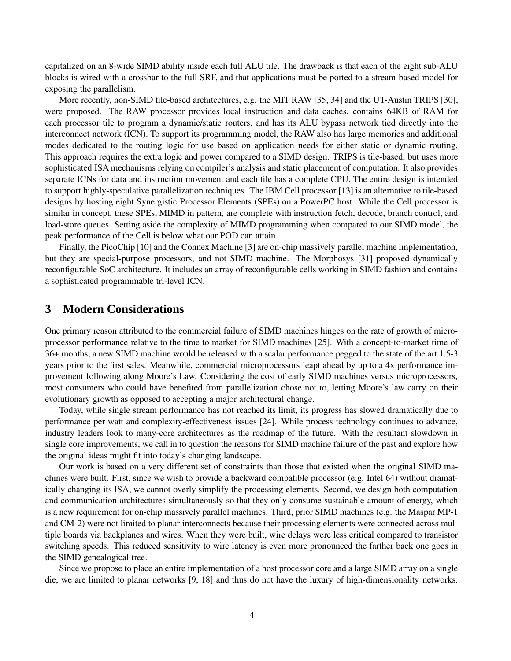capitalized on an 8-wide SIMD ability inside each full ALU tile. The drawback is that each of the eight sub-ALU blocks is wired with a crossbar to the full SRF, and that applications must be ported to a stream-based model for exposing the parallelism.

More recently, non-SIMD tile-based architectures, e.g. the MIT RAW [35, 34] and the UT-Austin TRIPS [30], were proposed. The RAW processor provides local instruction and data caches, contains 64KB of RAM for each processor tile to program a dynamic/static routers, and has its ALU bypass network tied directly into the interconnect network (ICN). To support its programming model, the RAW also has large memories and additional modes dedicated to the routing logic for use based on application needs for either static or dynamic routing. This approach requires the extra logic and power compared to a SIMD design. TRIPS is tile-based, but uses more sophisticated ISA mechanisms relying on compiler's analysis and static placement of computation. It also provides separate ICNs for data and instruction movement and each tile has a complete CPU. The entire design is intended to support highly-speculative parallelization techniques. The IBM Cell processor [13] is an alternative to tile-based designs by hosting eight Synergistic Processor Elements (SPEs) on a PowerPC host. While the Cell processor is similar in concept, these SPEs, MIMD in pattern, are complete with instruction fetch, decode, branch control, and load-store queues. Setting aside the complexity of MIMD programming when compared to our SIMD model, the peak performance of the Cell is below what our POD can attain.

Finally, the PicoChip [10] and the Connex Machine [3] are on-chip massively parallel machine implementation, but they are special-purpose processors, and not SIMD machine. The Morphosys [31] proposed dynamically reconfigurable SoC architecture. It includes an array of reconfigurable cells working in SIMD fashion and contains a sophisticated programmable tri-level ICN.

# **3 Modern Considerations**

One primary reason attributed to the commercial failure of SIMD machines hinges on the rate of growth of microprocessor performance relative to the time to market for SIMD machines [25]. With a concept-to-market time of 36+ months, a new SIMD machine would be released with a scalar performance pegged to the state of the art 1.5-3 years prior to the first sales. Meanwhile, commercial microprocessors leapt ahead by up to a 4x performance improvement following along Moore's Law. Considering the cost of early SIMD machines versus microprocessors, most consumers who could have benefited from parallelization chose not to, letting Moore's law carry on their evolutionary growth as opposed to accepting a major architectural change.

Today, while single stream performance has not reached its limit, its progress has slowed dramatically due to performance per watt and complexity-effectiveness issues [24]. While process technology continues to advance, industry leaders look to many-core architectures as the roadmap of the future. With the resultant slowdown in single core improvements, we call in to question the reasons for SIMD machine failure of the past and explore how the original ideas might fit into today's changing landscape.

Our work is based on a very different set of constraints than those that existed when the original SIMD machines were built. First, since we wish to provide a backward compatible processor (e.g. Intel 64) without dramatically changing its ISA, we cannot overly simplify the processing elements. Second, we design both computation and communication architectures simultaneously so that they only consume sustainable amount of energy, which is a new requirement for on-chip massively parallel machines. Third, prior SIMD machines (e.g. the Maspar MP-1 and CM-2) were not limited to planar interconnects because their processing elements were connected across multiple boards via backplanes and wires. When they were built, wire delays were less critical compared to transistor switching speeds. This reduced sensitivity to wire latency is even more pronounced the farther back one goes in the SIMD genealogical tree.

Since we propose to place an entire implementation of a host processor core and a large SIMD array on a single die, we are limited to planar networks [9, 18] and thus do not have the luxury of high-dimensionality networks.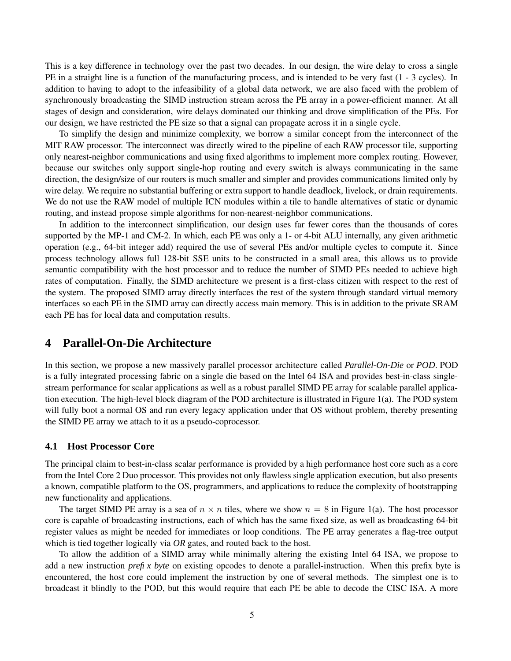This is a key difference in technology over the past two decades. In our design, the wire delay to cross a single PE in a straight line is a function of the manufacturing process, and is intended to be very fast (1 - 3 cycles). In addition to having to adopt to the infeasibility of a global data network, we are also faced with the problem of synchronously broadcasting the SIMD instruction stream across the PE array in a power-efficient manner. At all stages of design and consideration, wire delays dominated our thinking and drove simplification of the PEs. For our design, we have restricted the PE size so that a signal can propagate across it in a single cycle.

To simplify the design and minimize complexity, we borrow a similar concept from the interconnect of the MIT RAW processor. The interconnect was directly wired to the pipeline of each RAW processor tile, supporting only nearest-neighbor communications and using fixed algorithms to implement more complex routing. However, because our switches only support single-hop routing and every switch is always communicating in the same direction, the design/size of our routers is much smaller and simpler and provides communications limited only by wire delay. We require no substantial buffering or extra support to handle deadlock, livelock, or drain requirements. We do not use the RAW model of multiple ICN modules within a tile to handle alternatives of static or dynamic routing, and instead propose simple algorithms for non-nearest-neighbor communications.

In addition to the interconnect simplification, our design uses far fewer cores than the thousands of cores supported by the MP-1 and CM-2. In which, each PE was only a 1- or 4-bit ALU internally, any given arithmetic operation (e.g., 64-bit integer add) required the use of several PEs and/or multiple cycles to compute it. Since process technology allows full 128-bit SSE units to be constructed in a small area, this allows us to provide semantic compatibility with the host processor and to reduce the number of SIMD PEs needed to achieve high rates of computation. Finally, the SIMD architecture we present is a first-class citizen with respect to the rest of the system. The proposed SIMD array directly interfaces the rest of the system through standard virtual memory interfaces so each PE in the SIMD array can directly access main memory. This is in addition to the private SRAM each PE has for local data and computation results.

# **4 Parallel-On-Die Architecture**

In this section, we propose a new massively parallel processor architecture called *Parallel-On-Die* or *POD*. POD is a fully integrated processing fabric on a single die based on the Intel 64 ISA and provides best-in-class singlestream performance for scalar applications as well as a robust parallel SIMD PE array for scalable parallel application execution. The high-level block diagram of the POD architecture is illustrated in Figure 1(a). The POD system will fully boot a normal OS and run every legacy application under that OS without problem, thereby presenting the SIMD PE array we attach to it as a pseudo-coprocessor.

## **4.1 Host Processor Core**

The principal claim to best-in-class scalar performance is provided by a high performance host core such as a core from the Intel Core 2 Duo processor. This provides not only flawless single application execution, but also presents a known, compatible platform to the OS, programmers, and applications to reduce the complexity of bootstrapping new functionality and applications.

The target SIMD PE array is a sea of  $n \times n$  tiles, where we show  $n = 8$  in Figure 1(a). The host processor core is capable of broadcasting instructions, each of which has the same fixed size, as well as broadcasting 64-bit register values as might be needed for immediates or loop conditions. The PE array generates a flag-tree output which is tied together logically via *OR* gates, and routed back to the host.

To allow the addition of a SIMD array while minimally altering the existing Intel 64 ISA, we propose to add a new instruction *prefix byte* on existing opcodes to denote a parallel-instruction. When this prefix byte is encountered, the host core could implement the instruction by one of several methods. The simplest one is to broadcast it blindly to the POD, but this would require that each PE be able to decode the CISC ISA. A more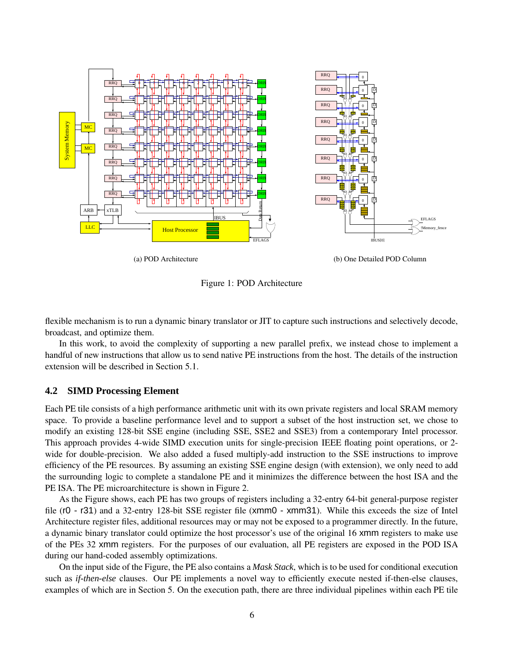

(a) POD Architecture

(b) One Detailed POD Column

Figure 1: POD Architecture

flexible mechanism is to run a dynamic binary translator or JIT to capture such instructions and selectively decode, broadcast, and optimize them.

In this work, to avoid the complexity of supporting a new parallel prefix, we instead chose to implement a handful of new instructions that allow us to send native PE instructions from the host. The details of the instruction extension will be described in Section 5.1.

#### **4.2 SIMD Processing Element**

Each PE tile consists of a high performance arithmetic unit with its own private registers and local SRAM memory space. To provide a baseline performance level and to support a subset of the host instruction set, we chose to modify an existing 128-bit SSE engine (including SSE, SSE2 and SSE3) from a contemporary Intel processor. This approach provides 4-wide SIMD execution units for single-precision IEEE floating point operations, or 2 wide for double-precision. We also added a fused multiply-add instruction to the SSE instructions to improve efficiency of the PE resources. By assuming an existing SSE engine design (with extension), we only need to add the surrounding logic to complete a standalone PE and it minimizes the difference between the host ISA and the PE ISA. The PE microarchitecture is shown in Figure 2.

As the Figure shows, each PE has two groups of registers including a 32-entry 64-bit general-purpose register file (r0 - r31) and a 32-entry 128-bit SSE register file (xmm0 - xmm31). While this exceeds the size of Intel Architecture register files, additional resources may or may not be exposed to a programmer directly. In the future, a dynamic binary translator could optimize the host processor's use of the original 16 xmm registers to make use of the PEs 32 xmm registers. For the purposes of our evaluation, all PE registers are exposed in the POD ISA during our hand-coded assembly optimizations.

On the input side of the Figure, the PE also contains a *Mask Stack*, which is to be used for conditional execution such as *if-then-else* clauses. Our PE implements a novel way to efficiently execute nested if-then-else clauses, examples of which are in Section 5. On the execution path, there are three individual pipelines within each PE tile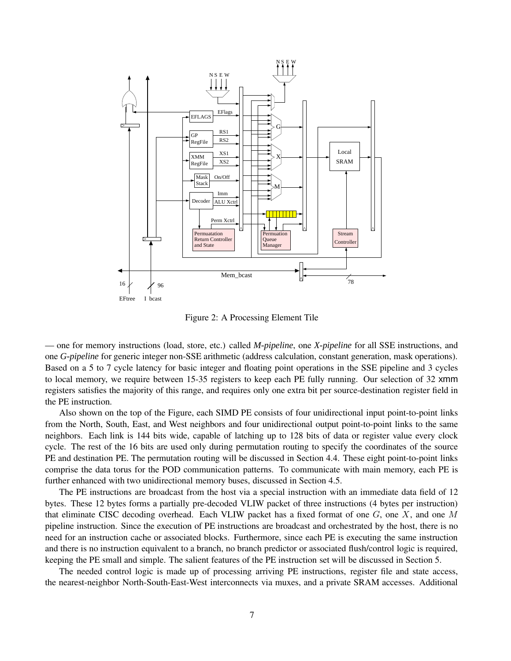

Figure 2: A Processing Element Tile

— one for memory instructions (load, store, etc.) called *M-pipeline*, one *X-pipeline* for all SSE instructions, and one *G-pipeline* for generic integer non-SSE arithmetic (address calculation, constant generation, mask operations). Based on a 5 to 7 cycle latency for basic integer and floating point operations in the SSE pipeline and 3 cycles to local memory, we require between 15-35 registers to keep each PE fully running. Our selection of 32 xmm registers satisfies the majority of this range, and requires only one extra bit per source-destination register field in the PE instruction.

Also shown on the top of the Figure, each SIMD PE consists of four unidirectional input point-to-point links from the North, South, East, and West neighbors and four unidirectional output point-to-point links to the same neighbors. Each link is 144 bits wide, capable of latching up to 128 bits of data or register value every clock cycle. The rest of the 16 bits are used only during permutation routing to specify the coordinates of the source PE and destination PE. The permutation routing will be discussed in Section 4.4. These eight point-to-point links comprise the data torus for the POD communication patterns. To communicate with main memory, each PE is further enhanced with two unidirectional memory buses, discussed in Section 4.5.

The PE instructions are broadcast from the host via a special instruction with an immediate data field of 12 bytes. These 12 bytes forms a partially pre-decoded VLIW packet of three instructions (4 bytes per instruction) that eliminate CISC decoding overhead. Each VLIW packet has a fixed format of one  $G$ , one  $X$ , and one  $M$ pipeline instruction. Since the execution of PE instructions are broadcast and orchestrated by the host, there is no need for an instruction cache or associated blocks. Furthermore, since each PE is executing the same instruction and there is no instruction equivalent to a branch, no branch predictor or associated flush/control logic is required, keeping the PE small and simple. The salient features of the PE instruction set will be discussed in Section 5.

The needed control logic is made up of processing arriving PE instructions, register file and state access, the nearest-neighbor North-South-East-West interconnects via muxes, and a private SRAM accesses. Additional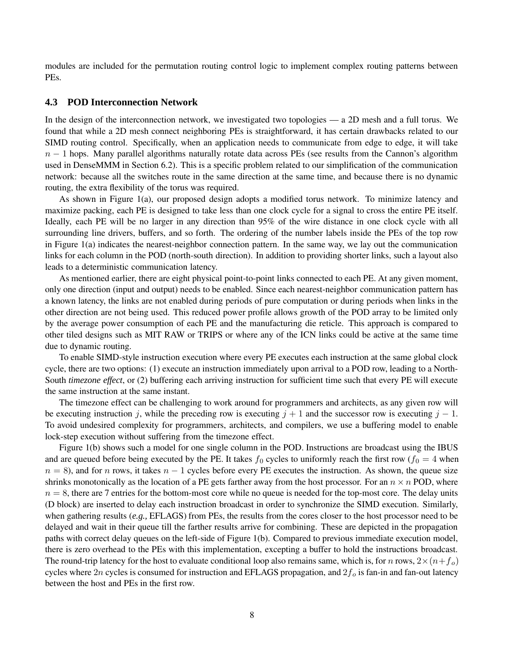modules are included for the permutation routing control logic to implement complex routing patterns between PEs.

#### **4.3 POD Interconnection Network**

In the design of the interconnection network, we investigated two topologies — a 2D mesh and a full torus. We found that while a 2D mesh connect neighboring PEs is straightforward, it has certain drawbacks related to our SIMD routing control. Specifically, when an application needs to communicate from edge to edge, it will take  $n-1$  hops. Many parallel algorithms naturally rotate data across PEs (see results from the Cannon's algorithm used in DenseMMM in Section 6.2). This is a specific problem related to our simplification of the communication network: because all the switches route in the same direction at the same time, and because there is no dynamic routing, the extra flexibility of the torus was required.

As shown in Figure 1(a), our proposed design adopts a modified torus network. To minimize latency and maximize packing, each PE is designed to take less than one clock cycle for a signal to cross the entire PE itself. Ideally, each PE will be no larger in any direction than 95% of the wire distance in one clock cycle with all surrounding line drivers, buffers, and so forth. The ordering of the number labels inside the PEs of the top row in Figure 1(a) indicates the nearest-neighbor connection pattern. In the same way, we lay out the communication links for each column in the POD (north-south direction). In addition to providing shorter links, such a layout also leads to a deterministic communication latency.

As mentioned earlier, there are eight physical point-to-point links connected to each PE. At any given moment, only one direction (input and output) needs to be enabled. Since each nearest-neighbor communication pattern has a known latency, the links are not enabled during periods of pure computation or during periods when links in the other direction are not being used. This reduced power profile allows growth of the POD array to be limited only by the average power consumption of each PE and the manufacturing die reticle. This approach is compared to other tiled designs such as MIT RAW or TRIPS or where any of the ICN links could be active at the same time due to dynamic routing.

To enable SIMD-style instruction execution where every PE executes each instruction at the same global clock cycle, there are two options: (1) execute an instruction immediately upon arrival to a POD row, leading to a North-South *timezone effect*, or (2) buffering each arriving instruction for sufficient time such that every PE will execute the same instruction at the same instant.

The timezone effect can be challenging to work around for programmers and architects, as any given row will be executing instruction j, while the preceding row is executing  $j + 1$  and the successor row is executing  $j - 1$ . To avoid undesired complexity for programmers, architects, and compilers, we use a buffering model to enable lock-step execution without suffering from the timezone effect.

Figure 1(b) shows such a model for one single column in the POD. Instructions are broadcast using the IBUS and are queued before being executed by the PE. It takes  $f_0$  cycles to uniformly reach the first row ( $f_0 = 4$  when  $n = 8$ ), and for n rows, it takes  $n - 1$  cycles before every PE executes the instruction. As shown, the queue size shrinks monotonically as the location of a PE gets farther away from the host processor. For an  $n \times n$  POD, where  $n = 8$ , there are 7 entries for the bottom-most core while no queue is needed for the top-most core. The delay units (D block) are inserted to delay each instruction broadcast in order to synchronize the SIMD execution. Similarly, when gathering results (*e.g.,* EFLAGS) from PEs, the results from the cores closer to the host processor need to be delayed and wait in their queue till the farther results arrive for combining. These are depicted in the propagation paths with correct delay queues on the left-side of Figure 1(b). Compared to previous immediate execution model, there is zero overhead to the PEs with this implementation, excepting a buffer to hold the instructions broadcast. The round-trip latency for the host to evaluate conditional loop also remains same, which is, for n rows,  $2\times(n+f_0)$ cycles where 2n cycles is consumed for instruction and EFLAGS propagation, and  $2f<sub>o</sub>$  is fan-in and fan-out latency between the host and PEs in the first row.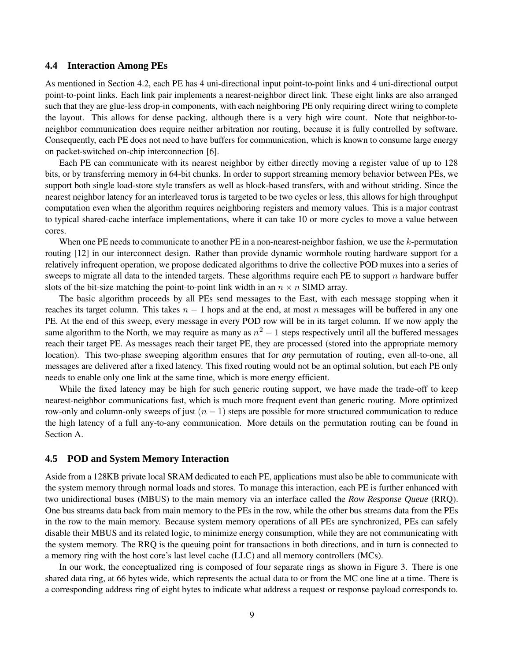#### **4.4 Interaction Among PEs**

As mentioned in Section 4.2, each PE has 4 uni-directional input point-to-point links and 4 uni-directional output point-to-point links. Each link pair implements a nearest-neighbor direct link. These eight links are also arranged such that they are glue-less drop-in components, with each neighboring PE only requiring direct wiring to complete the layout. This allows for dense packing, although there is a very high wire count. Note that neighbor-toneighbor communication does require neither arbitration nor routing, because it is fully controlled by software. Consequently, each PE does not need to have buffers for communication, which is known to consume large energy on packet-switched on-chip interconnection [6].

Each PE can communicate with its nearest neighbor by either directly moving a register value of up to 128 bits, or by transferring memory in 64-bit chunks. In order to support streaming memory behavior between PEs, we support both single load-store style transfers as well as block-based transfers, with and without striding. Since the nearest neighbor latency for an interleaved torus is targeted to be two cycles or less, this allows for high throughput computation even when the algorithm requires neighboring registers and memory values. This is a major contrast to typical shared-cache interface implementations, where it can take 10 or more cycles to move a value between cores.

When one PE needs to communicate to another PE in a non-nearest-neighbor fashion, we use the  $k$ -permutation routing [12] in our interconnect design. Rather than provide dynamic wormhole routing hardware support for a relatively infrequent operation, we propose dedicated algorithms to drive the collective POD muxes into a series of sweeps to migrate all data to the intended targets. These algorithms require each PE to support  $n$  hardware buffer slots of the bit-size matching the point-to-point link width in an  $n \times n$  SIMD array.

The basic algorithm proceeds by all PEs send messages to the East, with each message stopping when it reaches its target column. This takes  $n - 1$  hops and at the end, at most n messages will be buffered in any one PE. At the end of this sweep, every message in every POD row will be in its target column. If we now apply the same algorithm to the North, we may require as many as  $n^2 - 1$  steps respectively until all the buffered messages reach their target PE. As messages reach their target PE, they are processed (stored into the appropriate memory location). This two-phase sweeping algorithm ensures that for *any* permutation of routing, even all-to-one, all messages are delivered after a fixed latency. This fixed routing would not be an optimal solution, but each PE only needs to enable only one link at the same time, which is more energy efficient.

While the fixed latency may be high for such generic routing support, we have made the trade-off to keep nearest-neighbor communications fast, which is much more frequent event than generic routing. More optimized row-only and column-only sweeps of just  $(n - 1)$  steps are possible for more structured communication to reduce the high latency of a full any-to-any communication. More details on the permutation routing can be found in Section A.

## **4.5 POD and System Memory Interaction**

Aside from a 128KB private local SRAM dedicated to each PE, applications must also be able to communicate with the system memory through normal loads and stores. To manage this interaction, each PE is further enhanced with two unidirectional buses (MBUS) to the main memory via an interface called the *Row Response Queue* (RRQ). One bus streams data back from main memory to the PEs in the row, while the other bus streams data from the PEs in the row to the main memory. Because system memory operations of all PEs are synchronized, PEs can safely disable their MBUS and its related logic, to minimize energy consumption, while they are not communicating with the system memory. The RRQ is the queuing point for transactions in both directions, and in turn is connected to a memory ring with the host core's last level cache (LLC) and all memory controllers (MCs).

In our work, the conceptualized ring is composed of four separate rings as shown in Figure 3. There is one shared data ring, at 66 bytes wide, which represents the actual data to or from the MC one line at a time. There is a corresponding address ring of eight bytes to indicate what address a request or response payload corresponds to.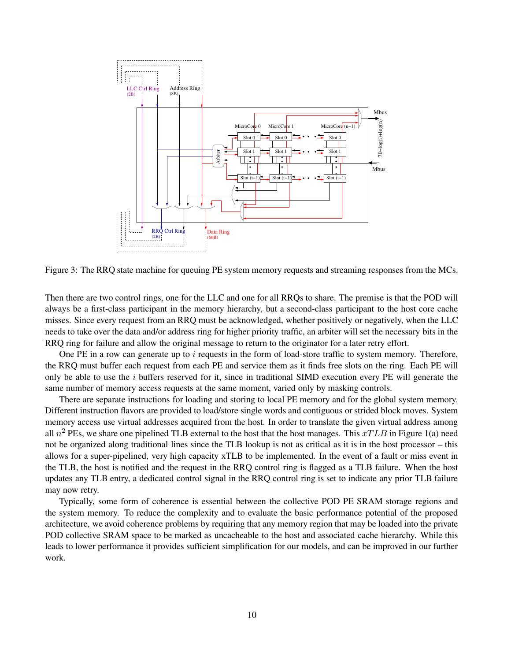

Figure 3: The RRQ state machine for queuing PE system memory requests and streaming responses from the MCs.

Then there are two control rings, one for the LLC and one for all RRQs to share. The premise is that the POD will always be a first-class participant in the memory hierarchy, but a second-class participant to the host core cache misses. Since every request from an RRQ must be acknowledged, whether positively or negatively, when the LLC needs to take over the data and/or address ring for higher priority traffic, an arbiter will set the necessary bits in the RRQ ring for failure and allow the original message to return to the originator for a later retry effort.

One PE in a row can generate up to i requests in the form of load-store traffic to system memory. Therefore, the RRQ must buffer each request from each PE and service them as it finds free slots on the ring. Each PE will only be able to use the  $i$  buffers reserved for it, since in traditional SIMD execution every PE will generate the same number of memory access requests at the same moment, varied only by masking controls.

There are separate instructions for loading and storing to local PE memory and for the global system memory. Different instruction flavors are provided to load/store single words and contiguous or strided block moves. System memory access use virtual addresses acquired from the host. In order to translate the given virtual address among all  $n^2$  PEs, we share one pipelined TLB external to the host that the host manages. This  $xTLB$  in Figure 1(a) need not be organized along traditional lines since the TLB lookup is not as critical as it is in the host processor – this allows for a super-pipelined, very high capacity xTLB to be implemented. In the event of a fault or miss event in the TLB, the host is notified and the request in the RRQ control ring is flagged as a TLB failure. When the host updates any TLB entry, a dedicated control signal in the RRQ control ring is set to indicate any prior TLB failure may now retry.

Typically, some form of coherence is essential between the collective POD PE SRAM storage regions and the system memory. To reduce the complexity and to evaluate the basic performance potential of the proposed architecture, we avoid coherence problems by requiring that any memory region that may be loaded into the private POD collective SRAM space to be marked as uncacheable to the host and associated cache hierarchy. While this leads to lower performance it provides sufficient simplification for our models, and can be improved in our further work.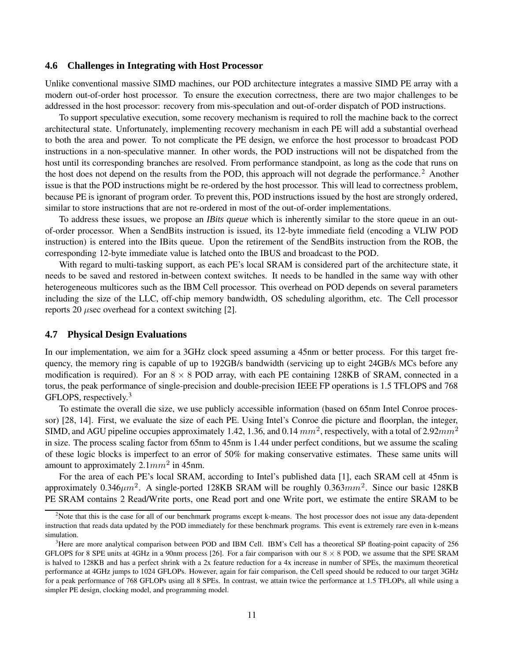#### **4.6 Challenges in Integrating with Host Processor**

Unlike conventional massive SIMD machines, our POD architecture integrates a massive SIMD PE array with a modern out-of-order host processor. To ensure the execution correctness, there are two major challenges to be addressed in the host processor: recovery from mis-speculation and out-of-order dispatch of POD instructions.

To support speculative execution, some recovery mechanism is required to roll the machine back to the correct architectural state. Unfortunately, implementing recovery mechanism in each PE will add a substantial overhead to both the area and power. To not complicate the PE design, we enforce the host processor to broadcast POD instructions in a non-speculative manner. In other words, the POD instructions will not be dispatched from the host until its corresponding branches are resolved. From performance standpoint, as long as the code that runs on the host does not depend on the results from the POD, this approach will not degrade the performance.<sup>2</sup> Another issue is that the POD instructions might be re-ordered by the host processor. This will lead to correctness problem, because PE is ignorant of program order. To prevent this, POD instructions issued by the host are strongly ordered, similar to store instructions that are not re-ordered in most of the out-of-order implementations.

To address these issues, we propose an *IBits queue* which is inherently similar to the store queue in an outof-order processor. When a SendBits instruction is issued, its 12-byte immediate field (encoding a VLIW POD instruction) is entered into the IBits queue. Upon the retirement of the SendBits instruction from the ROB, the corresponding 12-byte immediate value is latched onto the IBUS and broadcast to the POD.

With regard to multi-tasking support, as each PE's local SRAM is considered part of the architecture state, it needs to be saved and restored in-between context switches. It needs to be handled in the same way with other heterogeneous multicores such as the IBM Cell processor. This overhead on POD depends on several parameters including the size of the LLC, off-chip memory bandwidth, OS scheduling algorithm, etc. The Cell processor reports 20  $\mu$ sec overhead for a context switching [2].

#### **4.7 Physical Design Evaluations**

In our implementation, we aim for a 3GHz clock speed assuming a 45nm or better process. For this target frequency, the memory ring is capable of up to 192GB/s bandwidth (servicing up to eight 24GB/s MCs before any modification is required). For an  $8 \times 8$  POD array, with each PE containing 128KB of SRAM, connected in a torus, the peak performance of single-precision and double-precision IEEE FP operations is 1.5 TFLOPS and 768 GFLOPS, respectively.<sup>3</sup>

To estimate the overall die size, we use publicly accessible information (based on 65nm Intel Conroe processor) [28, 14]. First, we evaluate the size of each PE. Using Intel's Conroe die picture and floorplan, the integer, SIMD, and AGU pipeline occupies approximately 1.42, 1.36, and 0.14  $mm^2$ , respectively, with a total of 2.92 $mm^2$ in size. The process scaling factor from 65nm to 45nm is 1.44 under perfect conditions, but we assume the scaling of these logic blocks is imperfect to an error of 50% for making conservative estimates. These same units will amount to approximately  $2.1mm^2$  in 45nm.

For the area of each PE's local SRAM, according to Intel's published data [1], each SRAM cell at 45nm is approximately 0.346 $\mu$ m<sup>2</sup>. A single-ported 128KB SRAM will be roughly 0.363 $mm^2$ . Since our basic 128KB PE SRAM contains 2 Read/Write ports, one Read port and one Write port, we estimate the entire SRAM to be

<sup>&</sup>lt;sup>2</sup>Note that this is the case for all of our benchmark programs except k-means. The host processor does not issue any data-dependent instruction that reads data updated by the POD immediately for these benchmark programs. This event is extremely rare even in k-means simulation.

<sup>&</sup>lt;sup>3</sup>Here are more analytical comparison between POD and IBM Cell. IBM's Cell has a theoretical SP floating-point capacity of 256 GFLOPS for 8 SPE units at 4GHz in a 90nm process [26]. For a fair comparison with our  $8 \times 8$  POD, we assume that the SPE SRAM is halved to 128KB and has a perfect shrink with a 2x feature reduction for a 4x increase in number of SPEs, the maximum theoretical performance at 4GHz jumps to 1024 GFLOPs. However, again for fair comparison, the Cell speed should be reduced to our target 3GHz for a peak performance of 768 GFLOPs using all 8 SPEs. In contrast, we attain twice the performance at 1.5 TFLOPs, all while using a simpler PE design, clocking model, and programming model.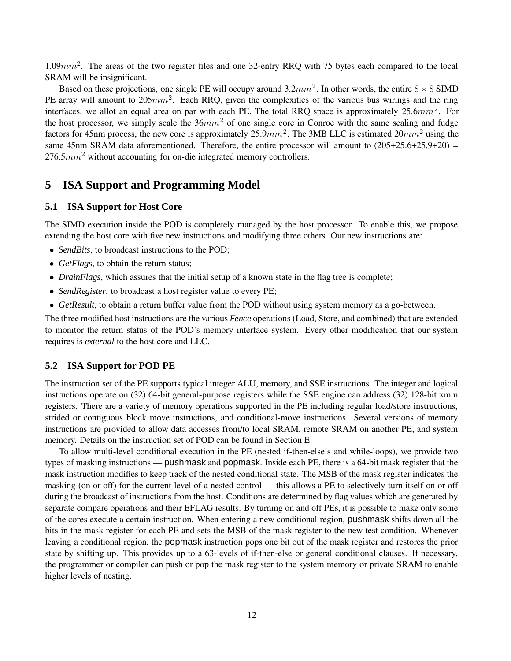1.09 $mm^2$ . The areas of the two register files and one 32-entry RRQ with 75 bytes each compared to the local SRAM will be insignificant.

Based on these projections, one single PE will occupy around  $3.2mm^2$ . In other words, the entire  $8 \times 8$  SIMD PE array will amount to  $205mm^2$ . Each RRQ, given the complexities of the various bus wirings and the ring interfaces, we allot an equal area on par with each PE. The total RRQ space is approximately  $25.6mm^2$ . For the host processor, we simply scale the  $36mm^2$  of one single core in Conroe with the same scaling and fudge factors for 45nm process, the new core is approximately  $25.9mm^2$ . The 3MB LLC is estimated  $20mm^2$  using the same 45nm SRAM data aforementioned. Therefore, the entire processor will amount to  $(205+25.6+25.9+20)$  =  $276.5mm^2$  without accounting for on-die integrated memory controllers.

# **5 ISA Support and Programming Model**

#### **5.1 ISA Support for Host Core**

The SIMD execution inside the POD is completely managed by the host processor. To enable this, we propose extending the host core with five new instructions and modifying three others. Our new instructions are:

- *SendBits*, to broadcast instructions to the POD;
- *GetFlags*, to obtain the return status;
- *DrainFlags*, which assures that the initial setup of a known state in the flag tree is complete;
- *SendRegister*, to broadcast a host register value to every PE;
- *GetResult*, to obtain a return buffer value from the POD without using system memory as a go-between.

The three modified host instructions are the various *Fence* operations (Load, Store, and combined) that are extended to monitor the return status of the POD's memory interface system. Every other modification that our system requires is *external* to the host core and LLC.

#### **5.2 ISA Support for POD PE**

The instruction set of the PE supports typical integer ALU, memory, and SSE instructions. The integer and logical instructions operate on (32) 64-bit general-purpose registers while the SSE engine can address (32) 128-bit xmm registers. There are a variety of memory operations supported in the PE including regular load/store instructions, strided or contiguous block move instructions, and conditional-move instructions. Several versions of memory instructions are provided to allow data accesses from/to local SRAM, remote SRAM on another PE, and system memory. Details on the instruction set of POD can be found in Section E.

To allow multi-level conditional execution in the PE (nested if-then-else's and while-loops), we provide two types of masking instructions — pushmask and popmask. Inside each PE, there is a 64-bit mask register that the mask instruction modifies to keep track of the nested conditional state. The MSB of the mask register indicates the masking (on or off) for the current level of a nested control — this allows a PE to selectively turn itself on or off during the broadcast of instructions from the host. Conditions are determined by flag values which are generated by separate compare operations and their EFLAG results. By turning on and off PEs, it is possible to make only some of the cores execute a certain instruction. When entering a new conditional region, pushmask shifts down all the bits in the mask register for each PE and sets the MSB of the mask register to the new test condition. Whenever leaving a conditional region, the popmask instruction pops one bit out of the mask register and restores the prior state by shifting up. This provides up to a 63-levels of if-then-else or general conditional clauses. If necessary, the programmer or compiler can push or pop the mask register to the system memory or private SRAM to enable higher levels of nesting.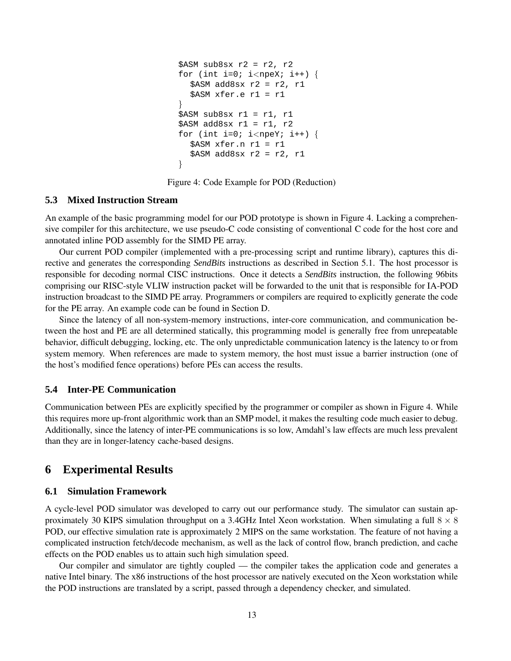```
$ASM sub8sx r2 = r2, r2
for (int i=0; i<npeX; i++) {
  $ASM add8sx r2 = r2, r1$ASM xfer.e r1 = r1
}
$ASM sub8sx r1 = r1, r1$ASM add8sx r1 = r1, r2
for (int i=0; i<npeY; i++) {
  $ASM xfer.n r1 = r1
  $ASM add8sx r2 = r2, r1}
```
Figure 4: Code Example for POD (Reduction)

#### **5.3 Mixed Instruction Stream**

An example of the basic programming model for our POD prototype is shown in Figure 4. Lacking a comprehensive compiler for this architecture, we use pseudo-C code consisting of conventional C code for the host core and annotated inline POD assembly for the SIMD PE array.

Our current POD compiler (implemented with a pre-processing script and runtime library), captures this directive and generates the corresponding *SendBits* instructions as described in Section 5.1. The host processor is responsible for decoding normal CISC instructions. Once it detects a *SendBits* instruction, the following 96bits comprising our RISC-style VLIW instruction packet will be forwarded to the unit that is responsible for IA-POD instruction broadcast to the SIMD PE array. Programmers or compilers are required to explicitly generate the code for the PE array. An example code can be found in Section D.

Since the latency of all non-system-memory instructions, inter-core communication, and communication between the host and PE are all determined statically, this programming model is generally free from unrepeatable behavior, difficult debugging, locking, etc. The only unpredictable communication latency is the latency to or from system memory. When references are made to system memory, the host must issue a barrier instruction (one of the host's modified fence operations) before PEs can access the results.

## **5.4 Inter-PE Communication**

Communication between PEs are explicitly specified by the programmer or compiler as shown in Figure 4. While this requires more up-front algorithmic work than an SMP model, it makes the resulting code much easier to debug. Additionally, since the latency of inter-PE communications is so low, Amdahl's law effects are much less prevalent than they are in longer-latency cache-based designs.

# **6 Experimental Results**

#### **6.1 Simulation Framework**

A cycle-level POD simulator was developed to carry out our performance study. The simulator can sustain approximately 30 KIPS simulation throughput on a 3.4GHz Intel Xeon workstation. When simulating a full  $8 \times 8$ POD, our effective simulation rate is approximately 2 MIPS on the same workstation. The feature of not having a complicated instruction fetch/decode mechanism, as well as the lack of control flow, branch prediction, and cache effects on the POD enables us to attain such high simulation speed.

Our compiler and simulator are tightly coupled — the compiler takes the application code and generates a native Intel binary. The x86 instructions of the host processor are natively executed on the Xeon workstation while the POD instructions are translated by a script, passed through a dependency checker, and simulated.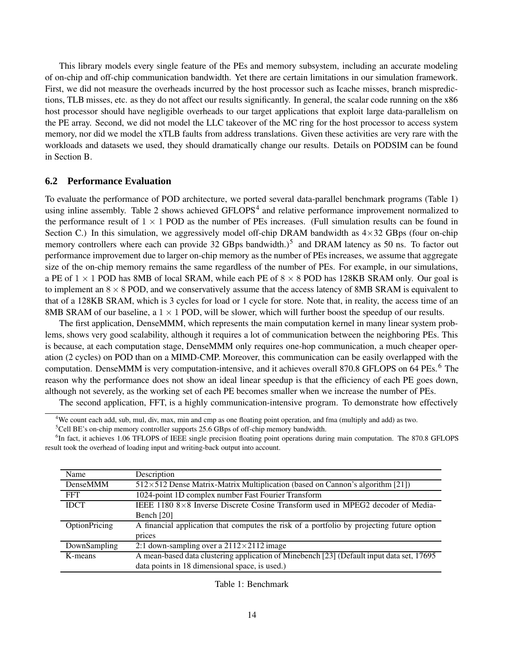This library models every single feature of the PEs and memory subsystem, including an accurate modeling of on-chip and off-chip communication bandwidth. Yet there are certain limitations in our simulation framework. First, we did not measure the overheads incurred by the host processor such as Icache misses, branch mispredictions, TLB misses, etc. as they do not affect our results significantly. In general, the scalar code running on the x86 host processor should have negligible overheads to our target applications that exploit large data-parallelism on the PE array. Second, we did not model the LLC takeover of the MC ring for the host processor to access system memory, nor did we model the xTLB faults from address translations. Given these activities are very rare with the workloads and datasets we used, they should dramatically change our results. Details on PODSIM can be found in Section B.

## **6.2 Performance Evaluation**

To evaluate the performance of POD architecture, we ported several data-parallel benchmark programs (Table 1) using inline assembly. Table 2 shows achieved GFLOPS<sup>4</sup> and relative performance improvement normalized to the performance result of  $1 \times 1$  POD as the number of PEs increases. (Full simulation results can be found in Section C.) In this simulation, we aggressively model off-chip DRAM bandwidth as  $4\times32$  GBps (four on-chip memory controllers where each can provide 32 GBps bandwidth.)<sup>5</sup> and DRAM latency as 50 ns. To factor out performance improvement due to larger on-chip memory as the number of PEs increases, we assume that aggregate size of the on-chip memory remains the same regardless of the number of PEs. For example, in our simulations, a PE of  $1 \times 1$  POD has 8MB of local SRAM, while each PE of  $8 \times 8$  POD has 128KB SRAM only. Our goal is to implement an  $8 \times 8$  POD, and we conservatively assume that the access latency of 8MB SRAM is equivalent to that of a 128KB SRAM, which is 3 cycles for load or 1 cycle for store. Note that, in reality, the access time of an 8MB SRAM of our baseline, a  $1 \times 1$  POD, will be slower, which will further boost the speedup of our results.

The first application, DenseMMM, which represents the main computation kernel in many linear system problems, shows very good scalability, although it requires a lot of communication between the neighboring PEs. This is because, at each computation stage, DenseMMM only requires one-hop communication, a much cheaper operation (2 cycles) on POD than on a MIMD-CMP. Moreover, this communication can be easily overlapped with the computation. DenseMMM is very computation-intensive, and it achieves overall 870.8 GFLOPS on 64 PEs.<sup>6</sup> The reason why the performance does not show an ideal linear speedup is that the efficiency of each PE goes down, although not severely, as the working set of each PE becomes smaller when we increase the number of PEs.

The second application, FFT, is a highly communication-intensive program. To demonstrate how effectively

<sup>&</sup>lt;sup>6</sup>In fact, it achieves 1.06 TFLOPS of IEEE single precision floating point operations during main computation. The 870.8 GFLOPS result took the overhead of loading input and writing-back output into account.

| Name          | Description                                                                                |
|---------------|--------------------------------------------------------------------------------------------|
| DenseMMM      | 512×512 Dense Matrix-Matrix Multiplication (based on Cannon's algorithm [21])              |
| <b>FFT</b>    | 1024-point 1D complex number Fast Fourier Transform                                        |
| <b>IDCT</b>   | IEEE 1180 $8\times8$ Inverse Discrete Cosine Transform used in MPEG2 decoder of Media-     |
|               | Bench $[20]$                                                                               |
| OptionPricing | A financial application that computes the risk of a portfolio by projecting future option  |
|               | prices                                                                                     |
| DownSampling  | 2:1 down-sampling over a $2112\times2112$ image                                            |
| K-means       | A mean-based data clustering application of Minebench [23] (Default input data set, 17695) |
|               | data points in 18 dimensional space, is used.)                                             |

Table 1: Benchmark

<sup>&</sup>lt;sup>4</sup>We count each add, sub, mul, div, max, min and cmp as one floating point operation, and fma (multiply and add) as two.

<sup>&</sup>lt;sup>5</sup>Cell BE's on-chip memory controller supports 25.6 GBps of off-chip memory bandwidth.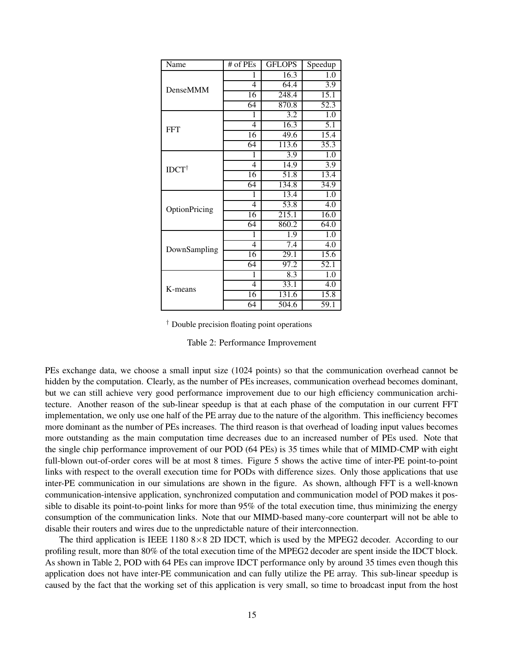| Name             | # of PEs       | <b>GFLOPS</b>    | Speedup          |
|------------------|----------------|------------------|------------------|
|                  | 1              | 16.3             | 1.0              |
| DenseMMM         | 4              | 64.4             | $\overline{3.9}$ |
|                  | 16             | 248.4            | 15.1             |
|                  | 64             | 870.8            | 52.3             |
|                  | 1              | 3.2              | 1.0              |
| <b>FFT</b>       | 4              | 16.3             | 5.1              |
|                  | 16             | 49.6             | 15.4             |
|                  | 64             | 113.6            | 35.3             |
| $IDCT^{\dagger}$ | 1              | 3.9              | 1.0              |
|                  | $\overline{4}$ | 14.9             | 3.9              |
|                  | 16             | 51.8             | 13.4             |
|                  | 64             | 134.8            | 34.9             |
|                  | 1              | 13.4             | 1.0              |
| OptionPricing    | $\overline{4}$ | 53.8             | 4.0              |
|                  | 16             | 215.1            | 16.0             |
|                  | 64             | 860.2            | 64.0             |
|                  | 1              | 1.9              | 1.0              |
| DownSampling     | 4              | $\overline{7.4}$ | 4.0              |
|                  | 16             | 29.1             | 15.6             |
|                  | 64             | 97.2             | 52.1             |
|                  | 1              | 8.3              | 1.0              |
| K-means          | 4              | 33.1             | 4.0              |
|                  | 16             | 131.6            | 15.8             |
|                  | 64             | 504.6            | 59.1             |

† Double precision floating point operations

#### Table 2: Performance Improvement

PEs exchange data, we choose a small input size (1024 points) so that the communication overhead cannot be hidden by the computation. Clearly, as the number of PEs increases, communication overhead becomes dominant, but we can still achieve very good performance improvement due to our high efficiency communication architecture. Another reason of the sub-linear speedup is that at each phase of the computation in our current FFT implementation, we only use one half of the PE array due to the nature of the algorithm. This inefficiency becomes more dominant as the number of PEs increases. The third reason is that overhead of loading input values becomes more outstanding as the main computation time decreases due to an increased number of PEs used. Note that the single chip performance improvement of our POD (64 PEs) is 35 times while that of MIMD-CMP with eight full-blown out-of-order cores will be at most 8 times. Figure 5 shows the active time of inter-PE point-to-point links with respect to the overall execution time for PODs with difference sizes. Only those applications that use inter-PE communication in our simulations are shown in the figure. As shown, although FFT is a well-known communication-intensive application, synchronized computation and communication model of POD makes it possible to disable its point-to-point links for more than 95% of the total execution time, thus minimizing the energy consumption of the communication links. Note that our MIMD-based many-core counterpart will not be able to disable their routers and wires due to the unpredictable nature of their interconnection.

The third application is IEEE 1180  $8 \times 8$  2D IDCT, which is used by the MPEG2 decoder. According to our profiling result, more than 80% of the total execution time of the MPEG2 decoder are spent inside the IDCT block. As shown in Table 2, POD with 64 PEs can improve IDCT performance only by around 35 times even though this application does not have inter-PE communication and can fully utilize the PE array. This sub-linear speedup is caused by the fact that the working set of this application is very small, so time to broadcast input from the host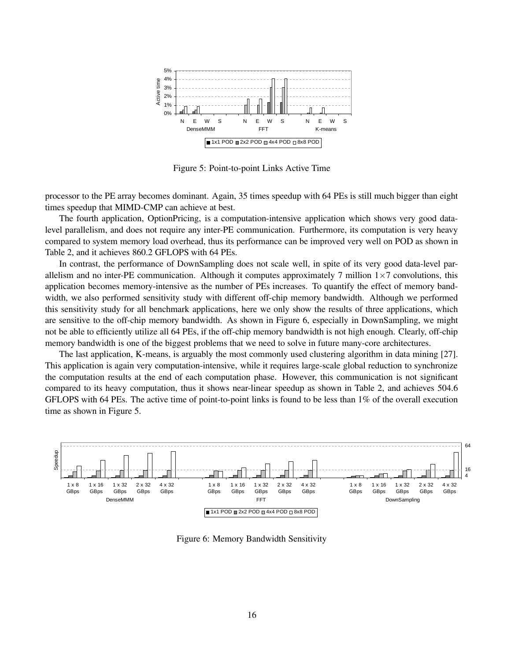

Figure 5: Point-to-point Links Active Time

processor to the PE array becomes dominant. Again, 35 times speedup with 64 PEs is still much bigger than eight times speedup that MIMD-CMP can achieve at best.

The fourth application, OptionPricing, is a computation-intensive application which shows very good datalevel parallelism, and does not require any inter-PE communication. Furthermore, its computation is very heavy compared to system memory load overhead, thus its performance can be improved very well on POD as shown in Table 2, and it achieves 860.2 GFLOPS with 64 PEs.

In contrast, the performance of DownSampling does not scale well, in spite of its very good data-level parallelism and no inter-PE communication. Although it computes approximately 7 million  $1\times7$  convolutions, this application becomes memory-intensive as the number of PEs increases. To quantify the effect of memory bandwidth, we also performed sensitivity study with different off-chip memory bandwidth. Although we performed this sensitivity study for all benchmark applications, here we only show the results of three applications, which are sensitive to the off-chip memory bandwidth. As shown in Figure 6, especially in DownSampling, we might not be able to efficiently utilize all 64 PEs, if the off-chip memory bandwidth is not high enough. Clearly, off-chip memory bandwidth is one of the biggest problems that we need to solve in future many-core architectures.

The last application, K-means, is arguably the most commonly used clustering algorithm in data mining [27]. This application is again very computation-intensive, while it requires large-scale global reduction to synchronize the computation results at the end of each computation phase. However, this communication is not significant compared to its heavy computation, thus it shows near-linear speedup as shown in Table 2, and achieves 504.6 GFLOPS with 64 PEs. The active time of point-to-point links is found to be less than 1% of the overall execution time as shown in Figure 5.



Figure 6: Memory Bandwidth Sensitivity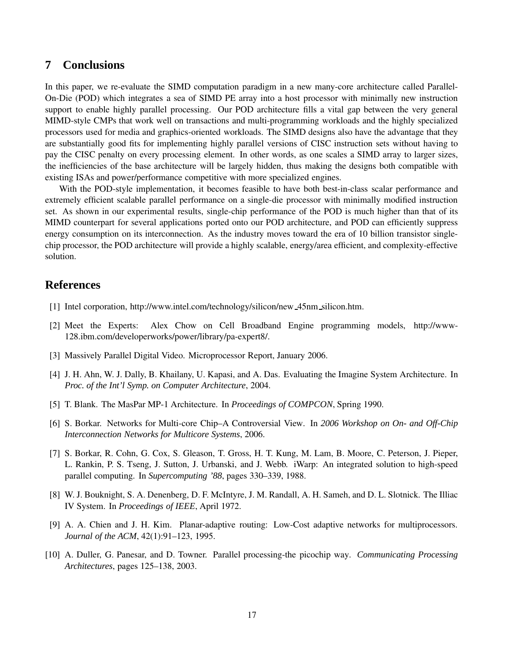# **7 Conclusions**

In this paper, we re-evaluate the SIMD computation paradigm in a new many-core architecture called Parallel-On-Die (POD) which integrates a sea of SIMD PE array into a host processor with minimally new instruction support to enable highly parallel processing. Our POD architecture fills a vital gap between the very general MIMD-style CMPs that work well on transactions and multi-programming workloads and the highly specialized processors used for media and graphics-oriented workloads. The SIMD designs also have the advantage that they are substantially good fits for implementing highly parallel versions of CISC instruction sets without having to pay the CISC penalty on every processing element. In other words, as one scales a SIMD array to larger sizes, the inefficiencies of the base architecture will be largely hidden, thus making the designs both compatible with existing ISAs and power/performance competitive with more specialized engines.

With the POD-style implementation, it becomes feasible to have both best-in-class scalar performance and extremely efficient scalable parallel performance on a single-die processor with minimally modified instruction set. As shown in our experimental results, single-chip performance of the POD is much higher than that of its MIMD counterpart for several applications ported onto our POD architecture, and POD can efficiently suppress energy consumption on its interconnection. As the industry moves toward the era of 10 billion transistor singlechip processor, the POD architecture will provide a highly scalable, energy/area efficient, and complexity-effective solution.

# **References**

- [1] Intel corporation, http://www.intel.com/technology/silicon/new 45nm silicon.htm.
- [2] Meet the Experts: Alex Chow on Cell Broadband Engine programming models, http://www-128.ibm.com/developerworks/power/library/pa-expert8/.
- [3] Massively Parallel Digital Video. Microprocessor Report, January 2006.
- [4] J. H. Ahn, W. J. Dally, B. Khailany, U. Kapasi, and A. Das. Evaluating the Imagine System Architecture. In *Proc. of the Int'l Symp. on Computer Architecture*, 2004.
- [5] T. Blank. The MasPar MP-1 Architecture. In *Proceedings of COMPCON*, Spring 1990.
- [6] S. Borkar. Networks for Multi-core Chip–A Controversial View. In *2006 Workshop on On- and Off-Chip Interconnection Networks for Multicore Systems*, 2006.
- [7] S. Borkar, R. Cohn, G. Cox, S. Gleason, T. Gross, H. T. Kung, M. Lam, B. Moore, C. Peterson, J. Pieper, L. Rankin, P. S. Tseng, J. Sutton, J. Urbanski, and J. Webb. iWarp: An integrated solution to high-speed parallel computing. In *Supercomputing '88*, pages 330–339, 1988.
- [8] W. J. Bouknight, S. A. Denenberg, D. F. McIntyre, J. M. Randall, A. H. Sameh, and D. L. Slotnick. The Illiac IV System. In *Proceedings of IEEE*, April 1972.
- [9] A. A. Chien and J. H. Kim. Planar-adaptive routing: Low-Cost adaptive networks for multiprocessors. *Journal of the ACM*, 42(1):91–123, 1995.
- [10] A. Duller, G. Panesar, and D. Towner. Parallel processing-the picochip way. *Communicating Processing Architectures*, pages 125–138, 2003.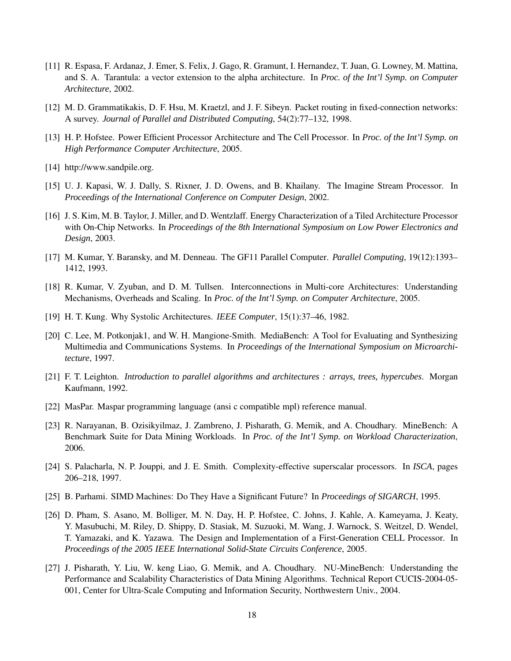- [11] R. Espasa, F. Ardanaz, J. Emer, S. Felix, J. Gago, R. Gramunt, I. Hernandez, T. Juan, G. Lowney, M. Mattina, and S. A. Tarantula: a vector extension to the alpha architecture. In *Proc. of the Int'l Symp. on Computer Architecture*, 2002.
- [12] M. D. Grammatikakis, D. F. Hsu, M. Kraetzl, and J. F. Sibeyn. Packet routing in fixed-connection networks: A survey. *Journal of Parallel and Distributed Computing*, 54(2):77–132, 1998.
- [13] H. P. Hofstee. Power Efficient Processor Architecture and The Cell Processor. In *Proc. of the Int'l Symp. on High Performance Computer Architecture*, 2005.
- [14] http://www.sandpile.org.
- [15] U. J. Kapasi, W. J. Dally, S. Rixner, J. D. Owens, and B. Khailany. The Imagine Stream Processor. In *Proceedings of the International Conference on Computer Design*, 2002.
- [16] J. S. Kim, M. B. Taylor, J. Miller, and D. Wentzlaff. Energy Characterization of a Tiled Architecture Processor with On-Chip Networks. In *Proceedings of the 8th International Symposium on Low Power Electronics and Design*, 2003.
- [17] M. Kumar, Y. Baransky, and M. Denneau. The GF11 Parallel Computer. *Parallel Computing*, 19(12):1393– 1412, 1993.
- [18] R. Kumar, V. Zyuban, and D. M. Tullsen. Interconnections in Multi-core Architectures: Understanding Mechanisms, Overheads and Scaling. In *Proc. of the Int'l Symp. on Computer Architecture*, 2005.
- [19] H. T. Kung. Why Systolic Architectures. *IEEE Computer*, 15(1):37–46, 1982.
- [20] C. Lee, M. Potkonjak1, and W. H. Mangione-Smith. MediaBench: A Tool for Evaluating and Synthesizing Multimedia and Communications Systems. In *Proceedings of the International Symposium on Microarchitecture*, 1997.
- [21] F. T. Leighton. *Introduction to parallel algorithms and architectures : arrays, trees, hypercubes*. Morgan Kaufmann, 1992.
- [22] MasPar. Maspar programming language (ansi c compatible mpl) reference manual.
- [23] R. Narayanan, B. Ozisikyilmaz, J. Zambreno, J. Pisharath, G. Memik, and A. Choudhary. MineBench: A Benchmark Suite for Data Mining Workloads. In *Proc. of the Int'l Symp. on Workload Characterization*, 2006.
- [24] S. Palacharla, N. P. Jouppi, and J. E. Smith. Complexity-effective superscalar processors. In *ISCA*, pages 206–218, 1997.
- [25] B. Parhami. SIMD Machines: Do They Have a Significant Future? In *Proceedings of SIGARCH*, 1995.
- [26] D. Pham, S. Asano, M. Bolliger, M. N. Day, H. P. Hofstee, C. Johns, J. Kahle, A. Kameyama, J. Keaty, Y. Masubuchi, M. Riley, D. Shippy, D. Stasiak, M. Suzuoki, M. Wang, J. Warnock, S. Weitzel, D. Wendel, T. Yamazaki, and K. Yazawa. The Design and Implementation of a First-Generation CELL Processor. In *Proceedings of the 2005 IEEE International Solid-State Circuits Conference*, 2005.
- [27] J. Pisharath, Y. Liu, W. keng Liao, G. Memik, and A. Choudhary. NU-MineBench: Understanding the Performance and Scalability Characteristics of Data Mining Algorithms. Technical Report CUCIS-2004-05- 001, Center for Ultra-Scale Computing and Information Security, Northwestern Univ., 2004.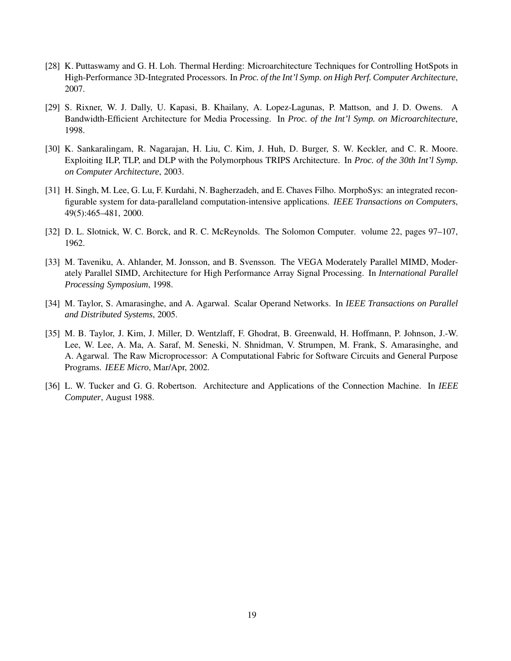- [28] K. Puttaswamy and G. H. Loh. Thermal Herding: Microarchitecture Techniques for Controlling HotSpots in High-Performance 3D-Integrated Processors. In *Proc. of the Int'l Symp. on High Perf. Computer Architecture*, 2007.
- [29] S. Rixner, W. J. Dally, U. Kapasi, B. Khailany, A. Lopez-Lagunas, P. Mattson, and J. D. Owens. A Bandwidth-Efficient Architecture for Media Processing. In *Proc. of the Int'l Symp. on Microarchitecture*, 1998.
- [30] K. Sankaralingam, R. Nagarajan, H. Liu, C. Kim, J. Huh, D. Burger, S. W. Keckler, and C. R. Moore. Exploiting ILP, TLP, and DLP with the Polymorphous TRIPS Architecture. In *Proc. of the 30th Int'l Symp. on Computer Architecture*, 2003.
- [31] H. Singh, M. Lee, G. Lu, F. Kurdahi, N. Bagherzadeh, and E. Chaves Filho. MorphoSys: an integrated reconfigurable system for data-paralleland computation-intensive applications. *IEEE Transactions on Computers*, 49(5):465–481, 2000.
- [32] D. L. Slotnick, W. C. Borck, and R. C. McReynolds. The Solomon Computer. volume 22, pages 97–107, 1962.
- [33] M. Taveniku, A. Ahlander, M. Jonsson, and B. Svensson. The VEGA Moderately Parallel MIMD, Moderately Parallel SIMD, Architecture for High Performance Array Signal Processing. In *International Parallel Processing Symposium*, 1998.
- [34] M. Taylor, S. Amarasinghe, and A. Agarwal. Scalar Operand Networks. In *IEEE Transactions on Parallel and Distributed Systems*, 2005.
- [35] M. B. Taylor, J. Kim, J. Miller, D. Wentzlaff, F. Ghodrat, B. Greenwald, H. Hoffmann, P. Johnson, J.-W. Lee, W. Lee, A. Ma, A. Saraf, M. Seneski, N. Shnidman, V. Strumpen, M. Frank, S. Amarasinghe, and A. Agarwal. The Raw Microprocessor: A Computational Fabric for Software Circuits and General Purpose Programs. *IEEE Micro*, Mar/Apr, 2002.
- [36] L. W. Tucker and G. G. Robertson. Architecture and Applications of the Connection Machine. In *IEEE Computer*, August 1988.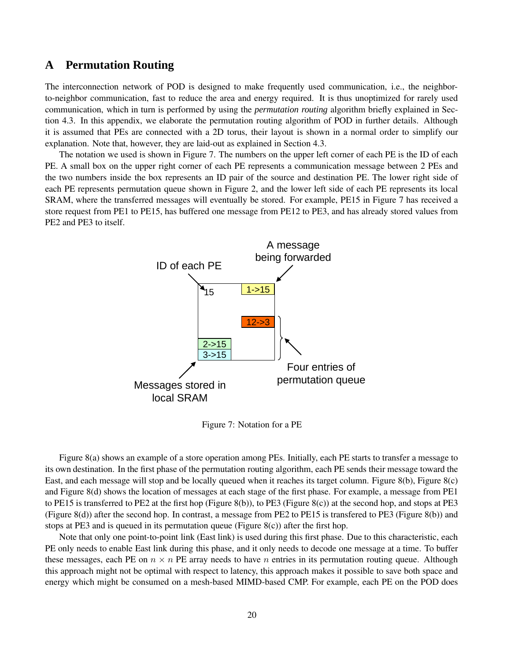## **A Permutation Routing**

The interconnection network of POD is designed to make frequently used communication, i.e., the neighborto-neighbor communication, fast to reduce the area and energy required. It is thus unoptimized for rarely used communication, which in turn is performed by using the *permutation routing* algorithm briefly explained in Section 4.3. In this appendix, we elaborate the permutation routing algorithm of POD in further details. Although it is assumed that PEs are connected with a 2D torus, their layout is shown in a normal order to simplify our explanation. Note that, however, they are laid-out as explained in Section 4.3.

The notation we used is shown in Figure 7. The numbers on the upper left corner of each PE is the ID of each PE. A small box on the upper right corner of each PE represents a communication message between 2 PEs and the two numbers inside the box represents an ID pair of the source and destination PE. The lower right side of each PE represents permutation queue shown in Figure 2, and the lower left side of each PE represents its local SRAM, where the transferred messages will eventually be stored. For example, PE15 in Figure 7 has received a store request from PE1 to PE15, has buffered one message from PE12 to PE3, and has already stored values from PE2 and PE3 to itself.



Figure 7: Notation for a PE

Figure 8(a) shows an example of a store operation among PEs. Initially, each PE starts to transfer a message to its own destination. In the first phase of the permutation routing algorithm, each PE sends their message toward the East, and each message will stop and be locally queued when it reaches its target column. Figure 8(b), Figure 8(c) and Figure 8(d) shows the location of messages at each stage of the first phase. For example, a message from PE1 to PE15 is transferred to PE2 at the first hop (Figure 8(b)), to PE3 (Figure 8(c)) at the second hop, and stops at PE3 (Figure 8(d)) after the second hop. In contrast, a message from PE2 to PE15 is transfered to PE3 (Figure 8(b)) and stops at PE3 and is queued in its permutation queue (Figure  $8(c)$ ) after the first hop.

Note that only one point-to-point link (East link) is used during this first phase. Due to this characteristic, each PE only needs to enable East link during this phase, and it only needs to decode one message at a time. To buffer these messages, each PE on  $n \times n$  PE array needs to have n entries in its permutation routing queue. Although this approach might not be optimal with respect to latency, this approach makes it possible to save both space and energy which might be consumed on a mesh-based MIMD-based CMP. For example, each PE on the POD does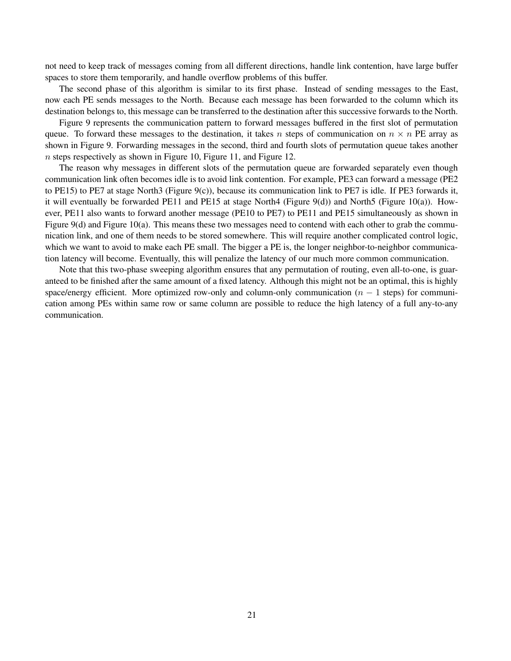not need to keep track of messages coming from all different directions, handle link contention, have large buffer spaces to store them temporarily, and handle overflow problems of this buffer.

The second phase of this algorithm is similar to its first phase. Instead of sending messages to the East, now each PE sends messages to the North. Because each message has been forwarded to the column which its destination belongs to, this message can be transferred to the destination after this successive forwards to the North.

Figure 9 represents the communication pattern to forward messages buffered in the first slot of permutation queue. To forward these messages to the destination, it takes n steps of communication on  $n \times n$  PE array as shown in Figure 9. Forwarding messages in the second, third and fourth slots of permutation queue takes another n steps respectively as shown in Figure 10, Figure 11, and Figure 12.

The reason why messages in different slots of the permutation queue are forwarded separately even though communication link often becomes idle is to avoid link contention. For example, PE3 can forward a message (PE2 to PE15) to PE7 at stage North3 (Figure 9(c)), because its communication link to PE7 is idle. If PE3 forwards it, it will eventually be forwarded PE11 and PE15 at stage North4 (Figure 9(d)) and North5 (Figure 10(a)). However, PE11 also wants to forward another message (PE10 to PE7) to PE11 and PE15 simultaneously as shown in Figure 9(d) and Figure 10(a). This means these two messages need to contend with each other to grab the communication link, and one of them needs to be stored somewhere. This will require another complicated control logic, which we want to avoid to make each PE small. The bigger a PE is, the longer neighbor-to-neighbor communication latency will become. Eventually, this will penalize the latency of our much more common communication.

Note that this two-phase sweeping algorithm ensures that any permutation of routing, even all-to-one, is guaranteed to be finished after the same amount of a fixed latency. Although this might not be an optimal, this is highly space/energy efficient. More optimized row-only and column-only communication ( $n - 1$  steps) for communication among PEs within same row or same column are possible to reduce the high latency of a full any-to-any communication.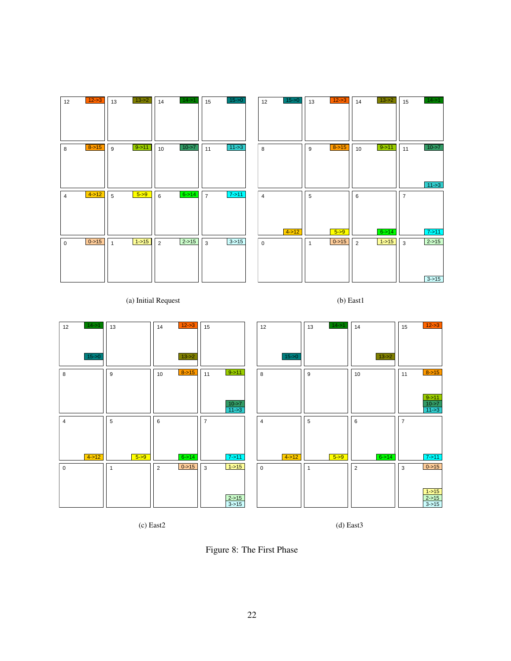| 12             | $12 - 3$   | 13           | $13 - 2$ | 14             | $14 - 51$  | 15             | $15 - 0$ | 12             | $15 - 0$   | 13           | $12 - 3$   | 14             | $13 - 2$   | 15             | $14 - 51$  |
|----------------|------------|--------------|----------|----------------|------------|----------------|----------|----------------|------------|--------------|------------|----------------|------------|----------------|------------|
|                |            |              |          |                |            |                |          |                |            |              |            |                |            |                |            |
|                |            |              |          |                |            |                |          |                |            |              |            |                |            |                |            |
|                |            |              |          |                |            |                |          |                |            |              |            |                |            |                |            |
| 8              | $8 - 15$   | 9            | $9 - 11$ | 10             | $10 - 57$  | 11             | $11 - 3$ | 8              |            | 9            | $8 - 15$   | 10             | $9 - 11$   | 11             | $10 - 57$  |
|                |            |              |          |                |            |                |          |                |            |              |            |                |            |                |            |
|                |            |              |          |                |            |                |          |                |            |              |            |                |            |                |            |
|                |            |              |          |                |            |                |          |                |            |              |            |                |            |                |            |
|                |            |              |          |                |            |                |          |                |            |              |            |                |            |                | $11 - 3$   |
| $\overline{4}$ | $4 - 12$   | 5            | $5 - 9$  | 6              | $6 - > 14$ | $\overline{7}$ | $7 - 11$ | $\overline{4}$ |            | 5            |            | 6              |            | $\overline{7}$ |            |
|                |            |              |          |                |            |                |          |                |            |              |            |                |            |                |            |
|                |            |              |          |                |            |                |          |                |            |              |            |                |            |                |            |
|                |            |              |          |                |            |                |          |                | $4 - > 12$ |              | $5 - 9$    |                | $6 - 14$   |                | $7 - 11$   |
| $\mathbf 0$    | $0 - > 15$ | $\mathbf{1}$ | $1 - 15$ | $\overline{2}$ | $2 - > 15$ | $\mathbf{3}$   | $3 - 15$ | $\mathbf{0}$   |            | $\mathbf{1}$ | $0 - > 15$ | $\overline{2}$ | $1 - > 15$ | $\mathbf{3}$   | $2 - > 15$ |
|                |            |              |          |                |            |                |          |                |            |              |            |                |            |                |            |
|                |            |              |          |                |            |                |          |                |            |              |            |                |            |                |            |
|                |            |              |          |                |            |                |          |                |            |              |            |                |            |                |            |
|                |            |              |          |                |            |                |          |                |            |              |            |                |            |                | $3 - 15$   |

(a) Initial Request

(b) East1



(c) East2

(d) East3

Figure 8: The First Phase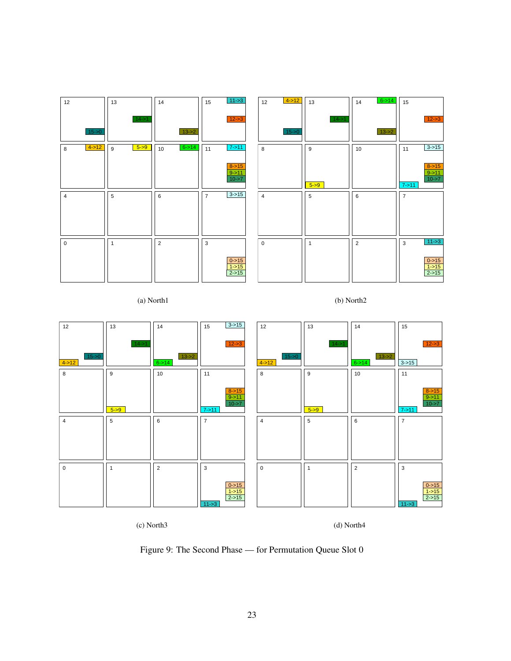| 12             | 13           | 14               | $11 - 3$<br>15             | $4 - > 12$<br>12 | 13           | $6 - > 14$<br>14 | 15                               |
|----------------|--------------|------------------|----------------------------|------------------|--------------|------------------|----------------------------------|
|                | $14 - 51$    |                  | $12 - 3$                   |                  | $14 - 51$    |                  | $12 - 3$                         |
| $15 - 50$      |              | $13 - 2$         |                            | $15 - 0$         |              | $13 - 2$         |                                  |
| $4 - 12$<br>8  | $5 - 9$<br>9 | $6 - > 14$<br>10 | $7 - 11$<br>11             | 8                | 9            | 10               | $3 - 15$<br>11                   |
|                |              |                  | $8 - 15$                   |                  |              |                  | $8 - > 15$                       |
|                |              |                  | $\frac{9}{2}$ ->11         |                  | $5 - 9$      |                  | $9 - 11$<br>$10 - 7$<br>$7 - 11$ |
| $\overline{4}$ | 5            | 6                | $3 - 15$<br>$\overline{7}$ | $\overline{4}$   | 5            | 6                | $\overline{7}$                   |
|                |              |                  |                            |                  |              |                  |                                  |
|                |              |                  |                            |                  |              |                  |                                  |
|                |              |                  |                            |                  |              |                  |                                  |
| $\mathsf 0$    | $\mathbf{1}$ | $\overline{2}$   | $\mathbf{3}$               | $\pmb{0}$        | $\mathbf{1}$ | $\overline{2}$   | $11 - 3$<br>3                    |
|                |              |                  | $0 - > 15$                 |                  |              |                  | $0 - 15$                         |
|                |              |                  | $1 - > 15$<br>$2 - > 15$   |                  |              |                  | $1 - 15$<br>$2 - > 15$           |
|                |              |                  |                            |                  |              |                  |                                  |

(a) North1





(c) North3

(d) North4

Figure 9: The Second Phase — for Permutation Queue Slot 0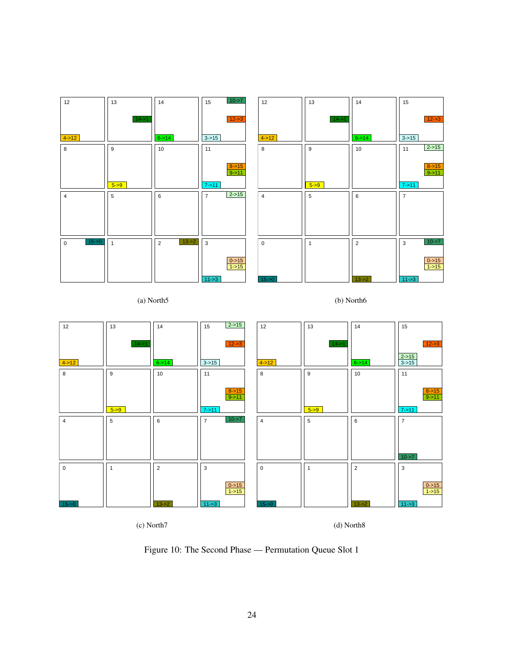| 12                      | 13               | 14                         | $10 - 57$<br>15            | 12             | 13             | 14             | 15                      |
|-------------------------|------------------|----------------------------|----------------------------|----------------|----------------|----------------|-------------------------|
|                         | $14 - 1$         |                            | $12 - 3$                   |                | $14 - 51$      |                | $12 - 3$                |
| $4 - 12$                |                  | $6 - > 14$                 | $3 - 15$                   | $4 - 12$       |                | $6 - > 14$     | $3 - 15$                |
| 8                       | $\boldsymbol{9}$ | 10                         | 11                         | 8              | 9              | 10             | $2 - > 15$<br>11        |
|                         |                  |                            | $\frac{8 - 15}{9 - 11}$    |                |                |                | $\frac{8 - 15}{9 - 11}$ |
|                         | $5 - 9$          |                            | $7 - 11$                   |                | $5 - 9$        |                | $7 - 11$                |
| $\overline{4}$          | 5                | 6                          | $2 - 15$<br>$\overline{7}$ | $\overline{4}$ | $\sqrt{5}$     | 6              | $\overline{7}$          |
|                         |                  |                            |                            |                |                |                |                         |
|                         |                  |                            |                            |                |                |                |                         |
|                         |                  |                            |                            |                |                |                |                         |
| $15 - 0$<br>$\mathsf 0$ | $\overline{1}$   | $13 - 2$<br>$\overline{2}$ | $\mathbf{3}$               | $\mathsf 0$    | $\overline{1}$ | $\overline{2}$ | $10 - 57$<br>3          |
|                         |                  |                            | $rac{0}{1}$ ->15           |                |                |                | $0 - 15$<br>$1 - 15$    |
|                         |                  |                            | $11 - 3$                   | $15 - 50$      |                | $13 - 2$       | $11 - 3$                |

(a) North5

(b) North6



(c) North7

(d) North8

Figure 10: The Second Phase — Permutation Queue Slot 1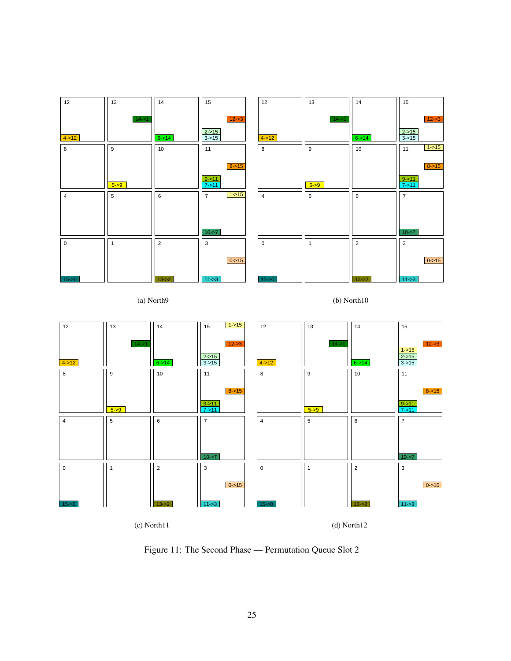| 12             | 13               | 14             | 15                           | 12             | 13           | 14             | 15                    |
|----------------|------------------|----------------|------------------------------|----------------|--------------|----------------|-----------------------|
|                | $14 - 51$        |                | $12 - 3$                     |                | $14 - 51$    |                | $12 - 3$              |
| $4 - 12$       |                  | $6 - > 14$     | $\frac{2-515}{3-515}$        | $4 - 12$       |              | $6 - > 14$     | $\frac{2-515}{3-515}$ |
| 8              | $\boldsymbol{9}$ | 10             | 11                           | 8              | 9            | 10             | $1 - > 15$<br>11      |
|                |                  |                | $8 - 15$                     |                |              |                | $8 - 15$              |
|                | $5 - 9$          |                | $9 - 11$<br>$7 - 11$         |                | $5 - 9$      |                | $\frac{9}{2}$ ->11    |
| $\overline{4}$ | $\overline{5}$   | 6              | $1 - > 15$<br>$\overline{7}$ | $\overline{4}$ | 5            | 6              | $\overline{7}$        |
|                |                  |                |                              |                |              |                |                       |
|                |                  |                | $10 - 57$                    |                |              |                | $10 - 7$              |
| $\mathsf 0$    | $\mathbf{1}$     | $\overline{2}$ | 3                            | $\mathsf 0$    | $\mathbf{1}$ | $\overline{2}$ | 3                     |
|                |                  |                | $0 - > 15$                   |                |              |                | $0 - 15$              |
| $15 - 50$      |                  | $13 - 2$       | $11 - 3$                     | $15 - 0$       |              | $13 - 2$       | $11 - 3$              |

(a) North9

(b) North10



(c) North11

(d) North12

Figure 11: The Second Phase — Permutation Queue Slot 2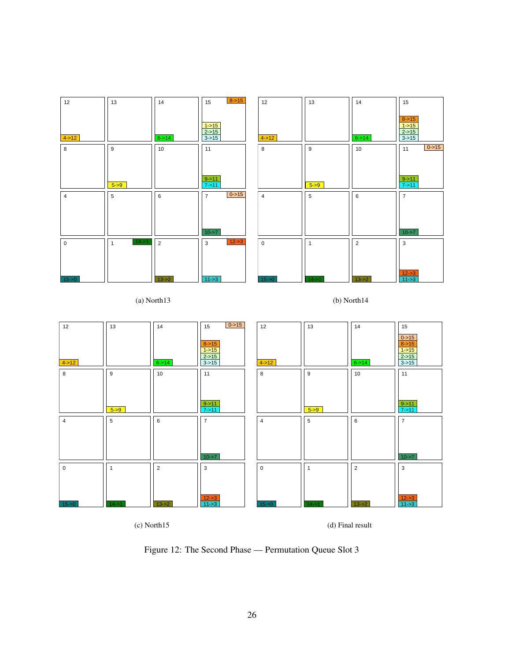| 12          | 13                        | 14         | $8 - 15$<br>15                   | 12             | 13        | 14             | 15                                           |
|-------------|---------------------------|------------|----------------------------------|----------------|-----------|----------------|----------------------------------------------|
| $4 - 12$    |                           | $6 - > 14$ | $1 - 15$<br>$2 - 15$<br>$3 - 15$ | $4 - 12$       |           | $6 - > 14$     | $8 - 15$<br>$1 - 15$<br>$2 - 15$<br>$3 - 15$ |
| 8           | 9                         | 10         | 11                               | 8              | 9         | 10             | $0 - 15$<br>11                               |
|             |                           |            |                                  |                |           |                |                                              |
|             | $5 - 9$                   |            | $9 - 11$<br>$7 - 11$             |                | $5 - 9$   |                | $9 - 11$<br>$7 - 11$                         |
| 4           | $5\phantom{.0}$           | 6          | $0 - 15$<br>$\overline{7}$       | $\overline{4}$ | 5         | 6              | $\overline{7}$                               |
|             |                           |            |                                  |                |           |                |                                              |
|             |                           |            | $10 - 57$                        |                |           |                | $10 - 57$                                    |
| $\mathsf 0$ | $14 - 51$<br>$\mathbf{1}$ | 2          | $12 - 3$<br>3                    | $\mathbf 0$    | 1         | $\overline{2}$ | 3                                            |
|             |                           |            |                                  |                |           |                |                                              |
| $15 - 50$   |                           | $13 - 2$   | $11 - 3$                         | $15 - 50$      | $14 - 51$ | $13 - 2$       | $12 - 3$<br>$11 - 3$                         |

(a) North13

(b) North14



(c) North15

(d) Final result

Figure 12: The Second Phase — Permutation Queue Slot 3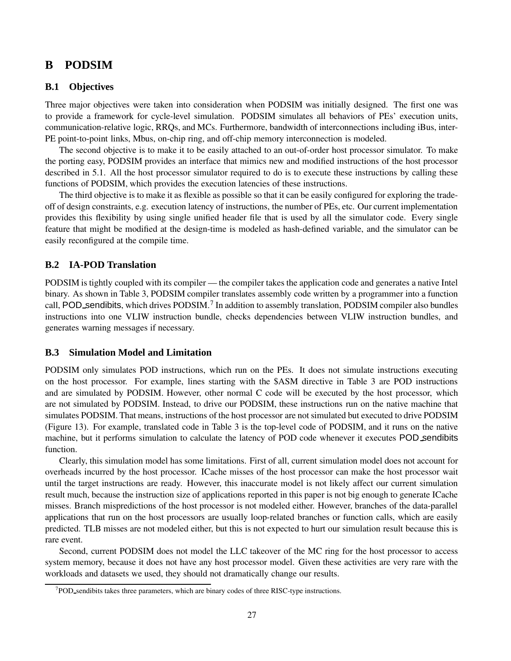# **B PODSIM**

## **B.1 Objectives**

Three major objectives were taken into consideration when PODSIM was initially designed. The first one was to provide a framework for cycle-level simulation. PODSIM simulates all behaviors of PEs' execution units, communication-relative logic, RRQs, and MCs. Furthermore, bandwidth of interconnections including iBus, inter-PE point-to-point links, Mbus, on-chip ring, and off-chip memory interconnection is modeled.

The second objective is to make it to be easily attached to an out-of-order host processor simulator. To make the porting easy, PODSIM provides an interface that mimics new and modified instructions of the host processor described in 5.1. All the host processor simulator required to do is to execute these instructions by calling these functions of PODSIM, which provides the execution latencies of these instructions.

The third objective is to make it as flexible as possible so that it can be easily configured for exploring the tradeoff of design constraints, e.g. execution latency of instructions, the number of PEs, etc. Our current implementation provides this flexibility by using single unified header file that is used by all the simulator code. Every single feature that might be modified at the design-time is modeled as hash-defined variable, and the simulator can be easily reconfigured at the compile time.

## **B.2 IA-POD Translation**

PODSIM is tightly coupled with its compiler — the compiler takes the application code and generates a native Intel binary. As shown in Table 3, PODSIM compiler translates assembly code written by a programmer into a function call, POD sendibits, which drives PODSIM.<sup>7</sup> In addition to assembly translation, PODSIM compiler also bundles instructions into one VLIW instruction bundle, checks dependencies between VLIW instruction bundles, and generates warning messages if necessary.

#### **B.3 Simulation Model and Limitation**

PODSIM only simulates POD instructions, which run on the PEs. It does not simulate instructions executing on the host processor. For example, lines starting with the \$ASM directive in Table 3 are POD instructions and are simulated by PODSIM. However, other normal C code will be executed by the host processor, which are not simulated by PODSIM. Instead, to drive our PODSIM, these instructions run on the native machine that simulates PODSIM. That means, instructions of the host processor are not simulated but executed to drive PODSIM (Figure 13). For example, translated code in Table 3 is the top-level code of PODSIM, and it runs on the native machine, but it performs simulation to calculate the latency of POD code whenever it executes POD sendibits function.

Clearly, this simulation model has some limitations. First of all, current simulation model does not account for overheads incurred by the host processor. ICache misses of the host processor can make the host processor wait until the target instructions are ready. However, this inaccurate model is not likely affect our current simulation result much, because the instruction size of applications reported in this paper is not big enough to generate ICache misses. Branch mispredictions of the host processor is not modeled either. However, branches of the data-parallel applications that run on the host processors are usually loop-related branches or function calls, which are easily predicted. TLB misses are not modeled either, but this is not expected to hurt our simulation result because this is rare event.

Second, current PODSIM does not model the LLC takeover of the MC ring for the host processor to access system memory, because it does not have any host processor model. Given these activities are very rare with the workloads and datasets we used, they should not dramatically change our results.

 $7$ POD sendibits takes three parameters, which are binary codes of three RISC-type instructions.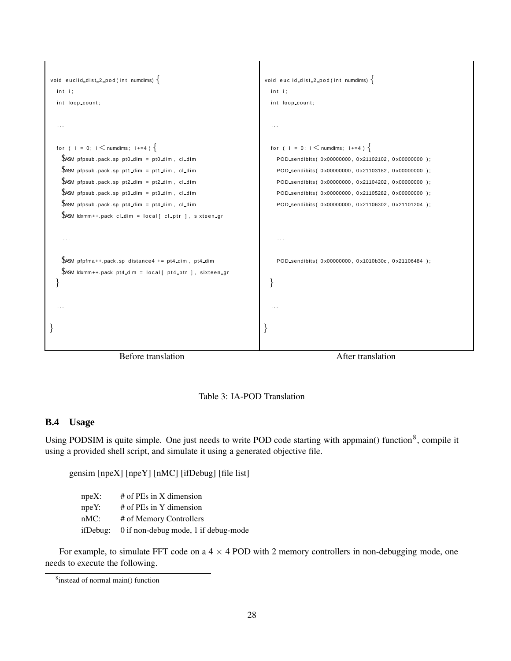



# **B.4 Usage**

Using PODSIM is quite simple. One just needs to write POD code starting with appmain() function<sup>8</sup>, compile it using a provided shell script, and simulate it using a generated objective file.

gensim [npeX] [npeY] [nMC] [ifDebug] [file list]

npeX: # of PEs in X dimension npeY: # of PEs in Y dimension nMC: # of Memory Controllers ifDebug: 0 if non-debug mode, 1 if debug-mode

For example, to simulate FFT code on a  $4 \times 4$  POD with 2 memory controllers in non-debugging mode, one needs to execute the following.

<sup>8</sup> instead of normal main() function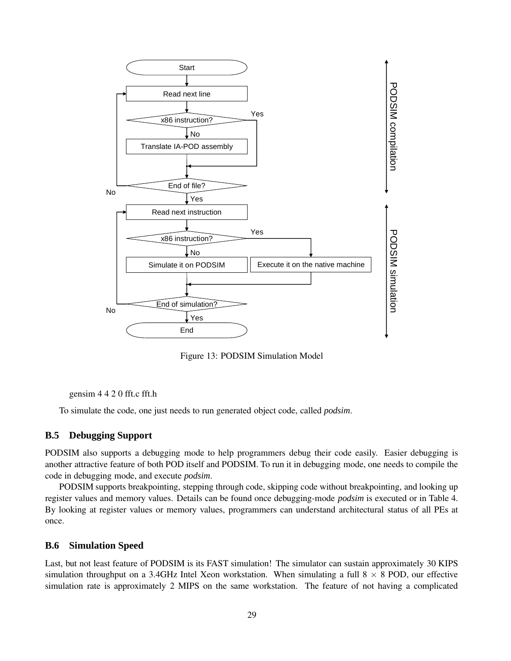

Figure 13: PODSIM Simulation Model

gensim 4 4 2 0 fft.c fft.h

To simulate the code, one just needs to run generated object code, called *podsim*.

## **B.5 Debugging Support**

PODSIM also supports a debugging mode to help programmers debug their code easily. Easier debugging is another attractive feature of both POD itself and PODSIM. To run it in debugging mode, one needs to compile the code in debugging mode, and execute *podsim*.

PODSIM supports breakpointing, stepping through code, skipping code without breakpointing, and looking up register values and memory values. Details can be found once debugging-mode *podsim* is executed or in Table 4. By looking at register values or memory values, programmers can understand architectural status of all PEs at once.

#### **B.6 Simulation Speed**

Last, but not least feature of PODSIM is its FAST simulation! The simulator can sustain approximately 30 KIPS simulation throughput on a 3.4GHz Intel Xeon workstation. When simulating a full  $8 \times 8$  POD, our effective simulation rate is approximately 2 MIPS on the same workstation. The feature of not having a complicated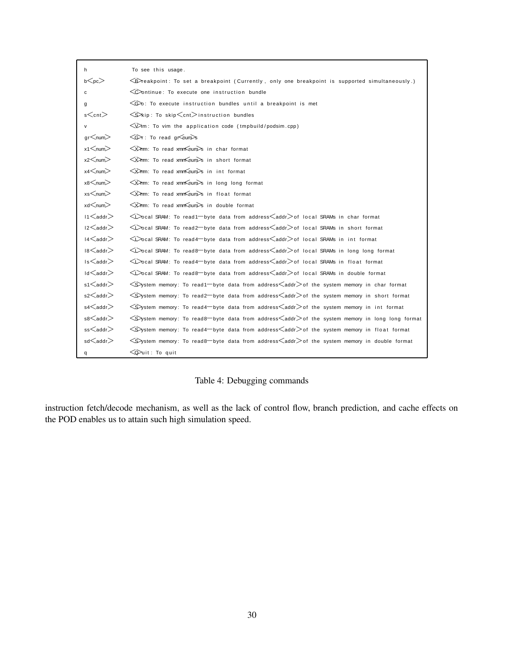| h                    | To see this usage.                                                                                                                                                                                                                                                 |  |  |  |  |  |  |  |  |
|----------------------|--------------------------------------------------------------------------------------------------------------------------------------------------------------------------------------------------------------------------------------------------------------------|--|--|--|--|--|--|--|--|
| $b$ $\leq$ pc $>$    | $\bigotimes$ reakpoint: To set a breakpoint (Currently, only one breakpoint is supported simultaneously.)                                                                                                                                                          |  |  |  |  |  |  |  |  |
| c                    | $\bigcirc$ ontinue: To execute one instruction bundle                                                                                                                                                                                                              |  |  |  |  |  |  |  |  |
| g                    | $\bigcirc$ : To execute instruction bundles until a breakpoint is met                                                                                                                                                                                              |  |  |  |  |  |  |  |  |
| $s$ $\leq$ cnt $>$   | $\leq$ kip: To skip $\leq$ cnt $>$ instruction bundles                                                                                                                                                                                                             |  |  |  |  |  |  |  |  |
| $\mathsf{v}$         | $\bigotimes$ m: To vim the application code (tmpbuild/podsim.cpp)                                                                                                                                                                                                  |  |  |  |  |  |  |  |  |
| $gr<$ num $>$        | $\leq$ $\leq$ $\leq$ $\leq$ $\leq$ $\leq$ $\leq$ $\leq$ $\leq$ $\leq$ $\leq$ $\leq$ $\leq$ $\leq$ $\leq$ $\leq$ $\leq$ $\leq$ $\leq$ $\leq$ $\leq$ $\leq$ $\leq$ $\leq$ $\leq$ $\leq$ $\leq$ $\leq$ $\leq$ $\leq$ $\leq$ $\leq$ $\leq$ $\leq$ $\leq$ $\leq$ $\leq$ |  |  |  |  |  |  |  |  |
|                      | $\leq$ $\geq$ $\geq$ $\geq$ $\geq$ $\geq$ $\leq$ $\geq$ $\leq$ $\geq$ $\leq$ $\geq$ $\geq$ $\geq$ $\geq$ $\geq$ $\geq$ $\geq$ $\geq$ $\geq$ $\geq$ $\geq$ $\geq$ $\geq$ $\geq$ $\geq$ $\geq$ $\geq$ $\geq$ $\geq$ $\geq$ $\geq$ $\geq$ $\geq$ $\geq$ $\geq$ $\geq$ |  |  |  |  |  |  |  |  |
|                      | $\leq$ $\geq$ $\geq$ $\geq$ $\geq$ $\geq$ $\leq$ $\geq$ $\leq$ $\geq$ $\leq$ $\geq$ $\geq$ $\geq$ $\geq$ $\geq$ $\geq$ $\geq$ $\geq$ $\geq$ $\geq$ $\geq$ $\geq$ $\geq$ $\geq$ $\geq$ $\geq$ $\geq$ $\geq$ $\geq$ $\geq$ $\geq$ $\geq$ $\geq$ $\geq$ $\geq$ $\geq$ |  |  |  |  |  |  |  |  |
|                      | $\leq$ $\geq$ $\geq$ $\geq$ $\geq$ $\leq$ $\leq$ $\leq$ $\leq$ $\leq$ $\leq$ $\leq$ $\leq$ $\leq$ $\leq$ $\geq$ $\geq$ $\geq$ $\geq$ $\geq$ $\geq$ $\geq$ $\geq$ $\geq$ $\leq$ $\geq$ $\leq$ $\leq$ $\leq$ $\leq$ $\geq$ $\geq$ $\geq$ $\geq$ $\geq$ $\geq$ $\geq$ |  |  |  |  |  |  |  |  |
| $x8<$ num $>$        | <x>mm: To read xmm<num>s in long long format</num></x>                                                                                                                                                                                                             |  |  |  |  |  |  |  |  |
| xs <sub>num</sub>    | $\leq$ $\geq$ $\geq$ $\geq$ $\geq$ $\geq$ $\leq$ $\geq$ $\leq$ $\geq$ $\leq$ $\geq$ $\geq$ $\geq$ $\geq$ $\geq$ $\geq$ $\geq$ $\geq$ $\geq$ $\geq$ $\geq$ $\geq$ $\geq$ $\geq$ $\geq$ $\geq$ $\geq$ $\geq$ $\geq$ $\geq$ $\geq$ $\geq$ $\geq$ $\geq$ $\geq$ $\geq$ |  |  |  |  |  |  |  |  |
| $xd<$ num $>$        | $\leq$ $\geq$ $\geq$ $\geq$ $\geq$ $\geq$ $\leq$ $\geq$ $\leq$ $\geq$ $\geq$ $\geq$ $\geq$ $\geq$ $\geq$ $\geq$ $\geq$ $\geq$ $\geq$ $\geq$ $\geq$ $\geq$ $\geq$ $\geq$ $\geq$ $\geq$ $\geq$ $\geq$ $\geq$ $\geq$ $\geq$ $\geq$ $\geq$ $\geq$ $\geq$ $\geq$ $\geq$ |  |  |  |  |  |  |  |  |
| $11 \leq$ addr $>$   | ◯ ocal SRAM: To read1 byte data from address <addr>of local SRAMs in char format</addr>                                                                                                                                                                            |  |  |  |  |  |  |  |  |
| $12$ addr $>$        | ◇ Cocal SRAM: To read2 byte data from address addr>of local SRAMs in short format                                                                                                                                                                                  |  |  |  |  |  |  |  |  |
| $14$ $\leq$ addr $>$ | ◇ Cal SRAM: To read4—byte data from address <addr>of local SRAMs in int format</addr>                                                                                                                                                                              |  |  |  |  |  |  |  |  |
| $18$ $\leq$ addr $>$ | ◇ Cal SRAM: To read8-byte data from address addr>of local SRAMs in long long format                                                                                                                                                                                |  |  |  |  |  |  |  |  |
| $1s <$ addr $>$      | √>ocal SRAM: To read4—byte data from address <addr>of local SRAMs in float format</addr>                                                                                                                                                                           |  |  |  |  |  |  |  |  |
| $Id<$ addr $>$       | √ $\sim$ ocal SRAM: To read8—byte data from address∠addr>of local SRAMs in double format                                                                                                                                                                           |  |  |  |  |  |  |  |  |
| $\text{s1}$ addr $>$ | $\leq$ ystem memory: To read1-byte data from address $\leq$ addr $>$ of the system memory in char format                                                                                                                                                           |  |  |  |  |  |  |  |  |
| $s2$ addr $>$        | $\leq$ ystem memory: To read2—byte data from address $\leq$ addr $>$ of the system memory in short format                                                                                                                                                          |  |  |  |  |  |  |  |  |
| $s4$ addr $>$        | $\leq$ ystem memory: To read4-byte data from address $\leq$ addr $>$ of the system memory in int format                                                                                                                                                            |  |  |  |  |  |  |  |  |
| $s8$ addr $>$        | $\leq$ ystem memory: To read8-byte data from address $\leq$ addr $>$ of the system memory in long long format                                                                                                                                                      |  |  |  |  |  |  |  |  |
| ss <sub>addr</sub>   | $\leq$ ystem memory: To read4-byte data from address $\leq$ addr $>$ of the system memory in float format                                                                                                                                                          |  |  |  |  |  |  |  |  |
| $sd$ addr $>$        | $\leq$ ystem memory: To read8-byte data from address $\leq$ addr $>$ of the system memory in double format                                                                                                                                                         |  |  |  |  |  |  |  |  |
| q                    | $\bigotimes$ uit: To quit                                                                                                                                                                                                                                          |  |  |  |  |  |  |  |  |

Table 4: Debugging commands

instruction fetch/decode mechanism, as well as the lack of control flow, branch prediction, and cache effects on the POD enables us to attain such high simulation speed.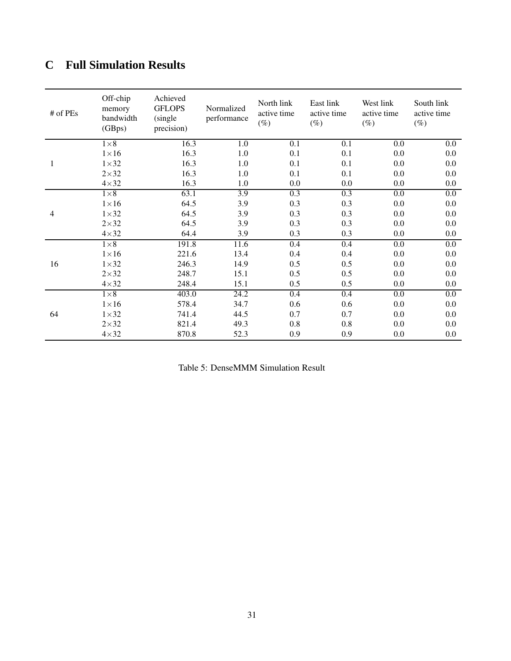# **C Full Simulation Results**

| # of PEs | Off-chip<br>memory<br>bandwidth<br>(GBps) | Achieved<br><b>GFLOPS</b><br>(single)<br>precision) | Normalized<br>performance | North link<br>active time<br>$(\%)$ | East link<br>active time<br>$(\%)$ | West link<br>active time<br>$(\%)$ | South link<br>active time<br>$(\%)$ |
|----------|-------------------------------------------|-----------------------------------------------------|---------------------------|-------------------------------------|------------------------------------|------------------------------------|-------------------------------------|
|          | $1\times 8$                               | 16.3                                                | 1.0                       | 0.1                                 | 0.1                                | 0.0                                | 0.0                                 |
|          | $1\times 16$                              | 16.3                                                | 1.0                       | 0.1                                 | 0.1                                | 0.0                                | 0.0                                 |
| 1        | $1\times32$                               | 16.3                                                | 1.0                       | 0.1                                 | 0.1                                | 0.0                                | 0.0                                 |
|          | $2\times32$                               | 16.3                                                | 1.0                       | 0.1                                 | 0.1                                | 0.0                                | 0.0                                 |
|          | $4\times32$                               | 16.3                                                | 1.0                       | 0.0                                 | 0.0                                | 0.0                                | 0.0                                 |
|          | $1\times8$                                | 63.1                                                | $\overline{3.9}$          | 0.3                                 | 0.3                                | 0.0                                | 0.0                                 |
|          | $1\times 16$                              | 64.5                                                | 3.9                       | 0.3                                 | 0.3                                | 0.0                                | 0.0                                 |
| 4        | $1\times32$                               | 64.5                                                | 3.9                       | 0.3                                 | 0.3                                | 0.0                                | 0.0                                 |
|          | $2\times32$                               | 64.5                                                | 3.9                       | 0.3                                 | 0.3                                | 0.0                                | 0.0                                 |
|          | $4\times32$                               | 64.4                                                | 3.9                       | 0.3                                 | 0.3                                | 0.0                                | 0.0                                 |
|          | $1\times8$                                | 191.8                                               | 11.6                      | 0.4                                 | $\overline{0.4}$                   | $\overline{0.0}$                   | 0.0                                 |
|          | $1\times 16$                              | 221.6                                               | 13.4                      | 0.4                                 | 0.4                                | 0.0                                | 0.0                                 |
| 16       | $1\times32$                               | 246.3                                               | 14.9                      | 0.5                                 | 0.5                                | 0.0                                | 0.0                                 |
|          | $2\times32$                               | 248.7                                               | 15.1                      | 0.5                                 | 0.5                                | 0.0                                | 0.0                                 |
|          | $4 \times 32$                             | 248.4                                               | 15.1                      | 0.5                                 | 0.5                                | 0.0                                | 0.0                                 |
|          | $1\times8$                                | 403.0                                               | 24.2                      | 0.4                                 | 0.4                                | 0.0                                | 0.0                                 |
|          | $1\times 16$                              | 578.4                                               | 34.7                      | 0.6                                 | 0.6                                | 0.0                                | 0.0                                 |
| 64       | $1\times32$                               | 741.4                                               | 44.5                      | 0.7                                 | 0.7                                | 0.0                                | 0.0                                 |
|          | $2\times32$                               | 821.4                                               | 49.3                      | 0.8                                 | 0.8                                | 0.0                                | 0.0                                 |
|          | $4\times32$                               | 870.8                                               | 52.3                      | 0.9                                 | 0.9                                | 0.0                                | 0.0                                 |

Table 5: DenseMMM Simulation Result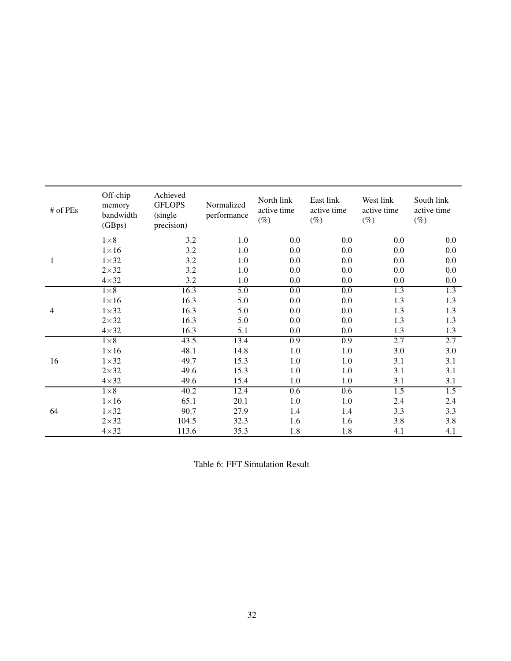| # of PEs     | Off-chip<br>memory<br>bandwidth<br>(GBps) | Achieved<br><b>GFLOPS</b><br>(single)<br>precision) | Normalized<br>performance | North link<br>active time<br>$(\%)$ | East link<br>active time<br>$(\%)$ | West link<br>active time<br>$(\%)$ | South link<br>active time<br>$(\%)$ |
|--------------|-------------------------------------------|-----------------------------------------------------|---------------------------|-------------------------------------|------------------------------------|------------------------------------|-------------------------------------|
|              | $1\times8$                                | 3.2                                                 | 1.0                       | 0.0                                 | 0.0                                | 0.0                                | 0.0                                 |
|              | $1\times 16$                              | 3.2                                                 | 1.0                       | 0.0                                 | 0.0                                | 0.0                                | 0.0                                 |
| $\mathbf{1}$ | $1\times32$                               | 3.2                                                 | $1.0\,$                   | 0.0                                 | $0.0\,$                            | 0.0                                | 0.0                                 |
|              | $2\times32$                               | 3.2                                                 | 1.0                       | 0.0                                 | 0.0                                | 0.0                                | 0.0                                 |
|              | $4\times32$                               | 3.2                                                 | 1.0                       | 0.0                                 | $0.0\,$                            | 0.0                                | 0.0                                 |
|              | $1\times8$                                | 16.3                                                | 5.0                       | $\overline{0.0}$                    | $\overline{0.0}$                   | 1.3                                | 1.3                                 |
|              | $1\times 16$                              | 16.3                                                | 5.0                       | 0.0                                 | 0.0                                | 1.3                                | 1.3                                 |
| 4            | $1\times32$                               | 16.3                                                | 5.0                       | 0.0                                 | 0.0                                | 1.3                                | 1.3                                 |
|              | $2\times32$                               | 16.3                                                | 5.0                       | 0.0                                 | 0.0                                | 1.3                                | 1.3                                 |
|              | $4\times32$                               | 16.3                                                | 5.1                       | 0.0                                 | $0.0\,$                            | 1.3                                | 1.3                                 |
|              | $1\times8$                                | 43.5                                                | 13.4                      | 0.9                                 | 0.9                                | 2.7                                | 2.7                                 |
|              | $1\times 16$                              | 48.1                                                | 14.8                      | 1.0                                 | 1.0                                | 3.0                                | 3.0                                 |
| 16           | $1\times32$                               | 49.7                                                | 15.3                      | 1.0                                 | 1.0                                | 3.1                                | 3.1                                 |
|              | $2\times32$                               | 49.6                                                | 15.3                      | 1.0                                 | 1.0                                | 3.1                                | 3.1                                 |
|              | $4\times32$                               | 49.6                                                | 15.4                      | 1.0                                 | 1.0                                | 3.1                                | 3.1                                 |
|              | $1\times8$                                | 40.2                                                | 12.4                      | 0.6                                 | 0.6                                | 1.5                                | 1.5                                 |
|              | $1\times 16$                              | 65.1                                                | 20.1                      | 1.0                                 | 1.0                                | 2.4                                | 2.4                                 |
| 64           | $1\times32$                               | 90.7                                                | 27.9                      | 1.4                                 | 1.4                                | 3.3                                | 3.3                                 |
|              | $2\times32$                               | 104.5                                               | 32.3                      | 1.6                                 | 1.6                                | 3.8                                | 3.8                                 |
|              | $4\times32$                               | 113.6                                               | 35.3                      | 1.8                                 | 1.8                                | 4.1                                | 4.1                                 |

Table 6: FFT Simulation Result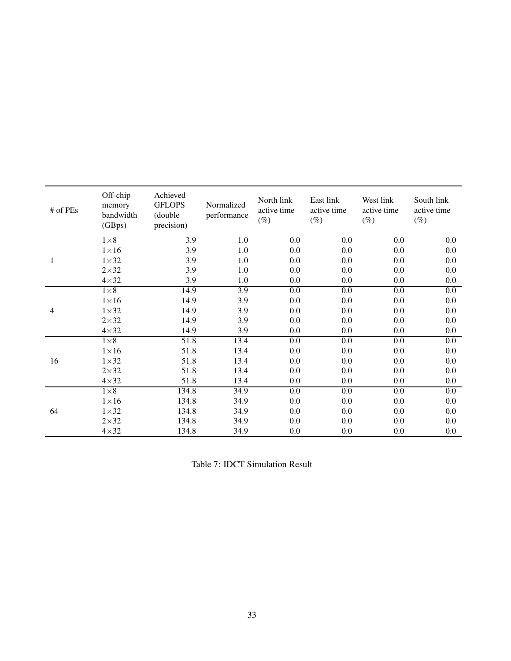| # of PEs | Off-chip<br>memory<br>bandwidth<br>(GBps) | Achieved<br><b>GFLOPS</b><br>(double<br>precision) | Normalized<br>performance | North link<br>active time<br>$(\%)$ | East link<br>active time<br>$(\%)$ | West link<br>active time<br>$(\%)$ | South link<br>active time<br>$(\%)$ |
|----------|-------------------------------------------|----------------------------------------------------|---------------------------|-------------------------------------|------------------------------------|------------------------------------|-------------------------------------|
|          | $1\times8$                                | 3.9                                                | 1.0                       | 0.0                                 | 0.0                                | 0.0                                | 0.0                                 |
|          | $1\times 16$                              | 3.9                                                | 1.0                       | 0.0                                 | 0.0                                | 0.0                                | 0.0                                 |
| 1        | $1\times32$                               | 3.9                                                | $1.0\,$                   | 0.0                                 | 0.0                                | 0.0                                | 0.0                                 |
|          | $2\times32$                               | 3.9                                                | 1.0                       | 0.0                                 | 0.0                                | 0.0                                | 0.0                                 |
|          | $4\times32$                               | 3.9                                                | 1.0                       | 0.0                                 | 0.0                                | 0.0                                | 0.0                                 |
|          | $1\times8$                                | 14.9                                               | 3.9                       | $\overline{0.0}$                    | $0.0\,$                            | 0.0                                | $\overline{0.0}$                    |
|          | $1\times 16$                              | 14.9                                               | 3.9                       | 0.0                                 | 0.0                                | 0.0                                | 0.0                                 |
| 4        | $1\times32$                               | 14.9                                               | 3.9                       | 0.0                                 | $0.0\,$                            | 0.0                                | 0.0                                 |
|          | $2\times32$                               | 14.9                                               | 3.9                       | 0.0                                 | 0.0                                | 0.0                                | 0.0                                 |
|          | $4\times32$                               | 14.9                                               | 3.9                       | 0.0                                 | $0.0\,$                            | 0.0                                | 0.0                                 |
|          | $1\times8$                                | 51.8                                               | 13.4                      | $\overline{0.0}$                    | 0.0                                | $\overline{0.0}$                   | 0.0                                 |
|          | $1\times 16$                              | 51.8                                               | 13.4                      | 0.0                                 | 0.0                                | 0.0                                | 0.0                                 |
| 16       | $1\times32$                               | 51.8                                               | 13.4                      | 0.0                                 | 0.0                                | 0.0                                | 0.0                                 |
|          | $2\times32$                               | 51.8                                               | 13.4                      | 0.0                                 | 0.0                                | 0.0                                | 0.0                                 |
|          | $4\times32$                               | 51.8                                               | 13.4                      | 0.0                                 | 0.0                                | 0.0                                | 0.0                                 |
|          | $1\times8$                                | 134.8                                              | 34.9                      | $\overline{0.0}$                    | $\overline{0.0}$                   | $\overline{0.0}$                   | $\overline{0.0}$                    |
|          | $1\times 16$                              | 134.8                                              | 34.9                      | 0.0                                 | $0.0\,$                            | 0.0                                | 0.0                                 |
| 64       | $1\times32$                               | 134.8                                              | 34.9                      | 0.0                                 | 0.0                                | 0.0                                | 0.0                                 |
|          | $2\times32$                               | 134.8                                              | 34.9                      | 0.0                                 | $0.0\,$                            | 0.0                                | 0.0                                 |
|          | $4\times32$                               | 134.8                                              | 34.9                      | 0.0                                 | 0.0                                | 0.0                                | 0.0                                 |

Table 7: IDCT Simulation Result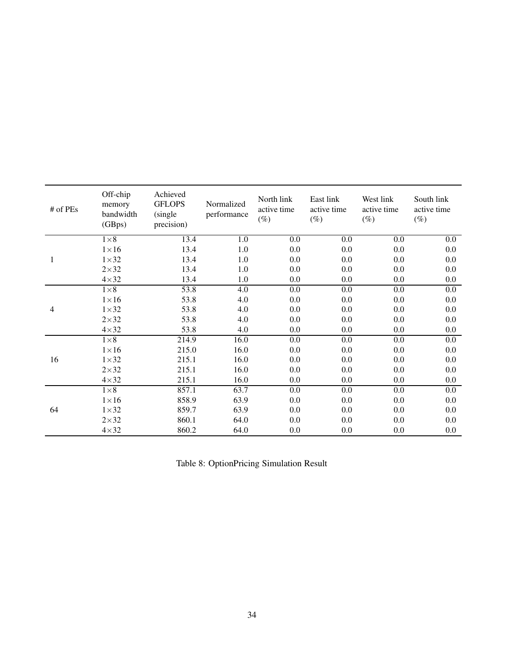| # of PEs | Off-chip<br>memory<br>bandwidth<br>(GBps) | Achieved<br><b>GFLOPS</b><br>(single)<br>precision) | Normalized<br>performance | North link<br>active time<br>$(\%)$ | East link<br>active time<br>$(\%)$ | West link<br>active time<br>$(\%)$ | South link<br>active time<br>$(\%)$ |
|----------|-------------------------------------------|-----------------------------------------------------|---------------------------|-------------------------------------|------------------------------------|------------------------------------|-------------------------------------|
|          | $1\times8$                                | 13.4                                                | $\overline{1.0}$          | 0.0                                 | $0.0\,$                            | 0.0                                | 0.0                                 |
|          | $1\times 16$                              | 13.4                                                | 1.0                       | 0.0                                 | 0.0                                | 0.0                                | 0.0                                 |
| 1        | $1\times32$                               | 13.4                                                | 1.0                       | 0.0                                 | 0.0                                | 0.0                                | 0.0                                 |
|          | $2\times32$                               | 13.4                                                | 1.0                       | 0.0                                 | 0.0                                | 0.0                                | 0.0                                 |
|          | $4\times32$                               | 13.4                                                | 1.0                       | 0.0                                 | 0.0                                | 0.0                                | 0.0                                 |
|          | $1\times8$                                | 53.8                                                | 4.0                       | 0.0                                 | $\overline{0.0}$                   | 0.0                                | 0.0                                 |
|          | $1\times 16$                              | 53.8                                                | 4.0                       | 0.0                                 | 0.0                                | 0.0                                | 0.0                                 |
| 4        | $1\times32$                               | 53.8                                                | 4.0                       | 0.0                                 | 0.0                                | 0.0                                | 0.0                                 |
|          | $2\times32$                               | 53.8                                                | 4.0                       | 0.0                                 | 0.0                                | 0.0                                | 0.0                                 |
|          | $4\times32$                               | 53.8                                                | 4.0                       | 0.0                                 | 0.0                                | 0.0                                | 0.0                                 |
|          | $1\times8$                                | 214.9                                               | 16.0                      | 0.0                                 | $0.0\,$                            | $\overline{0.0}$                   | 0.0                                 |
|          | $1\times 16$                              | 215.0                                               | 16.0                      | 0.0                                 | 0.0                                | 0.0                                | 0.0                                 |
| 16       | $1\times32$                               | 215.1                                               | 16.0                      | 0.0                                 | 0.0                                | 0.0                                | 0.0                                 |
|          | $2\times32$                               | 215.1                                               | 16.0                      | 0.0                                 | 0.0                                | 0.0                                | 0.0                                 |
|          | $4\times32$                               | 215.1                                               | 16.0                      | 0.0                                 | 0.0                                | 0.0                                | 0.0                                 |
|          | $1\times8$                                | 857.1                                               | 63.7                      | 0.0                                 | $\overline{0.0}$                   | 0.0                                | 0.0                                 |
|          | $1\times 16$                              | 858.9                                               | 63.9                      | 0.0                                 | 0.0                                | 0.0                                | 0.0                                 |
| 64       | $1\times32$                               | 859.7                                               | 63.9                      | 0.0                                 | 0.0                                | 0.0                                | 0.0                                 |
|          | $2\times32$                               | 860.1                                               | 64.0                      | 0.0                                 | 0.0                                | 0.0                                | 0.0                                 |
|          | $4\times32$                               | 860.2                                               | 64.0                      | 0.0                                 | 0.0                                | 0.0                                | 0.0                                 |

Table 8: OptionPricing Simulation Result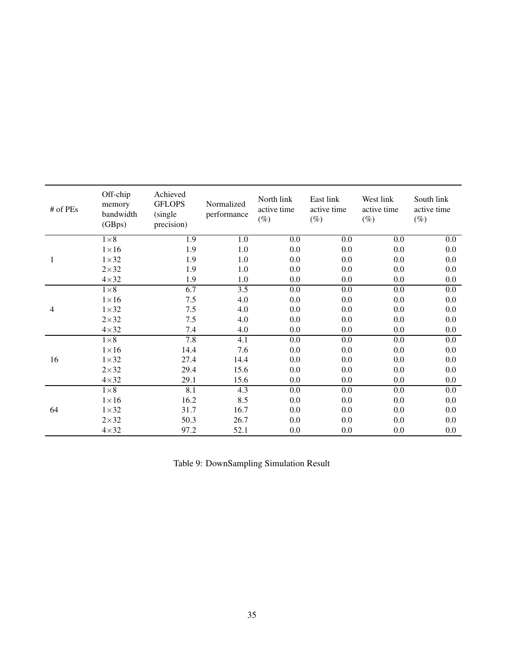| # of PEs | Off-chip<br>memory<br>bandwidth<br>(GBps) | Achieved<br><b>GFLOPS</b><br>(single)<br>precision) | Normalized<br>performance | North link<br>active time<br>$(\%)$ | East link<br>active time<br>$(\%)$ | West link<br>active time<br>$(\%)$ | South link<br>active time<br>$(\%)$ |
|----------|-------------------------------------------|-----------------------------------------------------|---------------------------|-------------------------------------|------------------------------------|------------------------------------|-------------------------------------|
| 1        | $1\times8$                                | 1.9                                                 | 1.0                       | 0.0                                 | 0.0                                | 0.0                                | $0.0\,$                             |
|          | $1\times 16$                              | 1.9                                                 | 1.0                       | 0.0                                 | 0.0                                | 0.0                                | 0.0                                 |
|          | $1\times32$                               | 1.9                                                 | $1.0\,$                   | 0.0                                 | $0.0\,$                            | 0.0                                | 0.0                                 |
|          | $2\times32$                               | 1.9                                                 | 1.0                       | 0.0                                 | $0.0\,$                            | 0.0                                | 0.0                                 |
|          | $4\times32$                               | 1.9                                                 | 1.0                       | 0.0                                 | $0.0\,$                            | 0.0                                | 0.0                                 |
| 4        | $1\times8$                                | 6.7                                                 | 3.5                       | $\overline{0.0}$                    | $\overline{0.0}$                   | $\overline{0.0}$                   | $\overline{0.0}$                    |
|          | $1\times 16$                              | 7.5                                                 | 4.0                       | 0.0                                 | $0.0\,$                            | 0.0                                | 0.0                                 |
|          | $1\times32$                               | 7.5                                                 | 4.0                       | 0.0                                 | $0.0\,$                            | 0.0                                | 0.0                                 |
|          | $2\times32$                               | 7.5                                                 | 4.0                       | 0.0                                 | 0.0                                | 0.0                                | 0.0                                 |
|          | $4 \times 32$                             | 7.4                                                 | 4.0                       | 0.0                                 | 0.0                                | 0.0                                | 0.0                                 |
| 16       | $1\times8$                                | 7.8                                                 | 4.1                       | 0.0                                 | $0.0\,$                            | $\overline{0.0}$                   | 0.0                                 |
|          | $1\times 16$                              | 14.4                                                | 7.6                       | 0.0                                 | 0.0                                | 0.0                                | 0.0                                 |
|          | $1\times32$                               | 27.4                                                | 14.4                      | 0.0                                 | $0.0\,$                            | 0.0                                | 0.0                                 |
|          | $2\times32$                               | 29.4                                                | 15.6                      | 0.0                                 | $0.0\,$                            | 0.0                                | 0.0                                 |
|          | $4\times32$                               | 29.1                                                | 15.6                      | 0.0                                 | 0.0                                | 0.0                                | 0.0                                 |
| 64       | $1\times8$                                | 8.1                                                 | 4.3                       | $\overline{0.0}$                    | $\overline{0.0}$                   | $\overline{0.0}$                   | $\overline{0.0}$                    |
|          | $1\times 16$                              | 16.2                                                | 8.5                       | 0.0                                 | $0.0\,$                            | 0.0                                | 0.0                                 |
|          | $1\times32$                               | 31.7                                                | 16.7                      | 0.0                                 | $0.0\,$                            | 0.0                                | 0.0                                 |
|          | $2\times32$                               | 50.3                                                | 26.7                      | 0.0                                 | 0.0                                | 0.0                                | 0.0                                 |
|          | $4\times32$                               | 97.2                                                | 52.1                      | 0.0                                 | 0.0                                | 0.0                                | 0.0                                 |

Table 9: DownSampling Simulation Result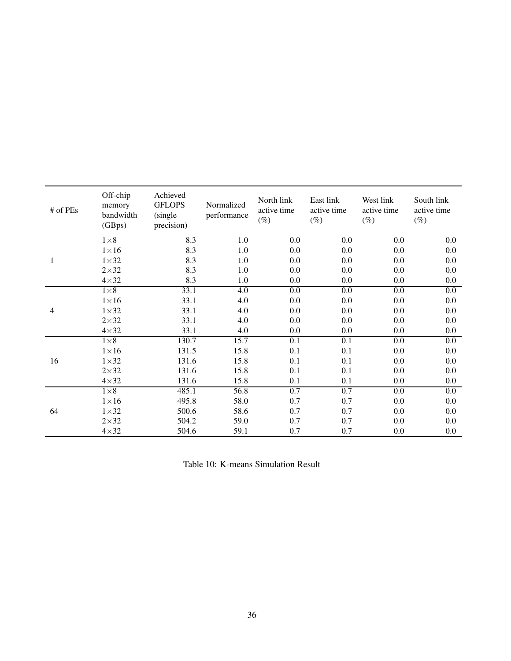| # of PEs | Off-chip<br>memory<br>bandwidth<br>(GBps) | Achieved<br><b>GFLOPS</b><br>(single)<br>precision) | Normalized<br>performance | North link<br>active time<br>$(\%)$ | East link<br>active time<br>$(\%)$ | West link<br>active time<br>$(\%)$ | South link<br>active time<br>$(\%)$ |
|----------|-------------------------------------------|-----------------------------------------------------|---------------------------|-------------------------------------|------------------------------------|------------------------------------|-------------------------------------|
| 1        | $1\times8$                                | 8.3                                                 | 1.0                       | 0.0                                 | 0.0                                | 0.0                                | $0.0\,$                             |
|          | $1\times 16$                              | 8.3                                                 | 1.0                       | 0.0                                 | 0.0                                | 0.0                                | 0.0                                 |
|          | $1\times32$                               | 8.3                                                 | 1.0                       | 0.0                                 | 0.0                                | 0.0                                | 0.0                                 |
|          | $2\times32$                               | 8.3                                                 | 1.0                       | 0.0                                 | 0.0                                | 0.0                                | 0.0                                 |
|          | $4\times32$                               | 8.3                                                 | 1.0                       | 0.0                                 | 0.0                                | 0.0                                | 0.0                                 |
| 4        | $1\times8$                                | 33.1                                                | $\overline{4.0}$          | $\overline{0.0}$                    | $\overline{0.0}$                   | $\overline{0.0}$                   | $\overline{0.0}$                    |
|          | $1\times 16$                              | 33.1                                                | 4.0                       | 0.0                                 | 0.0                                | 0.0                                | 0.0                                 |
|          | $1\times32$                               | 33.1                                                | 4.0                       | 0.0                                 | 0.0                                | 0.0                                | 0.0                                 |
|          | $2\times32$                               | 33.1                                                | 4.0                       | 0.0                                 | 0.0                                | 0.0                                | 0.0                                 |
|          | $4\times32$                               | 33.1                                                | 4.0                       | 0.0                                 | 0.0                                | 0.0                                | 0.0                                 |
| 16       | $1\times8$                                | 130.7                                               | 15.7                      | 0.1                                 | 0.1                                | $\overline{0.0}$                   | 0.0                                 |
|          | $1\times 16$                              | 131.5                                               | 15.8                      | 0.1                                 | 0.1                                | 0.0                                | 0.0                                 |
|          | $1\times32$                               | 131.6                                               | 15.8                      | 0.1                                 | 0.1                                | 0.0                                | 0.0                                 |
|          | $2\times32$                               | 131.6                                               | 15.8                      | 0.1                                 | 0.1                                | 0.0                                | 0.0                                 |
|          | $4\times32$                               | 131.6                                               | 15.8                      | 0.1                                 | 0.1                                | 0.0                                | 0.0                                 |
| 64       | $1\times8$                                | 485.1                                               | 56.8                      | 0.7                                 | 0.7                                | 0.0                                | 0.0                                 |
|          | $1\times 16$                              | 495.8                                               | 58.0                      | 0.7                                 | 0.7                                | 0.0                                | 0.0                                 |
|          | $1\times32$                               | 500.6                                               | 58.6                      | 0.7                                 | 0.7                                | 0.0                                | 0.0                                 |
|          | $2\times32$                               | 504.2                                               | 59.0                      | 0.7                                 | 0.7                                | 0.0                                | 0.0                                 |
|          | $4\times32$                               | 504.6                                               | 59.1                      | 0.7                                 | 0.7                                | 0.0                                | 0.0                                 |

Table 10: K-means Simulation Result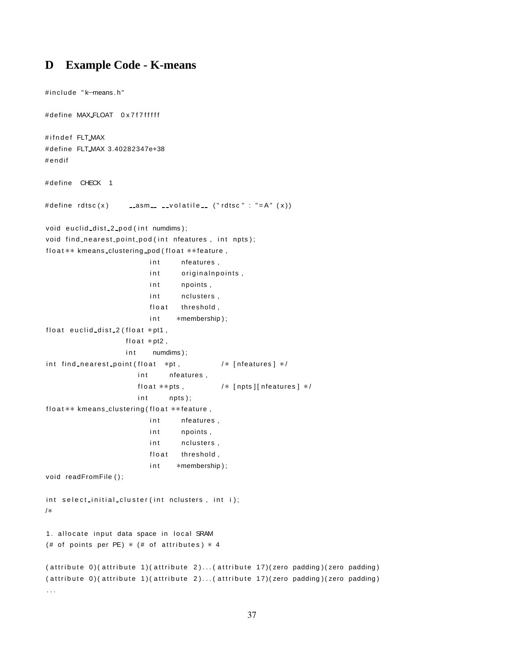# **D Example Code - K-means**

#include "k-means.h"

```
# define MAX FLOAT 0x7f7fffff
#ifndef FLT_MAX
# define FLT MAX 3.40282347e+38
#endif
# define CHECK 1
# define rdtsc(x) _______________volatile____ (" rdtsc " : "=A" (x))
void euclid_dist_2_pod(int numdims);
void find nearest point pod (int nfeatures, int npts);
float ** kmeans_clustering_pod (float ** feature,
                          int nfeatures,
                          int originalnpoints,
                          int npoints,
                          int nclusters,
                          float threshold,
                          int *membership);
float euclid_dist_2 (float *pt1,
                   float *pt2,
                   in t numdims);
int find nearest point (float *pt, /* [nfeatures] */
                       int nfeatures,
                      float **pts, /* [npts][nfeatures] */int npts);float ** kmeans_clustering (float ** feature,
                         int nfeatures,
                          int npoints,
                         int nclusters,
                          float threshold,
                          int *membership);
void readFromFile ();
int select initial cluster (int nclusters, int i);
/∗
1. allocate input data space in local SRAM
(# of points per PE) * (# of attributes) * 4
( attribute  0)( attribute  1)( attribute  2)...( attribute 17)(zero padding)(zero padding)( attribute  0)( attribute  1)( attribute  2)...( attribute 17)(zero padding)(zero padding). . .
```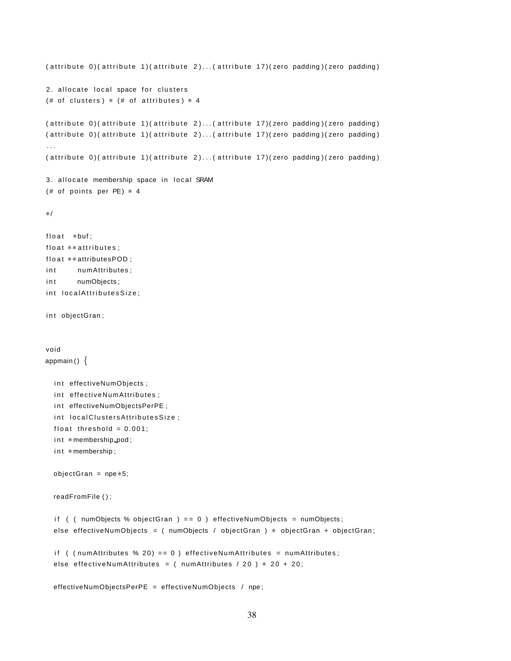```
( attribute 0)( attribute 1)( attribute 2)...( attribute 17)( zero padding)( zero padding)
2. allocate local space for clusters
(# of clusters) * (# of attributes) * 4
( attribute  0)( attribute  1)( attribute  2)...( attribute 17)(zero padding)(zero padding)( attribute  0)( attribute  1)( attribute  2)...( attribute 17)(zero padding)(zero padding). . .
( attribute  0)( attribute  1)( attribute  2)...( attribute 17)(zero padding)(zero padding)3. allocate membership space in local SRAM
(# of points per PE) * 4
∗/
float *buf:
float **attributes;
float **attributesPOD;
int numAttributes;
int numObjects;
int localAttributesSize;
int objectGran;
void
appmain () \{int effectiveNumObjects ;
  int effectiveNumAttributes ;
  int effectiveNumObjectsPerPE;
  int local Clusters Attributes Size;
  float threshold = 0.001;
  int *membership_pod;
  int *membership;
  objectGran = npe∗5;
  readFromFile ( ) ;
  if ( ( numObjects % objectGran ) == 0 ) effectiveNumObjects = numObjects;
  else effectiveNumObjects = ( numObjects / objectGran ) * objectGran + objectGran;
  if ( ( numAttributes % 20 = = 0 ) effectiveNumAttributes = numAttributes;
  else effectiveNumAttributes = ( numAttributes / 20 ) * 20 + 20;
  effectiveNumObjectsPerPE = effectiveNumObjects / npe ;
```

```
38
```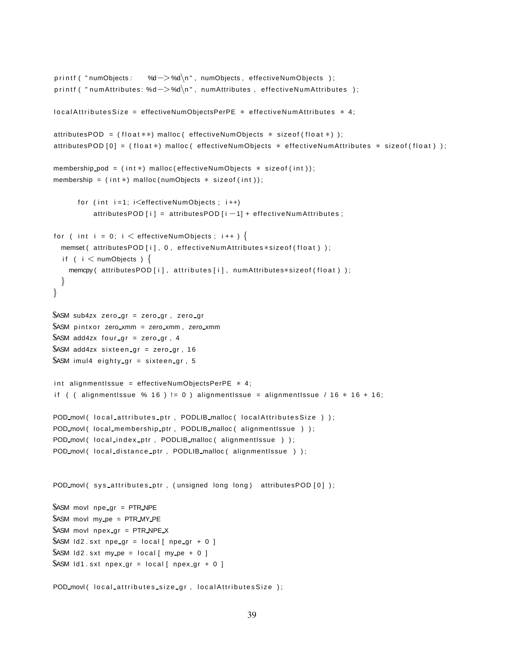```
printf ( "numObjects: %d->%d\n", numObjects, effectiveNumObjects );
printf ( " numAttributes: %d->%d\n", numAttributes, effectiveNumAttributes );
local Attributes Size = effective Num Objects PerPE * effective Num Attributes * 4;
attributesPOD = (float **) malloc ( effectiveNumObjects * sizeof (float *) );
attributesPOD [0] = (float *) malloc ( effectiveNumObjects * effectiveNumAttributes * sizeof (float ) );
membership pod = (int *) malloc ( effective NumObjects * size of (int ) );
membership = (int*) malloc(numObjects * sizeof(int));
      for (int i = 1; i \leqeffectiveNumObjects; i++)
          attributesPOD [i] = attribute POD [i - 1] + effectiveNumAttributes ;
for ( int i = 0; i < effectiveNumObjects; i++ ) {
  memset ( attributesPOD [ i ], 0, effectiveNumAttributes * size of (float ) );
  if ( i < numObjects ) \{memcpy ( attributesPOD [ i ], attributes [ i ], numAttributes*sizeof (float ) );
  }
}
$ASM sub4zx zero gr = zero gr, zero gr
$ASM pintxor zero_xmm = zero_xmm, zero_xmm
$ASM add4zx four gr = zero gr, 4
$ASM add4zx sixteen gr = zero gr, 16
$ASM imul4 eighty gr = sixteen gr, 5
int alignmentIssue = effectiveNumObjectsPerPE * 4;
if ( ( alignmentIssue % 16 ) != 0 ) alignmentIssue = alignmentIssue / 16 * 16 + 16;
POD movl ( local attributes ptr, PODLIB malloc ( local Attributes Size ) );
POD movl ( local membership ptr, PODLIB malloc ( alignmentIssue ) );
POD_movl( local_index_ptr, PODLIB_malloc( alignmentIssue ) );
POD movi ( local distance ptr, PODLIB malloc ( alignmentIssue ) );
POD_movl(sys_attributes_ptr, (unsigned long long) attributesPOD [0] );
$ASM movl npe gr = PTR NPE
$ASM movl my pe = PTR MY PE
$ASM movl npex gr = PTR NPE X
$ASM ld2 .sxt npe gr = local [ npe gr + 0 ]
$ASM Id2.sxt my pe = local [ my pe + 0 ]
$ASM ld1 .sxt npex gr = local [ npex gr + 0 ]
POD movl ( local attributes size gr, local Attributes Size );
```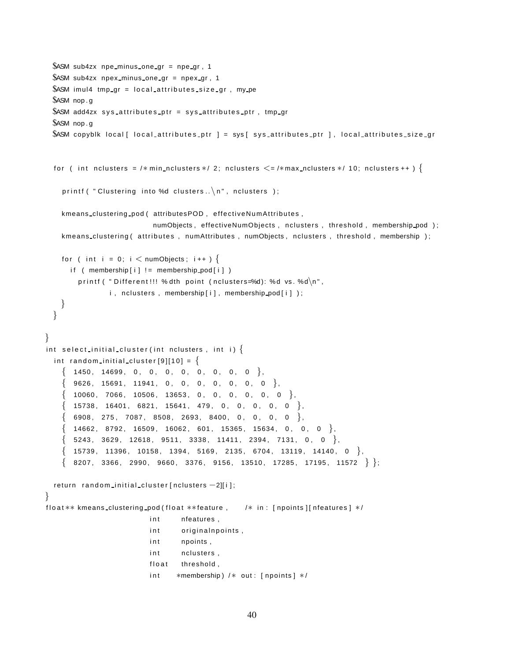```
$ASM sub4zx npe minus one gr = npe gr, 1
 $ASM sub4zx npex minus one gr = npex gr , 1
 $ASM imul4 tmp gr = local attributes size gr, my pe
 $ASM nop . g
 $ASM add4zx sys attributes ptr = sys attributes ptr, tmp gr
 $ASM nop . g
 $ASM copyblk local [ local_attributes_ptr ] = sys [ sys_attributes_ptr ], local_attributes_size_gr
 for ( int nclusters = /*min_nclusters */ 2; nclusters \leq =/*max_nclusters */ 10; nclusters ++ ) {
    printf ( " Clustering into %d clusters \ldots \backslash n", nclusters );
    kmeans clustering pod ( attributesPOD, effectiveNumAttributes,
                          numObjects, effectiveNumObjects, nclusters, threshold, membership_pod);
    kmeans_clustering ( attributes , numAttributes , numObjects, nclusters , threshold, membership );
   for ( int i = 0; i \lt numObjects; i++ ) {
      if ( membership [i] ! = membership pod[i] )
        printf ( " Different!!! % dth point (nclusters=%d): %d vs. %d\n\cdot",
               i, nclusters, membership [i], membership_pod [i]);
   }
 }
}
int select initial cluster (int nclusters, int i) \{int random initial cluster [9][10] = \{\{ 1450, 14699, 0, 0, 0, 0, 0, 0, 0, 0 \}\{9626, 15691, 11941, 0, 0, 0, 0, 0, 0, 0 \}\{ 10060, 7066, 10506, 13653, 0, 0, 0, 0, 0, 0 \},{15738, 16401, 6821, 15641, 479, 0, 0, 0, 0, 0}{6908, 275, 7087, 8508, 2693, 8400, 0, 0, 0, 0}\{ 14662, 8792, 16509, 16062, 601, 15365, 15634, 0, 0, 0 \},\{ 5243, 3629, 12618, 9511, 3338, 11411, 2394, 7131, 0, 0 \},\{ 15739, 11396, 10158, 1394, 5169, 2135, 6704, 13119, 14140, 0 \},\{8207, 3366, 2990, 9660, 3376, 9156, 13510, 17285, 17195, 11572\};
 return random initial cluster [nclusters −2][i];
}
float ** kmeans_clustering_pod (float **feature, /* in: [npoints ][nfeatures] */
                         int nfeatures,
                         int originalnpoints,
                         int npoints,
                         int nclusters,
                         float threshold,
                         int *membership) /* out: [npoints] */
```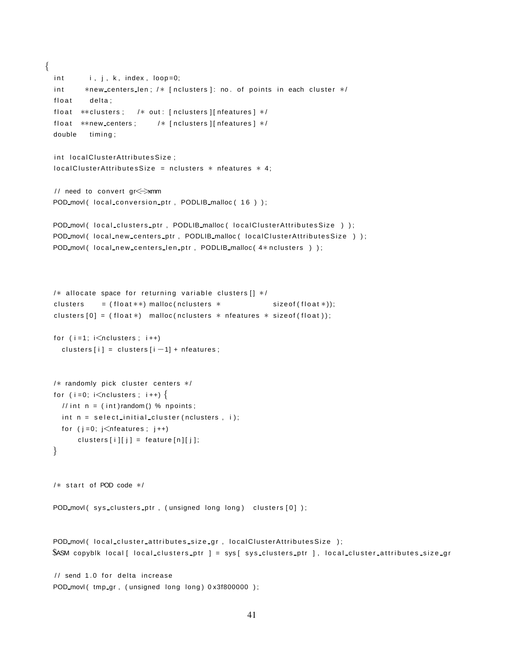```
{
  int i, j, k, index, loop=0;
  int *new_centers_len; /* [nclusters]: no. of points in each cluster */
  float delta;
  float **clusters; /* out: [nclusters][nfeatures] */
  float **new_centers; /* [nclusters][nfeatures] */
  double timing;
  int local Cluster Attributes Size;
  local ClusterAttributesSize = null sets * nfeatures * 4;// need to convert gr< > xmm
 POD movl ( local_conversion_ptr, PODLIB_malloc ( 16 ) );
  POD_movl( local_clusters_ptr, PODLIB_malloc( localClusterAttributesSize ) );
  POD_movl( local_new_centers_ptr, PODLIB_malloc( localClusterAttributesSize ) );
  POD movl ( local new centers len ptr, PODLIB malloc ( 4* nclusters ) );
  /* allocate space for returning variable clusters [1 * /clusters = (float **) malloc (nclusters * sizeof (float(*));
  clusters [0] = (float*) malloc(nclusters * nfeatures * sizeof(float));
  for (i=1; i\leq nclusters; i++)clusters [i] = clusters [i - 1] + nfeatures;
  /* randomly pick cluster centers */
  for (i = 0; i < nclusters; i + j}
    // int n = (int) random() % npoints;
    int n = select initial cluster (nclusters, i);
   for (j = 0; j < n features; j++)clusters [i][j] = feature [n][j];
  }
  /* start of POD code */
 POD movl ( sys clusters ptr, (unsigned long long) clusters [0] );
  POD movl ( local cluster attributes size gr, local Cluster Attributes Size );
 $ASM copyblk local [ local clusters ptr ] = sys [ sys clusters ptr ], local cluster attributes size gr
  1/ send 1.0 for delta increase
```

```
POD movl ( tmp gr, ( unsigned long long ) 0 x3f800000 );
```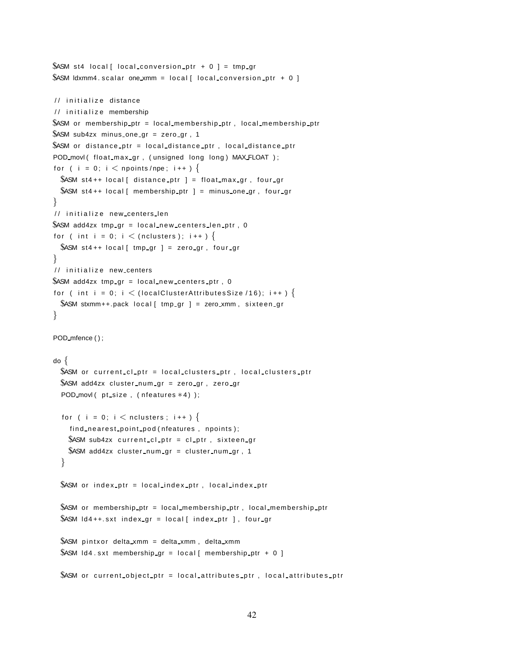```
$ASM st4 local [ local conversion ptr + 0 ] = tmp gr
$ASM ldxmm4. scalar one xmm = local [ local conversion ptr + 0 ]
// initialize distance
// initialize membership
$ASM or membership_ptr = local_membership_ptr, local_membership_ptr
$ASM sub4zx minus one gr = zero gr, 1
$ASM or distance ptr = local distance ptr, local distance ptr
POD movl ( float max gr, ( unsigned long long ) MAX FLOAT );
for ( i = 0; i \lt npoints/npe; i++ ) {
 $ASM st4++ local [ distance_ptr ] = float_max_gr, four_gr
 $ASM st4++ local [ membership ptr ] = minus one gr, four gr
}
// initialize new_centers_len
$ASM add4zx tmp_gr = local_new_centers_len_ptr, 0
for ( int i = 0; i \lt (nclusters ); i++ ) {
 $ASM st4++ local [ tmp_gr ] = zero_gr, four_gr
}
// initialize new centers
$ASM add4zx tmp_gr = local_new_centers_ptr, 0
for ( int i = 0; i \lt (local Cluster Attributes Size /16); i++ ) {
 $ASM stxmm++.pack local [ tmp_gr ] = zero_xmm, sixteen_gr
}
POD mfence ();
do {
  $ASM or current cl ptr = local clusters ptr, local clusters ptr
  $ASM add4zx cluster_num_qr = zero_qr, zero_qr
  POD movl ( pt size, ( nfeatures *4) );
  for ( i = 0; i \lt nclusters; i++ ) {
    find nearest point pod (nfeatures, npoints);
    $ASM sub4zx current cl ptr = cl ptr, sixteen gr
    $ASM add4zx cluster num gr = cluster num gr, 1
  }
 $ASM or index_ptr = local_index_ptr, local_index_ptr
 $ASM or membership ptr = local membership ptr , local membership ptr
 $ASM Id4++. sxt index_gr = local [ index_ptr ], four_gr
 $ASM pintxor delta xmm = delta xmm, delta xmm
 $ASM Id4.sxt membership qr = local [ membership ptr + 0 ]
 SASM or current object ptr = local attributes ptr, local attributes ptr
```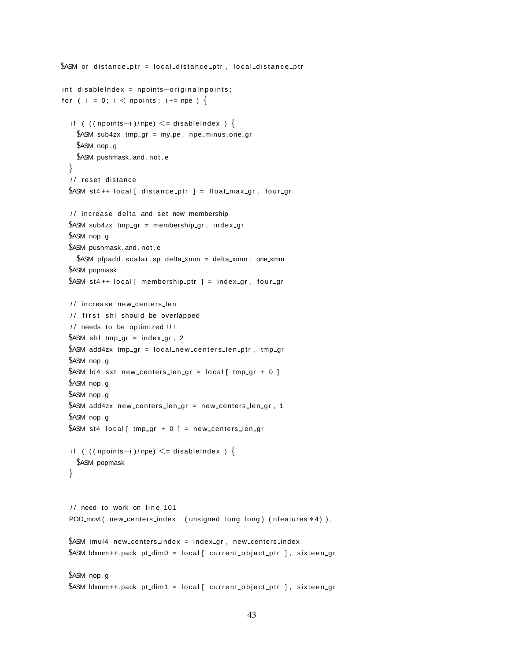```
$ASM or distance ptr = local distance ptr, local distance ptr
int disableIndex = npoints-originalnpoints;
for ( i = 0; i < npoints; i+= npe ) {
  if ( ((npoints−i )/npe) \le = disableIndex ) \{$ASM sub4zx tmp gr = my pe, npe minus one gr
    $ASM nop . g
    $ASM pushmask . and . not . e
  }
  // reset distance
  $ASM st4++ local[ distance ptr ] = float max gr, four gr
  // increase delta and set new membership
  $ASM sub4zx tmp_gr = membership_gr, index_gr
  $ASM nop . g
  $ASM pushmask . and . not . e
    $ASM pfpadd scalar sp delta xmm = delta xmm, one xmm
  $ASM popmask
  $ASM st4++ local [ membership ptr ] = index gr, four gr
  / / increase new centers len
  // first shl should be overlapped
  // needs to be optimized !!!
  $ASM \text{ shl }tmp\_gr = index\_gr, 2$ASM add4zx tmp_gr = local_new_centers_len_ptr, tmp_gr
  $ASM nop . g
  $ASM Id4.sxt new centers len gr = local [ tmp gr + 0 ]
  $ASM nop . g
  $ASM nop . g
  $ASM add4zx new centers len gr = new centers len gr , 1
  $ASM nop . g
  $ASM st4 local [ tmp_gr + 0 ] = new_centers_len_gr
  if ( ((npoints−i )/npe) \le = disableIndex ) {
    $ASM popmask
  }
  \frac{1}{2} need to work on line 101
  POD movl ( new centers index, ( unsigned long long) ( nfeatures *4) );
  $ASM imul4 new centers index = index gr , new centers index
  $ASM ldxmm++.pack pt_dim0 = local [ current_object_ptr ], sixteen_qr
  $ASM nop . g
  $ASM ldxmm++.pack pt_dim1 = local[ current_object_ptr ], sixteen_gr
```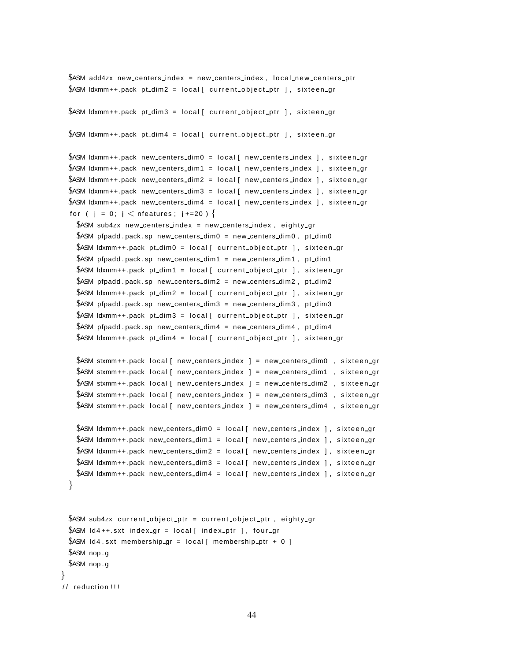```
$ASM add4zx new centers index = new centers index, local new centers ptr
$ASM ldxmm++.pack pt_dim2 = local[ current_object_ptr ], sixteen_gr
$ASM ldxmm++.pack pt_dim3 = local [ current_object_ptr ], sixteen_gr
$ASM ldxmm++.pack pt_dim4 = local [ current_object_ptr ], sixteen_gr
$ASM ldxmm++.pack new_centers_dim0 = local[ new_centers_index ], sixteen_gr
$ASM ldxmm++.pack new_centers_dim1 = local[ new_centers_index ], sixteen_gr
$ASM ldxmm++.pack new_centers_dim2 = local[ new_centers_index ], sixteen_gr
$ASM ldxmm++.pack new_centers_dim3 = local[ new_centers_index ], sixteen_gr
$ASM ldxmm++.pack new_centers_dim4 = local [ new_centers_index ], sixteen_gr
for ( i = 0; i < nfeatures; i + = 20 ) {
  SASM sub4zx new centers index = new centers index, eighty gr
  $ASM pfpadd . pack sp new centers dim0 = new centers dim0, pt dim0
  $ASM ldxmm++.pack pt_dim0 = local[ current_object_ptr ], sixteen_gr
  $ASM pfpadd . pack . sp new centers dim1 = new centers dim1 , pt dim1
  $ASM ldxmm++.pack pt_dim1 = local[ current_object_ptr ], sixteen_gr
  $ASM pfpadd . pack . sp new centers dim2 = new centers dim2, pt dim2
  $ASM ldxmm++.pack pt_dim2 = local [ current_object_ptr ], sixteen_gr
  $ASM pfpadd . pack . sp new centers dim3 = new centers dim3, pt dim3
  $ASM ldxmm++.pack pt_dim3 = local[ current_object_ptr ], sixteen_gr
  $ASM pfpadd . pack . sp new centers dim4 = new centers dim4, pt dim4
  $ASM ldxmm++.pack pt_dim4 = local[ current_object_ptr ], sixteen_gr
  $ASM stxmm++.pack local [ new centers index ] = new centers dim0, sixteen gr
  $ASM stxmm++.pack local [ new centers index ] = new centers dim1, sixteen gr
  $ASM stxmm++.pack local [ new centers index ] = new centers dim2 , sixteen qr
  $ASM stxmm++.pack local [ new centers index ] = new centers dim3, sixteen gr
  $ASM stxmm++.pack local[ new centers index ] = new centers dim4 , sixteen gr
  $ASM ldxmm++.pack new_centers_dim0 = local[ new_centers_index ], sixteen_gr
  $ASM ldxmm++.pack new centers dim1 = local[ new centers index ], sixteen gr
  $ASM ldxmm++.pack new_centers_dim2 = local[ new_centers_index ], sixteen_gr
  $ASM ldxmm++.pack new_centers_dim3 = local [ new_centers_index ], sixteen_gr
  $ASM ldxmm++.pack new_centers_dim4 = local [ new_centers_index ], sixteen_gr
}
$ASM sub4zx current object ptr = current object ptr, eighty gr
$ASM Id4++ sxt index gr = local index ptr ], four gr
```

```
$ASM Id4.sxt membership gr = local [ membership ptr + 0 ]
 $ASM nop . g
 $ASM nop . g
}
```

```
// reduction !!!
```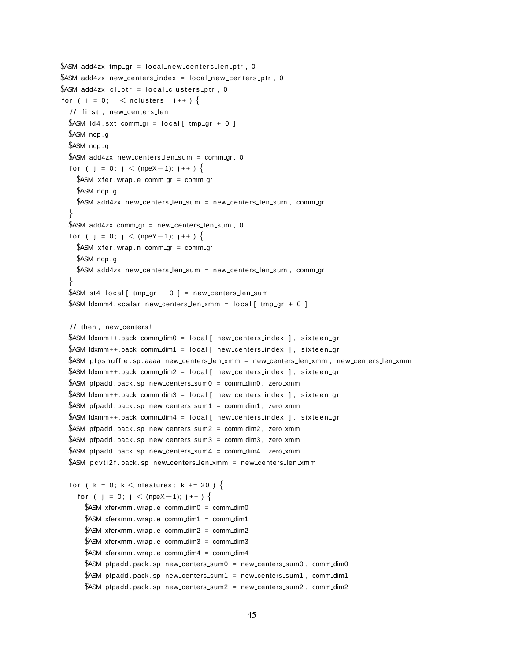```
$ASM add4zx tmp gr = local new centers len ptr, 0
$ASM add4zx new centers index = local new centers ptr, 0
$ASM add4zx cl ptr = local clusters ptr, 0
for ( i = 0; i \lt nclusters; i++ ) {
  // first, new centers len
  $ASM Id4. sxt comm_gr = local [ tmp_gr + 0 ]
  $ASM nop . g
  $ASM nop . g
  $ASM add4zx new centers len sum = comm gr, 0
  for ( j = 0; j < (npeX-1); j++ ) {
    $ASM x fer . wrap . e comm gr = comm gr
    $ASM nop . g
    $ASM add4zx new centers len sum = new centers len sum , comm gr
  }
  $ASM add4zx comm_qr = new_centers_len_sum, 0
  for ( j = 0; j < (npeY-1); j++ ) {
    $ASM xfer . wrap . n comm_gr = comm_gr
    $ASM nop . g
    $ASM add4zx new centers len sum = new centers len sum , comm gr
  }
  $ASM st4 local [ tmp_gr + 0 ] = new_centers_len_sum
  $ASM ldxmm4 scalar new centers len xmm = local [ tmp gr + 0 ]
  / / then , new centers !
  $ASM ldxmm++.pack comm_dim0 = local [ new centers index ], sixteen gr
  $ASM ldxmm++.pack comm_dim1 = local [ new centers index ], sixteen gr
  $ASM pfpshuffle.sp.aaaa new_centers_len_xmm = new_centers_len_xmm, new_centers_len_xmm
  $ASM ldxmm++.pack comm_dim2 = local [ new centers index ], sixteen_gr
  $ASM pfpadd . pack . sp new centers sum0 = comm dim0, zero xmm
  $ASM ldxmm++.pack comm_dim3 = local [ new centers index ], sixteen_gr
  $ASM pfpadd . pack . sp new centers sum1 = comm dim1 , zero xmm
  $ASM ldxmm++.pack comm_dim4 = local[ new_centers_index ], sixteen_gr
  $ASM pfpadd . pack . sp new centers sum2 = comm dim2 , zero xmm
  $ASM pfpadd . pack . sp new centers sum3 = comm dim3 , zero xmm
  $ASM pfpadd . pack . sp new centers sum4 = comm dim4 , zero xmm
  $ASM p c v ti 2f . pack . sp new centers len xmm = new centers len xmm
  for ( k = 0; k < nfeatures; k + = 20 ) {
    for ( j = 0; j < (npeX-1); j++ ) {
      $ASM xferxmm. wrap . e comm dim0 = comm dim0$ASM xferxmm. wrap . e comm_dim1 = comm_dim1
      $ASM xferxmm. wrap . e comm_dim2 = comm_dim2
      $ASM xferxmm.wrap.e comm_dim3 = comm_dim3
      $ASM xferxmm.wrap.e comm_dim4 = comm_dim4
      $ASM pfpadd . pack . sp new centers sum0 = new centers sum0, comm dim0
      $ASM pfpadd . pack . sp new centers sum1 = new centers sum1, comm dim1
      $ASM pfpadd . pack . sp new centers sum2 = new centers sum2 , comm dim2
```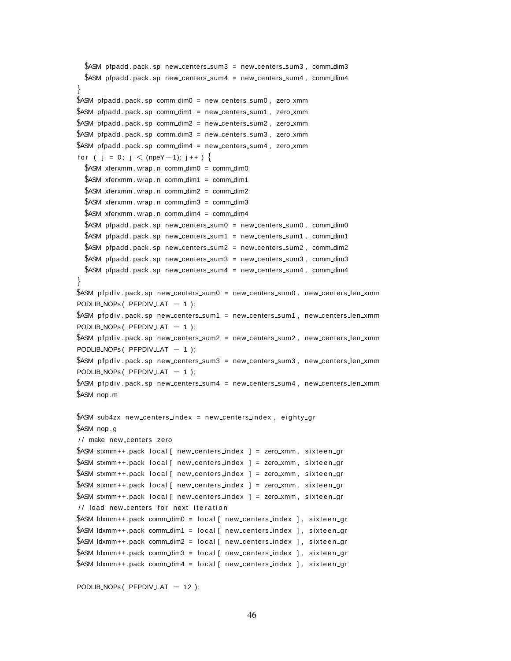```
$ASM pfpadd . pack . sp new centers sum3 = new centers sum3, comm dim3
 $ASM pfpadd . pack . sp new centers sum4 = new centers sum4 , comm dim4
}
$ASM pfpadd . pack . sp comm dim0 = new centers sum0 , zero xmm
$ASM pfpadd . pack . sp comm dim1 = new centers sum1 , zero xmm
$ASM pfpadd . pack . sp comm_dim2 = new_centers_sum2, zero_xmm
$ASM pfpadd . pack . sp comm dim3 = new centers sum3 , zero xmm
$ASM pfpadd . pack . sp comm dim4 = new centers sum4 , zero xmm
for ( j = 0; j < (npeY-1); j ++ ) {
 $ASM xferxmm . wrap . n comm dim0 = comm dim0$ASM xferxmm wrap n comm dim1 = comm dim1
 $ASM xferxmm. wrap . n comm_dim2 = comm_dim2
 $ASM xferxmm. wrap . n comm_dim3 = comm_dim3
 $ASM xferxmm. wrap . n comm_dim4 = comm_dim4
 $ASM pfpadd . pack . sp new centers sum0 = new centers sum0, comm dim0
 $ASM pfpadd . pack . sp new centers sum1 = new centers sum1 , comm dim1
 $ASM pfpadd . pack . sp new centers sum2 = new centers sum2 , comm dim2
 $ASM pfpadd . pack . sp new_centers_sum3 = new_centers_sum3, comm_dim3
 $ASM pfpadd . pack . sp new centers sum4 = new centers sum4 , comm dim4
}
$ASM pfpdiv.pack.sp new_centers_sum0 = new_centers_sum0, new_centers_len_xmm
PODLIB_NOPs ( PFPDIV_LAT − 1);
$ASM pfpdiv.pack.sp new_centers_sum1 = new_centers_sum1, new_centers_len_xmm
PODLIB_NOPs (PPDIV_LAT - 1);
$ASM pfpdiv .pack .sp new_centers_sum2 = new_centers_sum2 , new_centers_len_xmm
PODLIB_NOPs (PPDIV_LAT - 1);
$ASM pfpdiv.pack.sp new_centers_sum3 = new_centers_sum3, new_centers_len_xmm
PODLIB_NOPs ( PFPDIV_LAT − 1);
$ASM pfpdiv pack sp new centers sum4 = new centers sum4, new centers len xmm
$ASM nop .m
$ASM sub4zx new centers index = new centers index, eighty gr
$ASM nop . g
/ / make new centers zero
$ASM stxmm++.pack local [ new centers index ] = zero_xmm, sixteen_gr
$ASM stxmm++.pack local[ new centers index ] = zero_xmm, sixteen_gr
$ASM stxmm++.pack local [ new centers index = zero xmm, sixteen gr
$ASM stxmm++.pack local[ new centers index ] = zero_xmm, sixteen_gr
$ASM stxmm++.pack local[ new centers index ] = zero xmm, sixteen gr
// load new centers for next iteration
$ASM ldxmm++.pack comm_dim0 = local[ new_centers_index ], sixteen_gr
$ASM ldxmm++.pack comm_dim1 = local[ new_centers_index ], sixteen_gr
$ASM ldxmm++.pack comm_dim2 = local [ new centers index ], sixteen_gr
$ASM ldxmm++.pack comm_dim3 = local [ new centers index ], sixteen_qr
$ASM ldxmm++.pack comm_dim4 = local [ new centers index ], sixteen_gr
```
PODLIB\_NOPs ( PFPDIV\_LAT - 12 );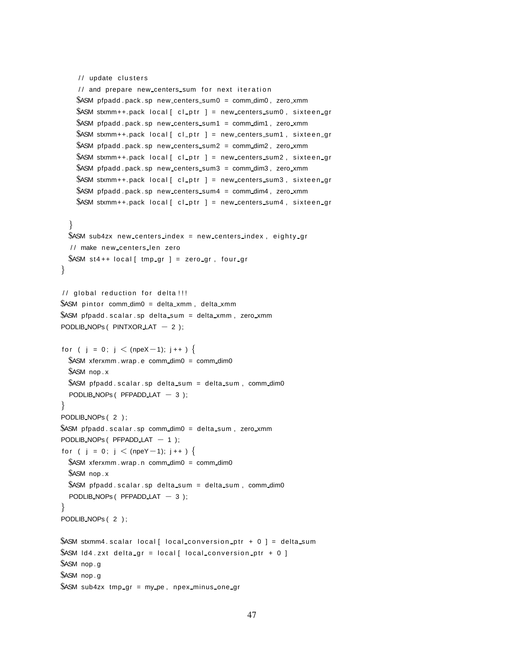```
// update clusters
    1/ and prepare new centers sum for next iteration
    $ASM pfpadd . pack . sp new centers sum0 = comm dim0 , zero xmm
    $ASM stxmm++.pack local[ cl_ptr ] = new_centers_sum0, sixteen_gr
    $ASM pfpadd .pack .sp new centers sum1 = comm dim1, zero xmm
    $ASM stxmm++.pack local [ cl_ptr ] = new_centers_sum1, sixteen_gr
    $ASM pfpadd . pack . sp new centers sum2 = comm dim2 , zero xmm
    $ASM stxmm++.pack local[ cl_ptr ] = new centers sum2, sixteen gr
    $ASM pfpadd . pack . sp new centers sum3 = comm dim3 , zero xmm
    $ASM stxmm++.pack local[ cl_ptr ] = new_centers_sum3, sixteen_gr
    $ASM pfpadd . pack . sp new centers sum4 = comm dim4 , zero xmm
    $ASM stxmm++.pack local[ cl_ptr ] = new_centers_sum4, sixteen_gr
  }
  $ASM sub4zx new centers index = new centers index, eighty gr
  / / make new centers len zero
  $ASM st4++ local [ tmp_gr ] = zero_gr, four_gr
}
// global reduction for delta !!!
$ASM pintor comm_dim0 = delta_xmm, delta_xmm
$ASM pfpadd s calar sp delta sum = delta xmm, zero xmm
PODLIB_NOPs ( PINTXOR_LAT − 2 );
for ( j = 0; j < (npeX-1); j++ ) {
  $ASM xferxmm.wrap.e comm_dim0 = comm_dim0
  $ASM nop . x
  $ASM pfpadd scalar sp delta sum = delta sum, comm dim0
  PODLIB_NOPs ( PFPADD_LAT - 3 );
}
PODLIB NOPs ( 2 ) ;
$ASM pfpadd scalar sp comm_dim0 = delta sum, zero_xmm
PODLIB_NOPs ( PFPADD_LAT − 1 );
for ( j = 0; j \langle (npeY-1); j + + ) {
  $ASM xferxmm.wrap.n comm_dim0 = comm_dim0
  $ASM nop . x
  $ASM pfpadd scalar sp delta sum = delta sum, comm dim0
  PODLIB NOPs ( PFPADD.LAT - 3 );
}
PODLIB_NOPs (2);
$ASM stxmm4 scalar local [ local conversion ptr + 0 ] = delta sum
$ASM Id4.zxt delta qr = local [ local conversion ptr + 0 ]
$ASM nop . g
$ASM nop . g
$ASM sub4zx tmp gr = my pe , npex minus one gr
```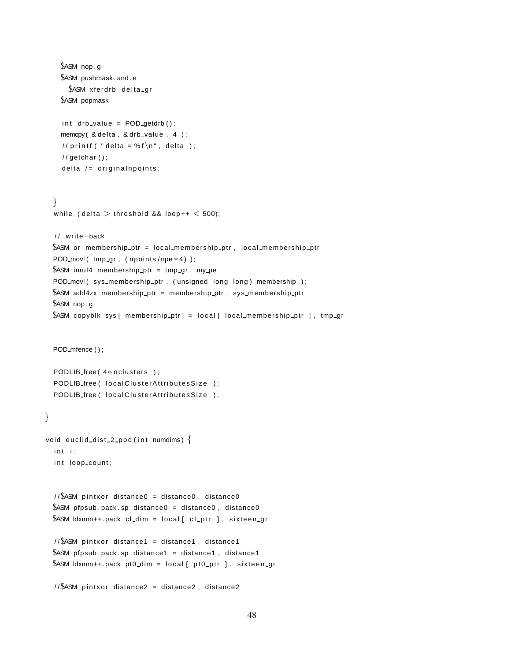```
$ASM nop . g
    $ASM pushmask . and . e
      $ASM xferdrb delta gr
    $ASM popmask
    int drb_value = POD-getdrb();
    memcpy ( & delta, & drb_value, 4 );
    // printf ( " delta = % f\n\overline{\hspace{1mm}} n", delta );
    // getchar () ;
    delta / = original npoints;
  }
  while ( delta > threshold && loop++ < 500);
  / / write−back
  $ASM or membership ptr = local membership ptr , local membership ptr
  POD_movl( tmp_gr, ( npoints / npe * 4) );
  $ASM imul4 membership ptr = tmp gr , my pe
  POD movl (sys_membership_ptr, (unsigned long long) membership );
  $ASM add4zx membership ptr = membership ptr , sys membership ptr
  $ASM nop . g
  $ASM copyblk sys [ membership_ptr] = local [ local_membership_ptr ], tmp_gr
  POD_mfence();
  PODLIB free (4* nclusters );
  PODLIB free ( local Cluster Attributes Size );
  PODLIB free ( local Cluster Attributes Size );
}
void euclid dist 2 pod (int numdims) \{int i;int loop count;
  1/\sqrt{S}ASM pintxor distance0 = distance0, distance0
  $ASM pfpsub . pack . sp distance0 = distance0, distance0
  $ASM ldxmm++.pack cl_dim = local [ cl_ptr ], sixteen_gr
  1/\$ASM pintxor distance1 = distance1, distance1
  $ASM pfpsub pack sp distance1 = distance1, distance1
  $ASM ldxmm++.pack pt0_dim = local [ pt0_ptr ], sixteen_gr
  //$ASM pintxor distance2 = distance2, distance2
```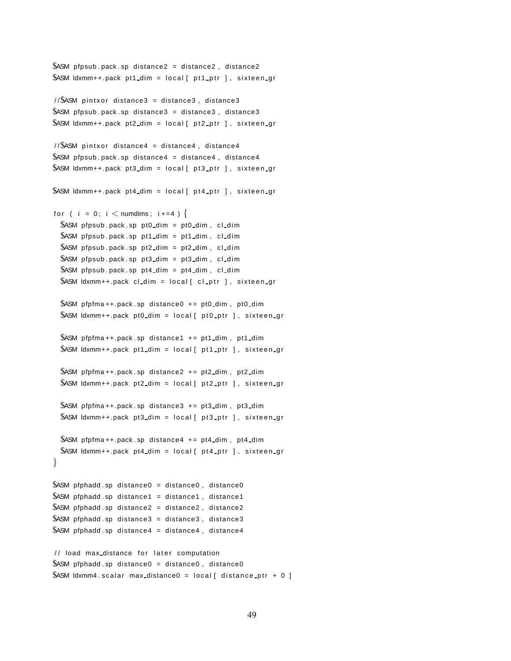```
$ASM pfpsub pack sp distance2 = distance2, distance2
$ASM ldxmm++.pack pt1_dim = local [ pt1_ptr ], sixteen gr
```
 $1/\sqrt{S}$ ASM pintxor distance3 = distance3, distance3  $$ASM$  pfpsub . pack . sp distance  $3 =$  distance  $3$ , distance  $3$  $$ASM$  ldxmm++.pack pt2\_dim = local [ pt2\_ptr ], sixteen\_gr

```
1/\sqrt{S}ASM pintxor distance4 = distance4, distance4
$ASM pfpsub . pack . sp distance4 = distance4, distance4
$ASM ldxmm++.pack pt3_dim = local [ pt3_ptr ], sixteen_gr
```
 $$ASM$  ldxmm++.pack pt4\_dim = local [ pt4\_ptr ], sixteen\_gr

```
for ( i = 0; i \lt numdims; i+=4 ) {
 $ASM pfpsub . pack . sp pt0_dim = pt0_dim, cl_dim
 $ASM pfpsub . pack . sp pt1_dim = pt1_dim, cl_dim
 $ASM pfpsub . pack . sp pt2_dim = pt2_dim, cl_dim
 $ASM pfpsub pack sp pt3_dim = pt3_dim, cl_dim
 $ASM pfpsub pack sp pt4_dim = pt4_dim, cl_dim
 $ASM ldxmm++.pack cl_dim = local [ cl_ptr ], sixteen_gr
```

```
$ASM pfpfma + +.pack . sp distance 0 + = pt0 dim, pt0 dim
$ASM ldxmm++.pack pt0_dim = local [ pt0_ptr ], sixteen_gr
```

```
$ASM pfpfma + +.pack . sp distance 1 + = pt1 dim, pt1 dim
$ASM ldxmm++.pack pt1 dim = local [ pt1 ptr ], sixteen gr
```

```
$ASM pfpfma + +.pack . sp distance 2 + = pt2_dim, pt2_dim
$ASM ldxmm++.pack pt2_dim = local [ pt2_ptr ], sixteen_qr
```

```
$ASM pfpfma + +.pack . sp distance 3 + = pt3_dim, pt3_dim
$ASM ldxmm++.pack pt3_dim = local [ pt3_ptr ], sixteen gr
```

```
$ASM pfpfma + +.pack sp distance 4 + = pt4_dim, pt4_dim
 $ASM ldxmm++.pack pt4_dim = local [ pt4_ptr ], sixteen_gr
}
```

```
$ASM pfphadd sp distance0 = distance0, distance0
$ASM pfphadd sp distance1 = distance1, distance1
$ASM pfphadd . sp distance2 = distance2 , distance2
$ASM pfphadd sp distance3 = distance3, distance3
$ASM pfphadd sp distance4 = distance4, distance4
```

```
// load max_distance for later computation
$ASM pfphadd sp distance0 = distance0, distance0$ASM Idxmm4 . scalar max distance0 = local [ distance ptr + 0 ]
```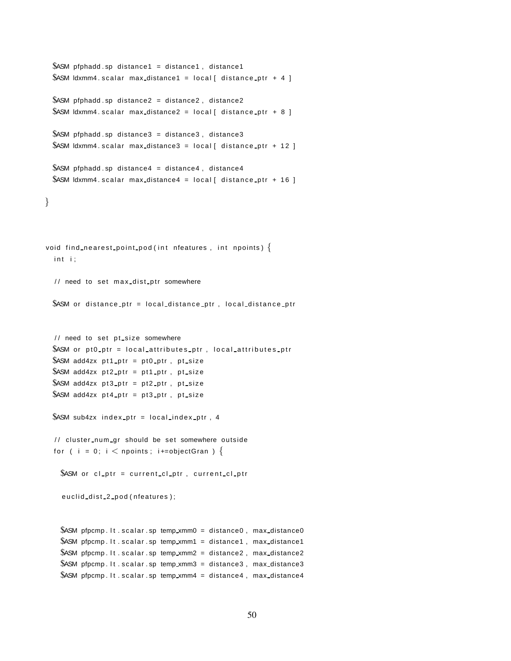```
$ASM pfphadd sp distance1 = distance1, distance1
 $ASM ldxmm4. scalar max distance1 = local [ distance ptr + 4 ]
 $ASM pfphadd sp distance2 = distance2, distance2
 $ASM ldxmm4 scalar max distance2 = local [ distance ptr + 8 ]
 $ASM pfphadd sp distance3 = distance3, distance3
 $ASM ldxmm4. scalar max_distance3 = local [ distance ptr + 12 ]
 $ASM pfphadd sp distance4 = distance4, distance4
 $ASM Idxmm4. scalar max_distance4 = local [ distance_ptr + 16 ]
}
void find nearest point pod (int nfeatures, int npoints) \{int i;// need to set max dist ptr somewhere
 $ASM or distance ptr = local distance ptr, local distance ptr
  // need to set pt_size somewhere
 $ASM or pt0 ptr = local attributes ptr, local attributes ptr
 $ASM add4zx pt1 ptr = pt0 ptr, pt size
 $ASM add4zx pt2_ptr = pt1_ptr, pt_size
 $ASM add4zx pt3_ptr = pt2_ptr, pt_size
 $ASM add4zx pt4_ptr = pt3_ptr, pt_size
 $ASM sub4zx index ptr = local index ptr, 4
  / / cluster num gr should be set somewhere outside
  for ( i = 0; i < npoints; i+=objectGran ) {
   $ASM or cl_ptr = current_cl_ptr, current_cl_ptr
    euclid dist 2 pod (nfeatures);
   $ASM pfpcmp. It scalar sp temp xmm0 = distance0, max distance0
   $ASM pfpcmp. It . scalar . sp temp_xmm1 = distance1, max_distance1
   $ASM pfpcmp. It scalar sp temp_xmm2 = distance2, max_distance2
   $ASM pfpcmp. It . scalar. sp temp_xmm3 = distance3, max_distance3
   $ASM pfpcmp. It scalar sp temp_xmm4 = distance4, max_distance4
```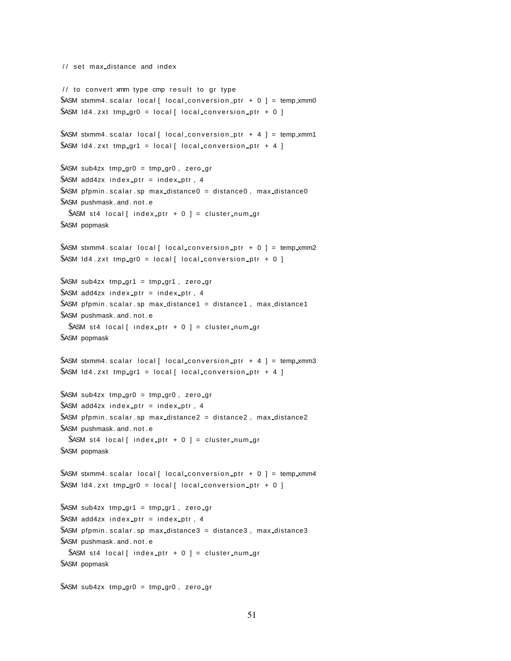```
/ / set max distance and index
1/ to convert xmm type cmp result to gr type
$ASM stxmm4 scalar local [ local conversion ptr + 0 ] = temp xmm0
$ASM ld4.zxt tmp gr0 = local [ local conversion ptr + 0 ]
$ASM stxmm4 . scalar local [ local conversion ptr + 4 ] = temp xmm1
$ASM Id4.zxt tmp gr1 = local [ local conversion ptr + 4 ]
$ASM sub4zx tmp_gr0 = tmp_gr0, zero_gr
$ASM add4zx index ptr = index ptr, 4
$ASM pfpmin scalar sp max distance0 = distance0, max distance0$ASM pushmask . and . not . e
  $ASM st4 local [ index_ptr + 0 ] = cluster_num_gr
$ASM popmask
$ASM stxmm4 scalar local [ local conversion ptr + 0 ] = temp xmm2
$ASM Id4.zxt tmp gr0 = local [ local conversion ptr + 0 ]
$ASM sub4zx tmp gr1 = tmp gr1, zero gr
$ASM add4zx index_ptr = index_ptr, 4
$ASM pfpmin . scalar . sp max distance 1 = distance 1, max distance 1
$ASM pushmask . and . not . e
  $ASM st4 local[ index_ptr + 0 ] = cluster_num_gr
$ASM popmask
$ASM stxmm4 scalar local [ local conversion ptr + 4 ] = temp xmm3
$ASM Id4.zxt tmp gr1 = local [ local conversion ptr + 4 ]
$ASM sub4zx tmp_gr0 = tmp_gr0, zero_gr
$ASM add4zx index ptr = index ptr, 4
$ASM pfpmin scalar sp max distance2 = distance2, max distance2
$ASM pushmask . and . not . e
  $ASM st4 local[ index_ptr + 0 ] = cluster_num_gr
$ASM popmask
$ASM stxmm4 . scalar local [ local conversion ptr + 0 ] = temp xmm4
$ASM Id4.zxt tmp_gr0 = local [ local_conversion_ptr + 0 ]
$ASM sub4zx tmp gr1 = tmp gr1, zero gr
$ASM add4zx index ptr = index ptr, 4
$ASM pfpmin scalar sp max distance3 = distance3, max distance3
$ASM pushmask . and . not . e
  $ASM st4 local [ index_ptr + 0 ] = cluster_num_gr
$ASM popmask
$ASM sub4zx tmp_gr0 = tmp_gr0, zero_gr
```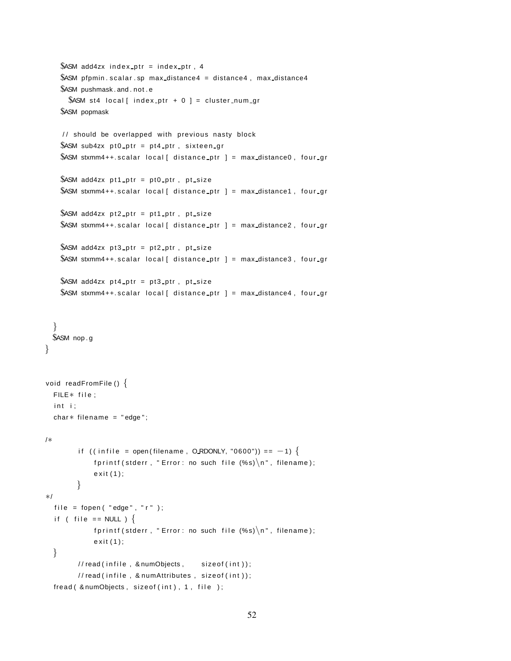```
$ASM add4zx index_ptr = index_ptr, 4
   $ASM pfpmin scalar sp max distance4 = distance4, max distance4
   $ASM pushmask . and . not . e
      $ASM st4 local[ index_ptr + 0 ] = cluster_num_gr
   $ASM popmask
    / / should be overlapped with previous nasty block
   $ASM sub4zx pt0_ptr = pt4_ptr, sixteen gr
   $ASM stxmm4++. scalar local [ distance ptr ] = max distance0, four gr
   $ASM add4zx pt1_ptr = pt0_ptr, pt_size
   $ASM stxmm4++.scalar local [ distance ptr ] = max distance1, four gr
   $ASM add4zx pt2_ptr = pt1_ptr, pt_size
   $ASM stxmm4++.scalar local [ distance ptr ] = max distance2, four gr
   $ASM add4zx pt3 ptr = pt2 ptr, pt size
   $ASM stxmm4++.scalar local [ distance ptr ] = max distance3, four gr
   $ASM add4zx pt4_ptr = pt3_ptr, pt_size
   $ASM stxmm4++.scalar local [ distance ptr ] = max distance4, four gr
  }
 $ASM nop . g
}
void readFromFile () {
  FILE<sup>*</sup> file :
  int i;
  char* filename = "edge";
/∗
        if ((infile = open(filename, ORDONLY, "0600")) == -1) {
            fprintf (stderr, "Error: no such file (\%s)\n\n", filename);
            exit(1);}
∗/
  file = fopen ( "edge", "r" );
  if ( file == NULL ) \{fprintf (stderr, "Error: no such file (\%s)\n\n", filename);
            exit(1);}
        // read (in file, & number number); size of (int);
        // read (in file, 8 numAttributes, sizeof(int));
  fread ( & numObjects, sizeof (int ), 1, file );
```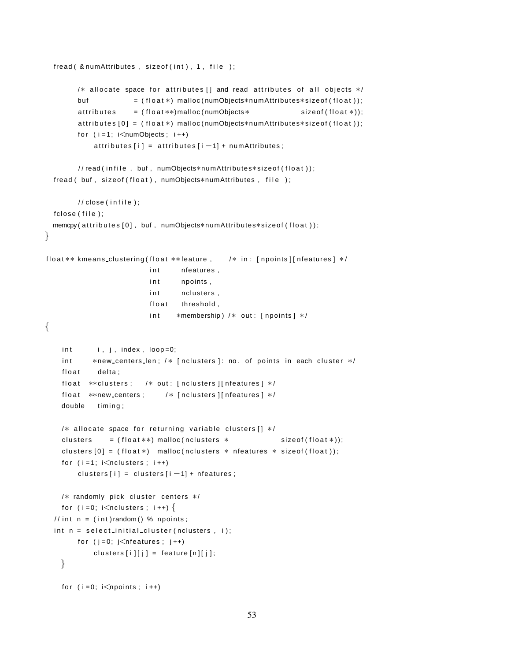```
fread( & numAttributes, sizeof(int), 1, file );
        /* allocate space for attributes [] and read attributes of all objects */
        buf = (float *) malloc(numObjects*numAttributes*sizeof(float));
        \text{attributes} = (float **)malloc (numObjects * size of (float *));
        attributes [0] = (float*) malloc (numObjects*numAttributes*sizeof (float));
        for (i=1; i\leq numObjects; i++)\text{attributes} [i] = attributes [i -1] + numAttributes;
        // read(infile, buf, numObjects*numAttributes*sizeof(float));
  fread ( buf, sizeof (float ), numObjects*numAttributes, file );
        // close (in file);f c lose ( file ) ;
 memcpy ( attributes [0], buf, numObjects*numAttributes*sizeof (float ) );
}
float ** kmeans_clustering (float ** feature, /* in: [npoints] [nfeatures] */
                          int nfeatures,
                          int npoints,
                          int nclusters,
                          float threshold,
                          int *membership) /* out: [npoints] */
{
    int \, i, j, index, loop=0;int *new_centers_len; /* [nclusters]: no. of points in each cluster */
    float delta;
    float **clusters; /* out: [nclusters ][nfeatures] */
    float **new_centers; /* [nclusters ][nfeatures ] */
    double timing;
    /* allocate space for returning variable clusters [] */
    clusters = (float **) malloc(nclusters * sizeof(float(*));
    clusters [0] = (float*) malloc(nclusters * nfeatures * sizeof(float));
    for (i=1; i\leq n clusters; i++)clusters[i] = clusters[i-1] + nfeatures;/* randomly pick cluster centers */
    for (i = 0; i < nclusters; i++) {
  // int n = (int) random() % npoints;
  int n = select initial cluster (nclusters, i);
        for (j = 0; j < n features; j++)clusters[i][j] = feature[n][j];}
    for (i=0; i<npoints; i++)
```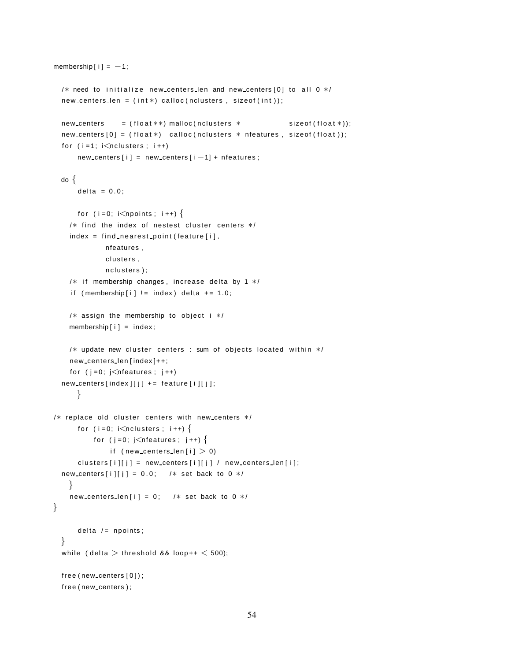```
membership [i] = -1;
  /* need to initialize new centers len and new centers [0] to all 0 */new_centers len = (int*) calloc(nclusters, sizeof(int));new \cdot centers = (float **) \text{ malloc} (nclusters * \text{ sizeof} (float*));new \cdot centers [0] = (float*) calloc(nclusters * méatures, sizeof(float));for (i=1; i\leq n clusters; i++)new \_ \ncenters[i] = new \_ \ncenters[i - 1] + nfeatures;do {
      delta = 0.0;
      for (i = 0; i <npoints; i ++) {
    /* find the index of nestest cluster centers */index = find nearest-point (feature[i],nfeatures ,
             clusters,
              nclusters);
    /* if membership changes, increase delta by 1 */if (membership[i] != index) delta += 1.0;
    /* assign the membership to object i */membership[i] = index;/* update new cluster centers : sum of objects located within */
    new centers len [ index ]++;
    for (j=0; j\leq n features; j++)new-centers [index][i] += feature[i][i];}
/* replace old cluster centers with new centers */
      for (i = 0; i < nclusters; i + j}
          for (j = 0; j < nfeatures; j++) {
              if (new centers len[i] > 0)
      clusters [i][j] = new \cdot centers[i][j] / new \cdot centerslen[i];new centers [i][j] = 0.0; /* set back to 0 */
    }
    new centers len [i] = 0; /* set back to 0 */}
      delta / = npoints;
  }
  while ( delta > threshold && loop++ < 500);
  free (new_centers [0]);
  free (new_centers);
```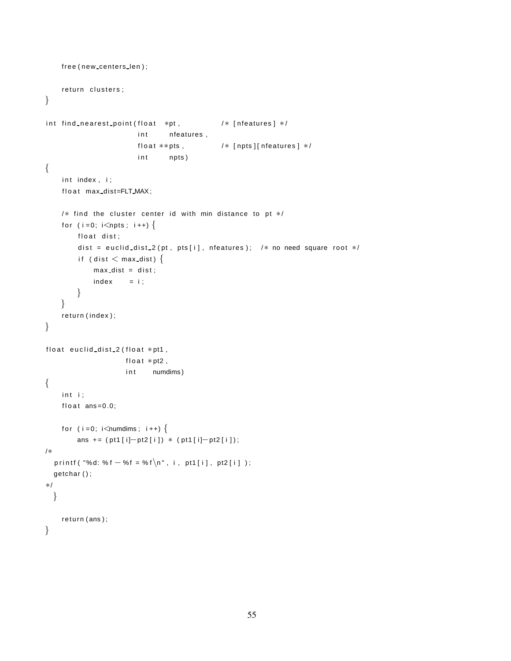```
free (new_centers_len);
    return clusters;
}
int find_nearest_point(float *pt, / /* [nfeatures] */
                       int nfeatures,
                       float **pts, /* [npts][nfeatures] */int npts)
{
    int index, i;
    float max_dist=FLT_MAX;
    /* find the cluster center id with min distance to pt */
    for (i = 0; i < npts; i++) {
        float dist;
        dist = euclid_dist_2 (pt, pts [i], nfeatures); /* no need square root */
        if (dist < max dist) \{max\_dist = dist;index = i;
        }
    }
    return ( index ) ;
}
float euclid dist 2 (float *pt1,
                    float *pt2,
                    in t numdims)
{
    int i;
    float ans=0.0;
    for (i = 0; i <numdims; i + +) {
        ans += (pt1[i]-pt2[i]) * (pt1[i]-pt2[i]);/∗
  p r i n t f ( "%d: % f - % f = % f \n", i, pt1 [i], pt2 [i]);
  getchar ( ) ;
∗/
  }
    return ( ans ) ;
}
```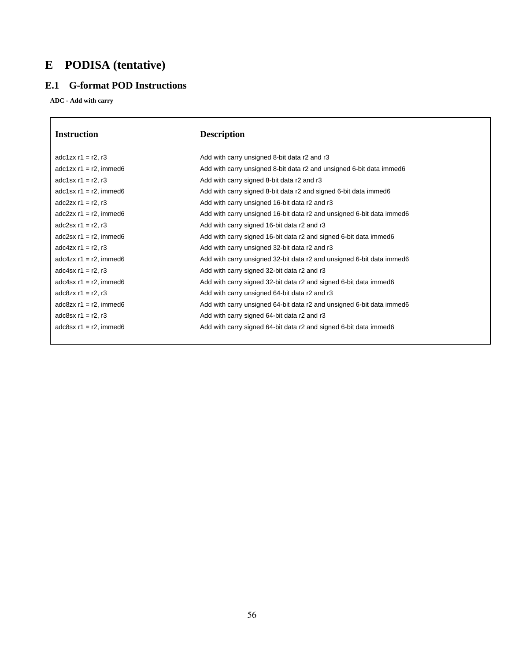# **E PODISA (tentative)**

# **E.1 G-format POD Instructions**

**ADC - Add with carry**

| <b>Instruction</b>        | <b>Description</b>                                                    |
|---------------------------|-----------------------------------------------------------------------|
| adc1zx $r1 = r2$ , $r3$   | Add with carry unsigned 8-bit data r2 and r3                          |
| adc1zx $r1 = r2$ , immed6 | Add with carry unsigned 8-bit data r2 and unsigned 6-bit data immed6  |
| adc1sx $r1 = r2$ , $r3$   | Add with carry signed 8-bit data r2 and r3                            |
| adc1sx $r1 = r2$ , immed6 | Add with carry signed 8-bit data r2 and signed 6-bit data immed6      |
| adc $2zx$ r1 = r2, r3     | Add with carry unsigned 16-bit data r2 and r3                         |
| $adc2zx r1 = r2$ , immed6 | Add with carry unsigned 16-bit data r2 and unsigned 6-bit data immed6 |
| adc2sx $r1 = r2$ , $r3$   | Add with carry signed 16-bit data r2 and r3                           |
| adc2sx $r1 = r2$ , immed6 | Add with carry signed 16-bit data r2 and signed 6-bit data immed6     |
| adc4zx $r1 = r2$ , $r3$   | Add with carry unsigned 32-bit data r2 and r3                         |
| adc4zx $r1 = r2$ , immed6 | Add with carry unsigned 32-bit data r2 and unsigned 6-bit data immed6 |
| adc4sx $r1 = r2$ , $r3$   | Add with carry signed 32-bit data r2 and r3                           |
| adc4sx $r1 = r2$ , immed6 | Add with carry signed 32-bit data r2 and signed 6-bit data immed6     |
| adc8zx $r1 = r2$ , $r3$   | Add with carry unsigned 64-bit data r2 and r3                         |
| adc8zx $r1 = r2$ , immed6 | Add with carry unsigned 64-bit data r2 and unsigned 6-bit data immed6 |
| adc8sx $r1 = r2$ , $r3$   | Add with carry signed 64-bit data r2 and r3                           |
| adc8sx $r1 = r2$ , immed6 | Add with carry signed 64-bit data r2 and signed 6-bit data immed6     |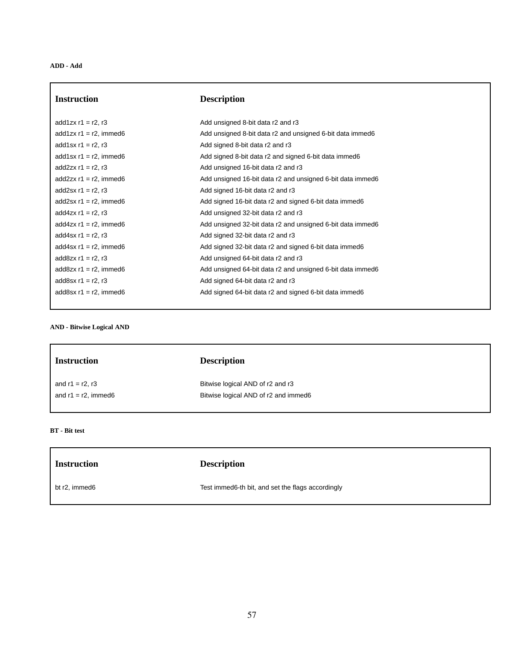| <b>Instruction</b>        | <b>Description</b>                                         |
|---------------------------|------------------------------------------------------------|
| add $1zx r1 = r2, r3$     | Add unsigned 8-bit data r2 and r3                          |
| add1zx $r1 = r2$ , immed6 | Add unsigned 8-bit data r2 and unsigned 6-bit data immed6  |
| add1sx $r1 = r2$ , r3     | Add signed 8-bit data r2 and r3                            |
| add1sx $r1 = r2$ , immed6 | Add signed 8-bit data r2 and signed 6-bit data immed6      |
| add $2zx r1 = r2, r3$     | Add unsigned 16-bit data r2 and r3                         |
| add $2zx$ r1 = r2, immed6 | Add unsigned 16-bit data r2 and unsigned 6-bit data immed6 |
| add2sx $r1 = r2$ , $r3$   | Add signed 16-bit data r2 and r3                           |
| add2sx $r1 = r2$ , immed6 | Add signed 16-bit data r2 and signed 6-bit data immed6     |
| add $4zx$ r1 = r2, r3     | Add unsigned 32-bit data r2 and r3                         |
| add4zx $r1 = r2$ , immed6 | Add unsigned 32-bit data r2 and unsigned 6-bit data immed6 |
| add $4sx$ r1 = r2, r3     | Add signed 32-bit data r2 and r3                           |
| add4sx $r1 = r2$ , immed6 | Add signed 32-bit data r2 and signed 6-bit data immed6     |
| add $8zx r1 = r2, r3$     | Add unsigned 64-bit data r2 and r3                         |
| add8zx $r1 = r2$ , immed6 | Add unsigned 64-bit data r2 and unsigned 6-bit data immed6 |
| add8sx $r1 = r2$ , $r3$   | Add signed 64-bit data r2 and r3                           |
| add8sx $r1 = r2$ , immed6 | Add signed 64-bit data r2 and signed 6-bit data immed6     |

# **AND - Bitwise Logical AND**

| <b>Instruction</b>     | <b>Description</b>                   |  |
|------------------------|--------------------------------------|--|
| and $r1 = r2$ , r3     | Bitwise logical AND of r2 and r3     |  |
| and $r1 = r2$ , immed6 | Bitwise logical AND of r2 and immed6 |  |
|                        |                                      |  |
|                        |                                      |  |

# **BT - Bit test**

| <b>Instruction</b> | <b>Description</b>                                |
|--------------------|---------------------------------------------------|
| bt r2, immed6      | Test immed6-th bit, and set the flags accordingly |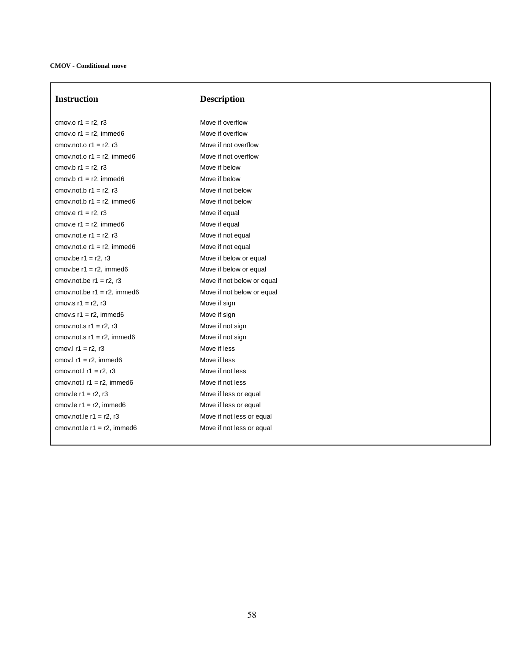**Instruction Description**

 $\text{cm}$ ov.o r1 = r2, r3 Move if overflow  $\text{cm}$ ov.o r1 = r2, immed6 Move if overflow cmov.not.o  $r1 = r2$ ,  $r3$  Move if not overflow  $cmov. not. o r1 = r2, immediately, and so that  $1 - r2 = r2$ .$  $\text{cm}$ ov.b r1 = r2, r3 Move if below cmov.b  $r1 = r2$ , immed6 Move if below cmov.not.b  $r1 = r2$ ,  $r3$  Move if not below cmov.not.b  $r1 = r2$ , immed6 Move if not below cmov.e  $r1 = r2$ ,  $r3$  Move if equal cmov.e  $r1 = r2$ , immed6 Move if equal  $\text{cm}$ ov.not.e r1 = r2, r3 Move if not equal cmov.not.e  $r1 = r2$ , immed6 Move if not equal cmov.be  $r1 = r2$ ,  $r3$  Move if below or equal cmov.be  $r1 = r2$ , immed6 Move if below or equal cmov.not.be  $r1 = r2$ ,  $r3$  Move if not below or equal cmov.not.be  $r1 = r2$ , immed6 Move if not below or equal cmov.s  $r1 = r2$ ,  $r3$  Move if sign cmov.s  $r1 = r2$ , immed6 Move if sign cmov.not.s  $r1 = r2$ ,  $r3$  Move if not sign  $cmov. not. s$  r1 = r2, immed6 Move if not sign cmov.l  $r1 = r2$ ,  $r3$  Move if less cmov.l  $r1 = r2$ , immed6 Move if less cmov.not.l  $r1 = r2$ ,  $r3$  Move if not less cmov.not.l  $r1 = r2$ , immed6 Move if not less cmov.le  $r1 = r2$ ,  $r3$  Move if less or equal cmov.le  $r1 = r2$ , immed6 Move if less or equal  $\text{cm}$ ov.not.le r1 = r2, r3 Move if not less or equal cmov.not.le  $r1 = r2$ , immed6 Move if not less or equal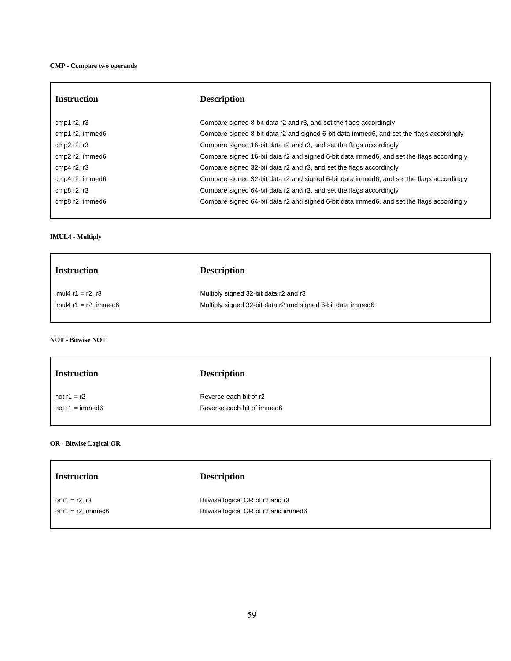| <b>Instruction</b>    | <b>Description</b>                                                                        |
|-----------------------|-------------------------------------------------------------------------------------------|
| cmp1 $r2, r3$         | Compare signed 8-bit data r2 and r3, and set the flags accordingly                        |
| cmp1 r2, immed6       | Compare signed 8-bit data r2 and signed 6-bit data immed6, and set the flags accordingly  |
| cmp $2$ r $2$ , r $3$ | Compare signed 16-bit data r2 and r3, and set the flags accordingly                       |
| cmp2 r2, immed6       | Compare signed 16-bit data r2 and signed 6-bit data immed6, and set the flags accordingly |
| cmp4 $r2, r3$         | Compare signed 32-bit data r2 and r3, and set the flags accordingly                       |
| cmp4 r2, immed6       | Compare signed 32-bit data r2 and signed 6-bit data immed6, and set the flags accordingly |
| cmp $8$ r2, r3        | Compare signed 64-bit data r2 and r3, and set the flags accordingly                       |
| cmp8 r2, immed6       | Compare signed 64-bit data r2 and signed 6-bit data immed6, and set the flags accordingly |

# **IMUL4 - Multiply**

| <b>Instruction</b>       | <b>Description</b>                                          |  |
|--------------------------|-------------------------------------------------------------|--|
| imul4 $r1 = r2$ , r3     | Multiply signed 32-bit data r2 and r3                       |  |
| imul4 $r1 = r2$ , immed6 | Multiply signed 32-bit data r2 and signed 6-bit data immed6 |  |
|                          |                                                             |  |

# **NOT - Bitwise NOT**

| <b>Instruction</b>       | <b>Description</b>         |
|--------------------------|----------------------------|
| not $r1 = r2$            | Reverse each bit of r2     |
| not $r1 = \text{immed}6$ | Reverse each bit of immed6 |
|                          |                            |

# **OR - Bitwise Logical OR**

| <b>Instruction</b>    | <b>Description</b>                  |  |
|-----------------------|-------------------------------------|--|
| or $r1 = r2$ , $r3$   | Bitwise logical OR of r2 and r3     |  |
| or $r1 = r2$ , immed6 | Bitwise logical OR of r2 and immed6 |  |
|                       |                                     |  |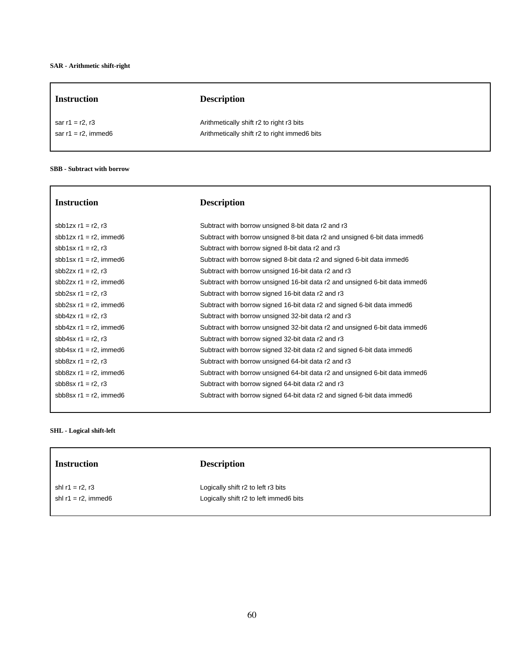| <b>Instruction</b>     | <b>Description</b>                           |  |
|------------------------|----------------------------------------------|--|
| sar $r1 = r2$ , r3     | Arithmetically shift r2 to right r3 bits     |  |
| sar $r1 = r2$ , immed6 | Arithmetically shift r2 to right immed6 bits |  |
|                        |                                              |  |

# **SBB - Subtract with borrow**

| <b>Instruction</b>        | <b>Description</b>                                                          |
|---------------------------|-----------------------------------------------------------------------------|
| sbb1zx $r1 = r2$ , $r3$   | Subtract with borrow unsigned 8-bit data r2 and r3                          |
| sbb1zx $r1 = r2$ , immed6 | Subtract with borrow unsigned 8-bit data r2 and unsigned 6-bit data immed6  |
| sbb1sx $r1 = r2$ , $r3$   | Subtract with borrow signed 8-bit data r2 and r3                            |
| sbb1sx $r1 = r2$ , immed6 | Subtract with borrow signed 8-bit data r2 and signed 6-bit data immed6      |
| sbb2zx $r1 = r2$ , $r3$   | Subtract with borrow unsigned 16-bit data r2 and r3                         |
| sbb2zx $r1 = r2$ , immed6 | Subtract with borrow unsigned 16-bit data r2 and unsigned 6-bit data immed6 |
| sbb2sx $r1 = r2$ , $r3$   | Subtract with borrow signed 16-bit data r2 and r3                           |
| sbb2sx $r1 = r2$ , immed6 | Subtract with borrow signed 16-bit data r2 and signed 6-bit data immed6     |
| sbb4zx $r1 = r2$ , $r3$   | Subtract with borrow unsigned 32-bit data r2 and r3                         |
| sbb4zx $r1 = r2$ , immed6 | Subtract with borrow unsigned 32-bit data r2 and unsigned 6-bit data immed6 |
| sbb4sx $r1 = r2$ , $r3$   | Subtract with borrow signed 32-bit data r2 and r3                           |
| sbb4sx $r1 = r2$ , immed6 | Subtract with borrow signed 32-bit data r2 and signed 6-bit data immed6     |
| sbb8zx $r1 = r2$ , $r3$   | Subtract with borrow unsigned 64-bit data r2 and r3                         |
| sbb8zx $r1 = r2$ , immed6 | Subtract with borrow unsigned 64-bit data r2 and unsigned 6-bit data immed6 |
| sbb8sx $r1 = r2$ , $r3$   | Subtract with borrow signed 64-bit data r2 and r3                           |
| sbb8sx $r1 = r2$ , immed6 | Subtract with borrow signed 64-bit data r2 and signed 6-bit data immed6     |

# **SHL - Logical shift-left**

| <b>Instruction</b>     | <b>Description</b>                     |  |
|------------------------|----------------------------------------|--|
| shl $r1 = r2$ , $r3$   | Logically shift r2 to left r3 bits     |  |
| shl $r1 = r2$ , immed6 | Logically shift r2 to left immed6 bits |  |
|                        |                                        |  |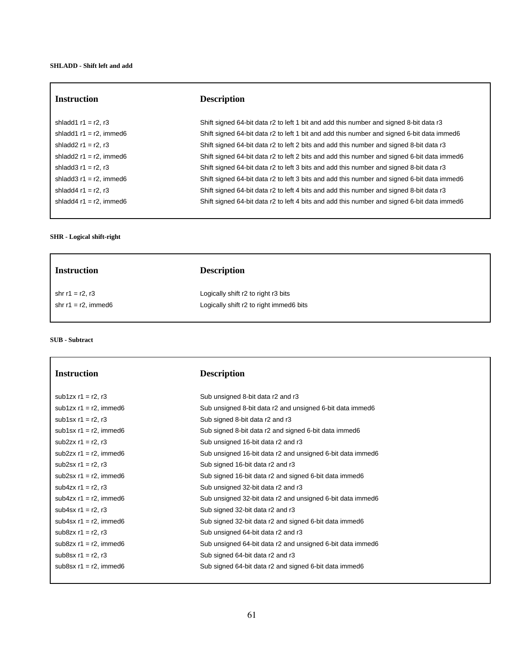# **Instruction Description**

# **SHR - Logical shift-right**

shladd1 r1 = r2, r3 Shift signed 64-bit data r2 to left 1 bit and add this number and signed 8-bit data r3 shladd1 r1 = r2, immed6 Shift signed 64-bit data r2 to left 1 bit and add this number and signed 6-bit data immed6 shladd2 r1 = r2, r3 Shift signed 64-bit data r2 to left 2 bits and add this number and signed 8-bit data r3 shladd2 r1 = r2, immed6 Shift signed 64-bit data r2 to left 2 bits and add this number and signed 6-bit data immed6 shladd3 r1 = r2, r3 Shift signed 64-bit data r2 to left 3 bits and add this number and signed 8-bit data r3 shladd3 r1 = r2, immed6 Shift signed 64-bit data r2 to left 3 bits and add this number and signed 6-bit data immed6 shladd4 r1 = r2, r3 Shift signed 64-bit data r2 to left 4 bits and add this number and signed 8-bit data r3 shladd4 r1 = r2, immed6 Shift signed 64-bit data r2 to left 4 bits and add this number and signed 6-bit data immed6

| <b>Instruction</b>     | <b>Description</b>                      |
|------------------------|-----------------------------------------|
| shr r1 = r2, r3        | Logically shift r2 to right r3 bits     |
| shr $r1 = r2$ , immed6 | Logically shift r2 to right immed6 bits |
|                        |                                         |

**SUB - Subtract**

| <b>Instruction</b>        | <b>Description</b>                                         |
|---------------------------|------------------------------------------------------------|
| sub1zx $r1 = r2$ , $r3$   | Sub unsigned 8-bit data r2 and r3                          |
| sub1zx $r1 = r2$ , immed6 | Sub unsigned 8-bit data r2 and unsigned 6-bit data immed6  |
| sub1sx $r1 = r2$ , $r3$   | Sub signed 8-bit data r2 and r3                            |
| sub1sx $r1 = r2$ , immed6 | Sub signed 8-bit data r2 and signed 6-bit data immed6      |
| sub2zx $r1 = r2$ , $r3$   | Sub unsigned 16-bit data r2 and r3                         |
| sub2zx $r1 = r2$ , immed6 | Sub unsigned 16-bit data r2 and unsigned 6-bit data immed6 |
| sub2sx $r1 = r2$ , $r3$   | Sub signed 16-bit data r2 and r3                           |
| sub2sx $r1 = r2$ , immed6 | Sub signed 16-bit data r2 and signed 6-bit data immed6     |
| sub4zx $r1 = r2$ , $r3$   | Sub unsigned 32-bit data r2 and r3                         |
| sub4zx $r1 = r2$ , immed6 | Sub unsigned 32-bit data r2 and unsigned 6-bit data immed6 |
| sub4sx $r1 = r2$ , $r3$   | Sub signed 32-bit data r2 and r3                           |
| sub4sx $r1 = r2$ , immed6 | Sub signed 32-bit data r2 and signed 6-bit data immed6     |
| sub8zx $r1 = r2$ , $r3$   | Sub unsigned 64-bit data r2 and r3                         |
| sub8zx $r1 = r2$ , immed6 | Sub unsigned 64-bit data r2 and unsigned 6-bit data immed6 |
| sub8sx $r1 = r2$ , r3     | Sub signed 64-bit data r2 and r3                           |
| sub8sx $r1 = r2$ , immed6 | Sub signed 64-bit data r2 and signed 6-bit data immed6     |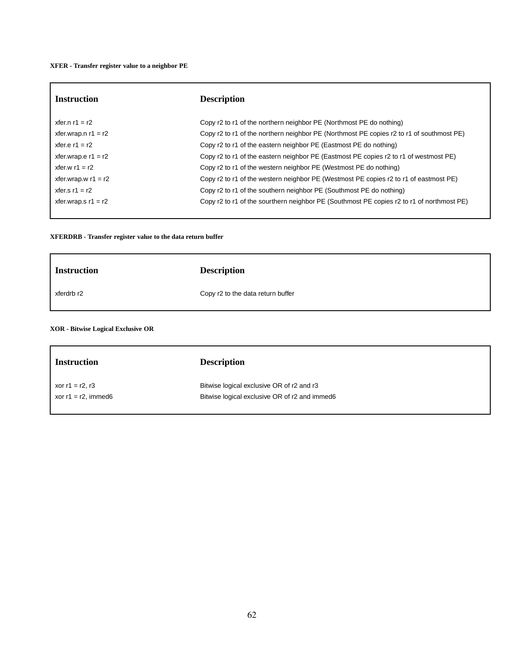### **XFER - Transfer register value to a neighbor PE**

| <b>Instruction</b>    | <b>Description</b>                                                                        |
|-----------------------|-------------------------------------------------------------------------------------------|
| xfer.n $r1 = r2$      | Copy r2 to r1 of the northern neighbor PE (Northmost PE do nothing)                       |
| xfer.wrap.n $r1 = r2$ | Copy r2 to r1 of the northern neighbor PE (Northmost PE copies r2 to r1 of southmost PE)  |
| xfer.e $r1 = r2$      | Copy r2 to r1 of the eastern neighbor PE (Eastmost PE do nothing)                         |
| xfer.wrap.e $r1 = r2$ | Copy r2 to r1 of the eastern neighbor PE (Eastmost PE copies r2 to r1 of westmost PE)     |
| xfer.w $r1 = r2$      | Copy r2 to r1 of the western neighbor PE (Westmost PE do nothing)                         |
| xfer.wrap.w $r1 = r2$ | Copy r2 to r1 of the western neighbor PE (Westmost PE copies r2 to r1 of eastmost PE)     |
| xfer.s $r1 = r2$      | Copy r2 to r1 of the southern neighbor PE (Southmost PE do nothing)                       |
| xfer.wrap.s $r1 = r2$ | Copy r2 to r1 of the sourthern neighbor PE (Southmost PE copies r2 to r1 of northmost PE) |
|                       |                                                                                           |

# **XFERDRB - Transfer register value to the data return buffer**

| <b>Instruction</b> | <b>Description</b>                |
|--------------------|-----------------------------------|
| xferdrb r2         | Copy r2 to the data return buffer |
|                    |                                   |

# **XOR - Bitwise Logical Exclusive OR**

| <b>Instruction</b>     | <b>Description</b>                            |
|------------------------|-----------------------------------------------|
| xor $r1 = r2$ , $r3$   | Bitwise logical exclusive OR of r2 and r3     |
| xor $r1 = r2$ , immed6 | Bitwise logical exclusive OR of r2 and immed6 |
|                        |                                               |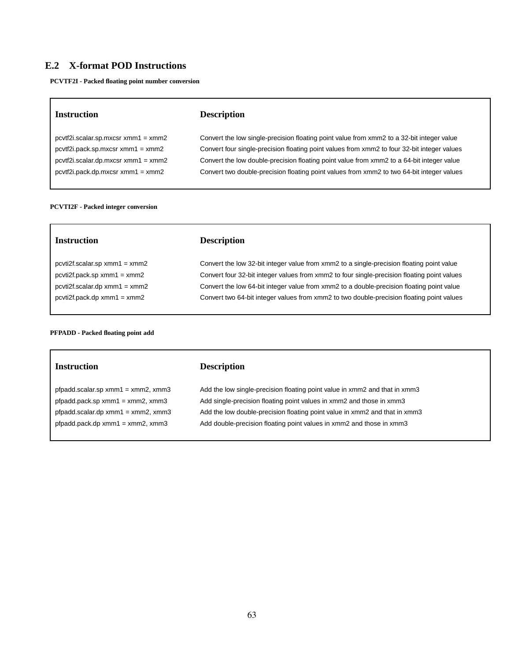# **E.2 X-format POD Instructions**

**PCVTF2I - Packed floating point number conversion**

| Instruction                           | <b>Description</b>                                                                          |
|---------------------------------------|---------------------------------------------------------------------------------------------|
| $pcvtf2i.scalar.sp.mxcsr xmm1 = xmm2$ | Convert the low single-precision floating point value from xmm2 to a 32-bit integer value   |
| $pcvtf2i.pack.sp.mxcsr xmm1 = xmm2$   | Convert four single-precision floating point values from xmm2 to four 32-bit integer values |

pcvtf2i.scalar.dp.mxcsr xmm1 = xmm2 Convert the low double-precision floating point value from xmm2 to a 64-bit integer value pcvtf2i.pack.dp.mxcsr xmm1 = xmm2 Convert two double-precision floating point values from xmm2 to two 64-bit integer values

# **PCVTI2F - Packed integer conversion**

# **Instruction Description**

pcvti2f.scalar.sp xmm1 = xmm2 Convert the low 32-bit integer value from xmm2 to a single-precision floating point value pcvti2f.pack.sp xmm1 = xmm2 Convert four 32-bit integer values from xmm2 to four single-precision floating point values pcvti2f.scalar.dp xmm1 = xmm2 Convert the low 64-bit integer value from xmm2 to a double-precision floating point value pcvti2f.pack.dp xmm1 = xmm2 Convert two 64-bit integer values from xmm2 to two double-precision floating point values

#### **PFPADD - Packed floating point add**

## **Instruction Description**

pfpadd.scalar.sp xmm1 = xmm2, xmm3 Add the low single-precision floating point value in xmm2 and that in xmm3 pfpadd.pack.sp xmm1 = xmm2, xmm3 Add single-precision floating point values in xmm2 and those in xmm3 pfpadd.scalar.dp xmm1 = xmm2, xmm3 Add the low double-precision floating point value in xmm2 and that in xmm3 pfpadd.pack.dp xmm1 = xmm2, xmm3 Add double-precision floating point values in xmm2 and those in xmm3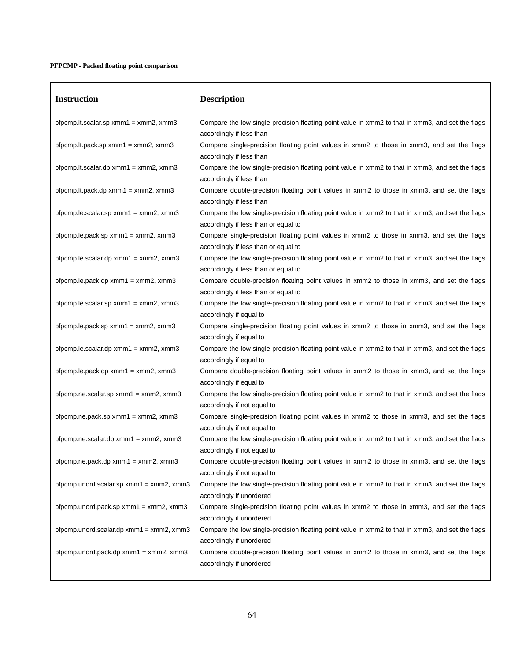| <b>Instruction</b>                            | <b>Description</b>                                                                                                                       |
|-----------------------------------------------|------------------------------------------------------------------------------------------------------------------------------------------|
| $p$ fpcmp.lt.scalar.sp xmm1 = xmm2, xmm3      | Compare the low single-precision floating point value in xmm2 to that in xmm3, and set the flags<br>accordingly if less than             |
| $p$ fpcmp.lt.pack.sp xmm1 = xmm2, xmm3        | Compare single-precision floating point values in xmm2 to those in xmm3, and set the flags<br>accordingly if less than                   |
| $p$ fpcmp.lt.scalar.dp xmm1 = xmm2, xmm3      | Compare the low single-precision floating point value in xmm2 to that in xmm3, and set the flags<br>accordingly if less than             |
| $p$ fpcmp.lt.pack.dp xmm1 = xmm2, xmm3        | Compare double-precision floating point values in xmm2 to those in xmm3, and set the flags<br>accordingly if less than                   |
| $pfpcmp. le.scalar.sp xmm1 = xmm2, xmm3$      | Compare the low single-precision floating point value in xmm2 to that in xmm3, and set the flags<br>accordingly if less than or equal to |
| pfpcmp.le.pack.sp $xmm1 = xmm2$ , $xmm3$      | Compare single-precision floating point values in xmm2 to those in xmm3, and set the flags<br>accordingly if less than or equal to       |
| $pfpcmp. le.scalar.dp xmm1 = xmm2, xmm3$      | Compare the low single-precision floating point value in xmm2 to that in xmm3, and set the flags<br>accordingly if less than or equal to |
| $pfpcmp le.pack.dp xmm1 = xmm2, xmm3$         | Compare double-precision floating point values in xmm2 to those in xmm3, and set the flags<br>accordingly if less than or equal to       |
| pfpcmp.le.scalar.sp $xmm1 = xmm2$ , $xmm3$    | Compare the low single-precision floating point value in xmm2 to that in xmm3, and set the flags<br>accordingly if equal to              |
| $pfpcmp.le.pack_sp xmm1 = xmm2, xmm3$         | Compare single-precision floating point values in xmm2 to those in xmm3, and set the flags<br>accordingly if equal to                    |
| pfpcmp.le.scalar.dp $xmm1 = xmm2$ , $xmm3$    | Compare the low single-precision floating point value in xmm2 to that in xmm3, and set the flags<br>accordingly if equal to              |
| pfpcmp.le.pack.dp $xmm1 = xmm2$ , $xmm3$      | Compare double-precision floating point values in xmm2 to those in xmm3, and set the flags<br>accordingly if equal to                    |
| pfpcmp.ne.scalar.sp $xmm1 = xmm2$ , $xmm3$    | Compare the low single-precision floating point value in xmm2 to that in xmm3, and set the flags<br>accordingly if not equal to          |
| $p$ fpcmp.ne.pack.sp xmm1 = xmm2, xmm3        | Compare single-precision floating point values in xmm2 to those in xmm3, and set the flags<br>accordingly if not equal to                |
| pfpcmp.ne.scalar.dp $xmm1 = xmm2$ , $xmm3$    | Compare the low single-precision floating point value in xmm2 to that in xmm3, and set the flags<br>accordingly if not equal to          |
| $p$ fpcmp.ne.pack.dp xmm1 = xmm2, xmm3        | Compare double-precision floating point values in xmm2 to those in xmm3, and set the flags<br>accordingly if not equal to                |
| pfpcmp.unord.scalar.sp xmm1 = xmm2, xmm3      | Compare the low single-precision floating point value in xmm2 to that in xmm3, and set the flags<br>accordingly if unordered             |
| pfpcmp.unord.pack.sp $xmm1 = xmm2$ , $xmm3$   | Compare single-precision floating point values in xmm2 to those in xmm3, and set the flags<br>accordingly if unordered                   |
| pfpcmp.unord.scalar.dp $xmm1 = xmm2$ , $xmm3$ | Compare the low single-precision floating point value in xmm2 to that in xmm3, and set the flags<br>accordingly if unordered             |
| pfpcmp.unord.pack.dp $xmm1 = xmm2$ , $xmm3$   | Compare double-precision floating point values in xmm2 to those in xmm3, and set the flags<br>accordingly if unordered                   |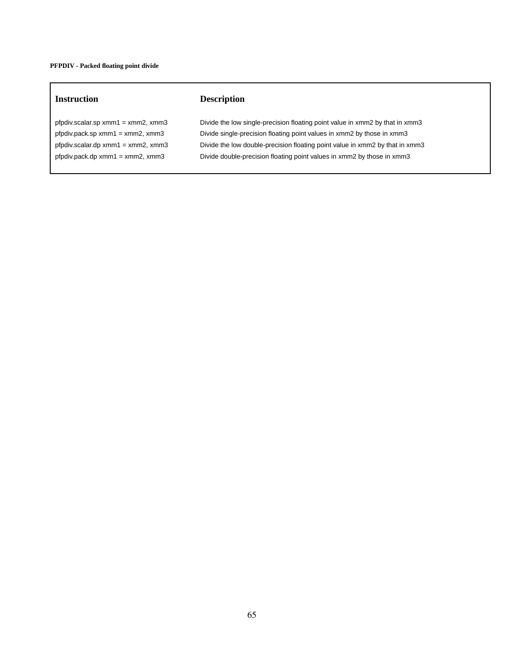# **Instruction Description**

pfpdiv.scalar.sp xmm1 = xmm2, xmm3 Divide the low single-precision floating point value in xmm2 by that in xmm3 pfpdiv.pack.sp xmm1 = xmm2, xmm3 Divide single-precision floating point values in xmm2 by those in xmm3 pfpdiv.scalar.dp xmm1 = xmm2, xmm3 Divide the low double-precision floating point value in xmm2 by that in xmm3 pfpdiv.pack.dp xmm1 = xmm2, xmm3 Divide double-precision floating point values in xmm2 by those in xmm3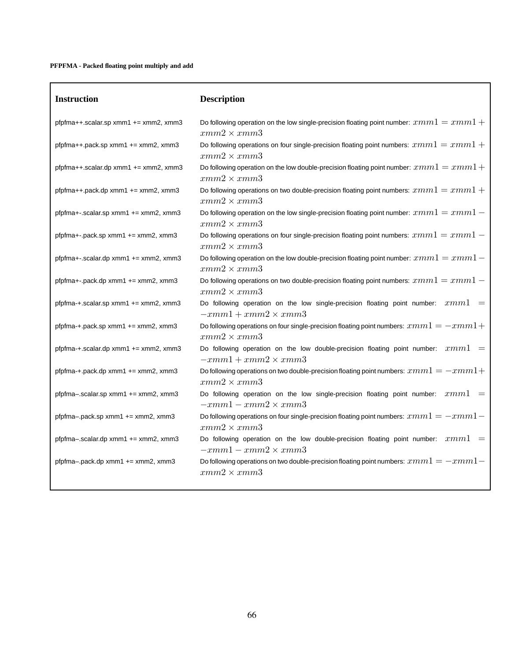# **PFPFMA - Packed floating point multiply and add**

| <b>Instruction</b>                           | <b>Description</b>                                                                                              |
|----------------------------------------------|-----------------------------------------------------------------------------------------------------------------|
| pfpfma++.scalar.sp xmm1 += xmm2, xmm3        | Do following operation on the low single-precision floating point number: $xmm1 = xmm1 +$<br>$xmm2 \times xmm3$ |
| pfpfma++.pack.sp xmm1 += xmm2, xmm3          | Do following operations on four single-precision floating point numbers: $xmm1 = xmm1 +$<br>$xmm2 \times xmm3$  |
| $pfpfma++.scalar.dp xmm1 += xmm2, xmm3$      | Do following operation on the low double-precision floating point number: $xmm1=xmm1+$<br>$xmm2 \times xmm3$    |
| $pfpfma++$ .pack.dp xmm1 $+=$ xmm2, xmm3     | Do following operations on two double-precision floating point numbers: $xmm1 = xmm1 +$<br>$xmm2 \times xmm3$   |
| $pfpfma+.scalar.sp xmm1 += xmm2, xmm3$       | Do following operation on the low single-precision floating point number: $xmm1 = xmm1 -$<br>$xmm2 \times xmm3$ |
| $pfpfma+.$ pack.sp xmm1 $+=$ xmm2, xmm3      | Do following operations on four single-precision floating point numbers: $xmm1 = xmm1 -$<br>$xmm2 \times xmm3$  |
| $pfpfma+.scalar.dp xmm1 += xmm2, xmm3$       | Do following operation on the low double-precision floating point number: $xmm1=xmm1$ –<br>$xmm2 \times xmm3$   |
| $pfpfma+.$ $pack.dp xmm1$ += $xmm2$ , $xmm3$ | Do following operations on two double-precision floating point numbers: $xmm1 = xmm1 -$<br>$xmm2 \times xmm3$   |
| pfpfma-+.scalar.sp xmm1 += xmm2, xmm3        | Do following operation on the low single-precision floating point number: $xmm1$<br>$-xmm1+xmm2\times xmm3$     |
| $pfpfma++pack(sp xmm1 += xmm2, xmm3$         | Do following operations on four single-precision floating point numbers: $xmm1 = -xmm1 +$<br>$xmm2 \times xmm3$ |
| $pfpfma++scalar(dp xmm1 += xmm2, xmm3$       | Do following operation on the low double-precision floating point number: $xmm1 =$<br>$-xmm1+xmm2\times xmm3$   |
| pfpfma-+.pack.dp xmm1 += xmm2, xmm3          | Do following operations on two double-precision floating point numbers: $xmm1 = -xmm1 +$<br>$xmm2 \times xmm3$  |
| pfpfma-.scalar.sp xmm1 += xmm2, xmm3         | Do following operation on the low single-precision floating point number: $xmm1$<br>$-xmm1-xmm2\times xmm3$     |
| $pfpfma$ -pack.sp xmm1 $+=$ xmm2, xmm3       | Do following operations on four single-precision floating point numbers: $xmm1 = -xmm1 -$<br>$xmm2 \times xmm3$ |
| pfpfma-.scalar.dp xmm1 $+=$ xmm2, xmm3       | Do following operation on the low double-precision floating point number: $xmm1 =$<br>$-xmm1-xmm2\times xmm3$   |
| $pfpfma$ -pack.dp xmm1 $+=$ xmm2, xmm3       | Do following operations on two double-precision floating point numbers: $xmm1 = -xmm1 -$<br>$xmm2 \times xmm3$  |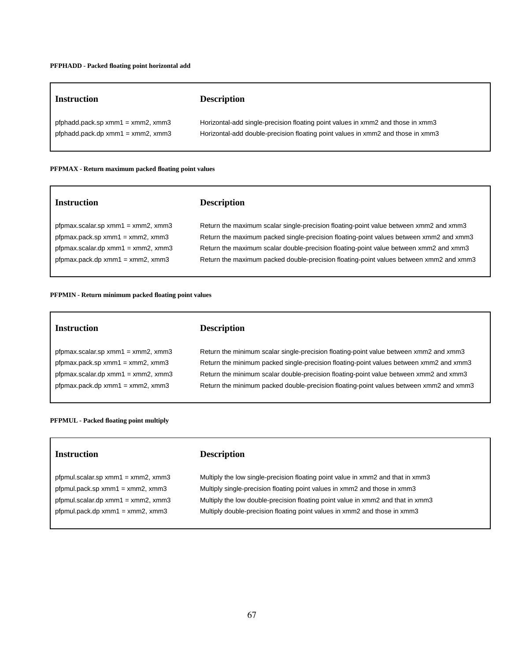| <b>Instruction</b>                     | <b>Description</b>                                                              |
|----------------------------------------|---------------------------------------------------------------------------------|
| pfphadd.pack.sp $xmm1 = xmm2$ , $xmm3$ | Horizontal-add single-precision floating point values in xmm2 and those in xmm3 |
| pfphadd.pack.dp $xmm1 = xmm2$ , $xmm3$ | Horizontal-add double-precision floating point values in xmm2 and those in xmm3 |

#### **PFPMAX - Return maximum packed floating point values**

# **Instruction Description** pfpmax.scalar.sp xmm1 = xmm2, xmm3 Return the maximum scalar single-precision floating-point value between xmm2 and xmm3 pfpmax.pack.sp xmm1 = xmm2, xmm3 Return the maximum packed single-precision floating-point values between xmm2 and xmm3 pfpmax.scalar.dp xmm1 = xmm2, xmm3 Return the maximum scalar double-precision floating-point value between xmm2 and xmm3 pfpmax.pack.dp xmm1 = xmm2, xmm3 Return the maximum packed double-precision floating-point values between xmm2 and xmm3

**PFPMIN - Return minimum packed floating point values**

| Instruction                             | <b>Description</b>                                                                    |
|-----------------------------------------|---------------------------------------------------------------------------------------|
| pfpmax.scalar.sp $xmm1 = xmm2$ , $xmm3$ | Return the minimum scalar single-precision floating-point value between xmm2 and xmm3 |

pfpmax.pack.dp xmm1 = xmm2, xmm3 Return the minimum packed double-precision floating-point values between xmm2 and xmm3

# pfpmax.pack.sp xmm1 = xmm2, xmm3 Return the minimum packed single-precision floating-point values between xmm2 and xmm3 pfpmax.scalar.dp xmm1 = xmm2, xmm3 Return the minimum scalar double-precision floating-point value between xmm2 and xmm3

## **PFPMUL - Packed floating point multiply**

| <b>Instruction</b> |
|--------------------|
|                    |

# **Instruction Description**

pfpmul.scalar.sp xmm1 = xmm2, xmm3 Multiply the low single-precision floating point value in xmm2 and that in xmm3 pfpmul.pack.sp xmm1 = xmm2, xmm3 Multiply single-precision floating point values in xmm2 and those in xmm3 pfpmul.scalar.dp xmm1 = xmm2, xmm3 Multiply the low double-precision floating point value in xmm2 and that in xmm3 pfpmul.pack.dp xmm1 = xmm2, xmm3 Multiply double-precision floating point values in xmm2 and those in xmm3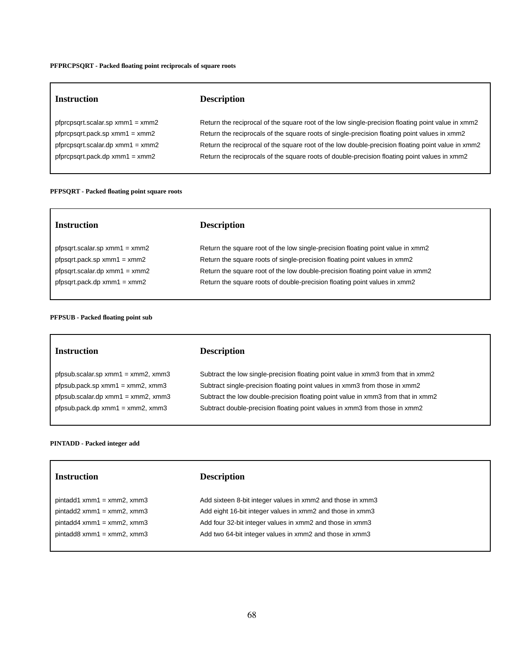#### **PFPRCPSQRT - Packed floating point reciprocals of square roots**

| <b>Instruction</b>                                                         | <b>Description</b>                                                                                                                                                                                |
|----------------------------------------------------------------------------|---------------------------------------------------------------------------------------------------------------------------------------------------------------------------------------------------|
| pfprcpsqrt.scalar.sp $xmm1 = xmm2$                                         | Return the reciprocal of the square root of the low single-precision floating point value in xmm2                                                                                                 |
| $p$ fpr $cpsqrt(pack(sp xmm1 = xmm2$<br>pfprcpsgrt.scalar.dp $xmm1 = xmm2$ | Return the reciprocals of the square roots of single-precision floating point values in xmm2<br>Return the reciprocal of the square root of the low double-precision floating point value in xmm2 |
| $p$ fpr $cpsqrtlogct.pack.dp xmm1 = xmm2$                                  | Return the reciprocals of the square roots of double-precision floating point values in xmm2                                                                                                      |

#### **PFPSQRT - Packed floating point square roots**

| <b>Instruction</b>                  | <b>Description</b>                                                              |
|-------------------------------------|---------------------------------------------------------------------------------|
| $pfgsqrt{1}$ .scalar.sp xmm1 = xmm2 | Return the square root of the low single-precision floating point value in xmm2 |
| $pfgsqrt(pack(sp xmm1 = xmm2$       | Return the square roots of single-precision floating point values in xmm2       |
| $pfgsqrt{1}$ .scalar.dp xmm1 = xmm2 | Return the square root of the low double-precision floating point value in xmm2 |
| $p fpsqrt.pack.dp xmm1 = xmm2$      | Return the square roots of double-precision floating point values in xmm2       |
|                                     |                                                                                 |

### **PFPSUB - Packed floating point sub**

## **Instruction Description**

 $\Gamma$ 

pfpsub.scalar.sp xmm1 = xmm2, xmm3 Subtract the low single-precision floating point value in xmm3 from that in xmm2 pfpsub.pack.sp xmm1 = xmm2, xmm3 Subtract single-precision floating point values in xmm3 from those in xmm2 pfpsub.scalar.dp xmm1 = xmm2, xmm3 Subtract the low double-precision floating point value in xmm3 from that in xmm2 pfpsub.pack.dp xmm1 = xmm2, xmm3 Subtract double-precision floating point values in xmm3 from those in xmm2

### **PINTADD - Packed integer add**

# **Instruction Description**

| pintadd1 xmm1 = xmm2, xmm3 |
|----------------------------|
| pintadd2 xmm1 = xmm2, xmm3 |
| pintadd4 xmm1 = xmm2, xmm3 |
| pintadd8 xmm1 = xmm2, xmm3 |

Add sixteen 8-bit integer values in xmm2 and those in xmm3 Add eight 16-bit integer values in xmm2 and those in xmm3 Add four 32-bit integer values in xmm2 and those in xmm3 Add two 64-bit integer values in xmm2 and those in xmm3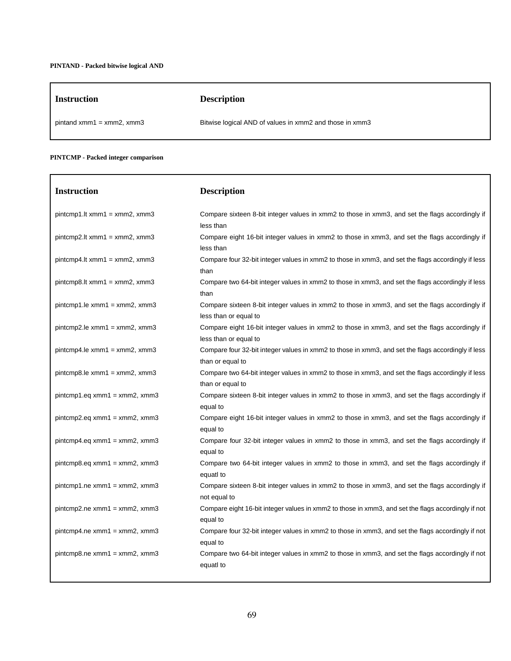| <b>Instruction</b>             | <b>Description</b>                                      |
|--------------------------------|---------------------------------------------------------|
| pintand $xmm1 = xmm2$ , $xmm3$ | Bitwise logical AND of values in xmm2 and those in xmm3 |

٦

# **PINTCMP - Packed integer comparison**

| <b>Instruction</b>               | <b>Description</b>                                                                                                       |
|----------------------------------|--------------------------------------------------------------------------------------------------------------------------|
| $pintcmp1.lt xmm1 = xmm2, xmm3$  | Compare sixteen 8-bit integer values in xmm2 to those in xmm3, and set the flags accordingly if<br>less than             |
| $pintcmp2. It xmm1 = xmm2, xmm3$ | Compare eight 16-bit integer values in xmm2 to those in xmm3, and set the flags accordingly if<br>less than              |
| $pintcmp4.lt xmm1 = xmm2, xmm3$  | Compare four 32-bit integer values in xmm2 to those in xmm3, and set the flags accordingly if less<br>than               |
| $pintcmp8. It xmm1 = xmm2, xmm3$ | Compare two 64-bit integer values in xmm2 to those in xmm3, and set the flags accordingly if less<br>than                |
| $pintcmp1. le xmm1 = xmm2, xmm3$ | Compare sixteen 8-bit integer values in xmm2 to those in xmm3, and set the flags accordingly if<br>less than or equal to |
| $pintcmp2.le xmm1 = xmm2, xmm3$  | Compare eight 16-bit integer values in xmm2 to those in xmm3, and set the flags accordingly if<br>less than or equal to  |
| $pintcmp4. le xmm1 = xmm2, xmm3$ | Compare four 32-bit integer values in xmm2 to those in xmm3, and set the flags accordingly if less<br>than or equal to   |
| $pintcmp8. le xmm1 = xmm2, xmm3$ | Compare two 64-bit integer values in xmm2 to those in xmm3, and set the flags accordingly if less<br>than or equal to    |
| $pintcmp1.eq xmm1 = xmm2, xmm3$  | Compare sixteen 8-bit integer values in xmm2 to those in xmm3, and set the flags accordingly if<br>equal to              |
| $pintcmp2.eq xmm1 = xmm2, xmm3$  | Compare eight 16-bit integer values in xmm2 to those in xmm3, and set the flags accordingly if<br>equal to               |
| $pintcmp4.eq xmm1 = xmm2, xmm3$  | Compare four 32-bit integer values in xmm2 to those in xmm3, and set the flags accordingly if<br>equal to                |
| $pintcmp8.eq xmm1 = xmm2, xmm3$  | Compare two 64-bit integer values in xmm2 to those in xmm3, and set the flags accordingly if<br>equatl to                |
| $pintcmp1.ne xmm1 = xmm2, xmm3$  | Compare sixteen 8-bit integer values in xmm2 to those in xmm3, and set the flags accordingly if<br>not equal to          |
| $pintcmp2.ne xmm1 = xmm2, xmm3$  | Compare eight 16-bit integer values in xmm2 to those in xmm3, and set the flags accordingly if not<br>equal to           |
| $pintcmp4.ne xmm1 = xmm2, xmm3$  | Compare four 32-bit integer values in xmm2 to those in xmm3, and set the flags accordingly if not<br>equal to            |
| $pintcmp8.$ ne xmm1 = xmm2, xmm3 | Compare two 64-bit integer values in xmm2 to those in xmm3, and set the flags accordingly if not<br>equatl to            |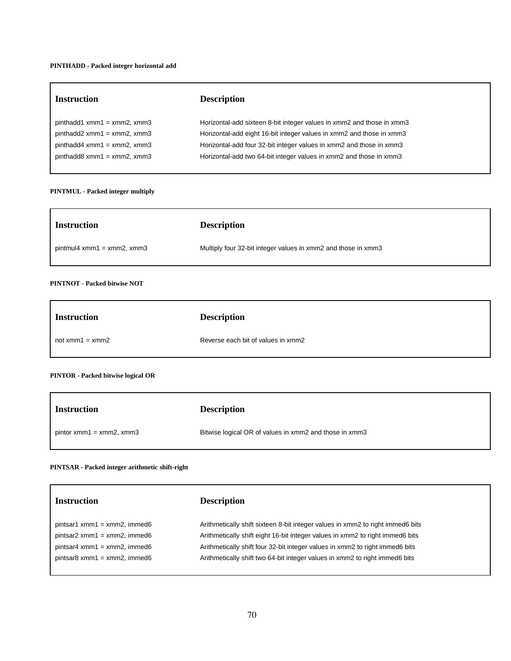### **PINTHADD - Packed integer horizontal add**

| <b>Instruction</b>            | <b>Description</b>                                                    |
|-------------------------------|-----------------------------------------------------------------------|
| $pinthadd1 xmm1 = xmm2, xmm3$ | Horizontal-add sixteen 8-bit integer values in xmm2 and those in xmm3 |
| $pinthadd2 xmm1 = xmm2, xmm3$ | Horizontal-add eight 16-bit integer values in xmm2 and those in xmm3  |
| $pinthadd4 xmm1 = xmm2, xmm3$ | Horizontal-add four 32-bit integer values in xmm2 and those in xmm3   |
| $pinthadd8 xmm1 = xmm2, xmm3$ | Horizontal-add two 64-bit integer values in xmm2 and those in xmm3    |
|                               |                                                                       |

# **PINTMUL - Packed integer multiply**

| <b>Instruction</b>           | <b>Description</b>                                            |
|------------------------------|---------------------------------------------------------------|
| $pintmul4 xmm1 = xmm2, xmm3$ | Multiply four 32-bit integer values in xmm2 and those in xmm3 |

# **PINTNOT - Packed bitwise NOT**

| <b>Instruction</b> | <b>Description</b>                 |
|--------------------|------------------------------------|
| $not xmm1 = xmm2$  | Reverse each bit of values in xmm2 |

# **PINTOR - Packed bitwise logical OR**

| <b>Instruction</b>         | <b>Description</b>                                     |
|----------------------------|--------------------------------------------------------|
| $pintor xmm1 = xmm2, xmm3$ | Bitwise logical OR of values in xmm2 and those in xmm3 |

## **PINTSAR - Packed integer arithmetic shift-right**

| <b>Instruction</b>              | <b>Description</b>                                                             |
|---------------------------------|--------------------------------------------------------------------------------|
| $pintsar1 xmm1 = xmm2$ , immed6 | Arithmetically shift sixteen 8-bit integer values in xmm2 to right immed6 bits |
| $pintsar2 xmm1 = xmm2$ , immed6 | Arithmetically shift eight 16-bit integer values in xmm2 to right immed6 bits  |
| $pintsar4 xmm1 = xmm2$ , immed6 | Arithmetically shift four 32-bit integer values in xmm2 to right immed6 bits   |
| $pintsar8 xmm1 = xmm2$ , immed6 | Arithmetically shift two 64-bit integer values in xmm2 to right immed6 bits    |
|                                 |                                                                                |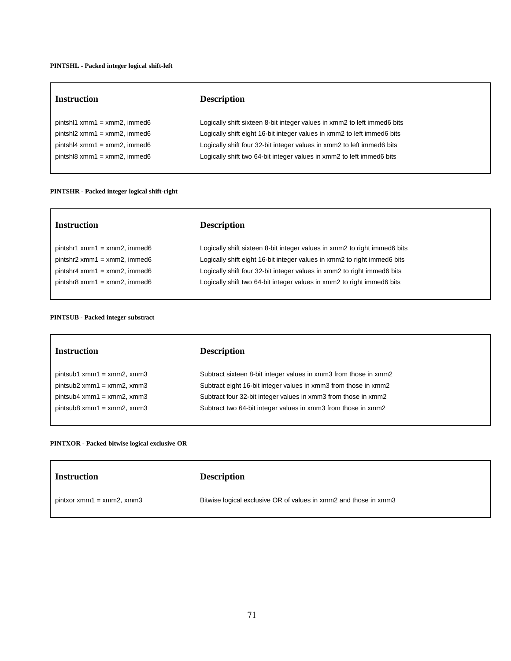# **PINTSHL - Packed integer logical shift-left**

| <b>Instruction</b>              | <b>Description</b>                                                       |
|---------------------------------|--------------------------------------------------------------------------|
| $pintsh1$ xmm1 = xmm2, immed6   | Logically shift sixteen 8-bit integer values in xmm2 to left immed6 bits |
| $pintsh2 xmm1 = xmm2$ , immed6  | Logically shift eight 16-bit integer values in xmm2 to left immed6 bits  |
| $pintsh4 xmm1 = xmm2$ , immed6  | Logically shift four 32-bit integer values in xmm2 to left immed6 bits   |
| $pintsh18 xmm1 = xmm2$ , immed6 | Logically shift two 64-bit integer values in xmm2 to left immed6 bits    |
|                                 |                                                                          |

# **PINTSHR - Packed integer logical shift-right**

| <b>Instruction</b>              | <b>Description</b>                                                        |
|---------------------------------|---------------------------------------------------------------------------|
| $pintshr1 xmm1 = xmm2$ , immed6 | Logically shift sixteen 8-bit integer values in xmm2 to right immed6 bits |
| $pintshr2 xmm1 = xmm2$ , immed6 | Logically shift eight 16-bit integer values in xmm2 to right immed6 bits  |
| $pintshr4 xmm1 = xmm2$ , immed6 | Logically shift four 32-bit integer values in xmm2 to right immed6 bits   |
| $pintshr8 xmm1 = xmm2$ , immed6 | Logically shift two 64-bit integer values in xmm2 to right immed6 bits    |
|                                 |                                                                           |

# **PINTSUB - Packed integer substract**

| <b>Instruction</b>           | <b>Description</b>                                               |
|------------------------------|------------------------------------------------------------------|
| $pintsub1 xmm1 = xmm2, xmm3$ | Subtract sixteen 8-bit integer values in xmm3 from those in xmm2 |
| $pintsub2 xmm1 = xmm2, xmm3$ | Subtract eight 16-bit integer values in xmm3 from those in xmm2  |
| $pintsub4 xmm1 = xmm2, xmm3$ | Subtract four 32-bit integer values in xmm3 from those in xmm2   |
| $pintsub8 xmm1 = xmm2, xmm3$ | Subtract two 64-bit integer values in xmm3 from those in xmm2    |
|                              |                                                                  |

# **PINTXOR - Packed bitwise logical exclusive OR**

| Instruction                 | <b>Description</b>                                               |
|-----------------------------|------------------------------------------------------------------|
| $pintxor xmm1 = xmm2, xmm3$ | Bitwise logical exclusive OR of values in xmm2 and those in xmm3 |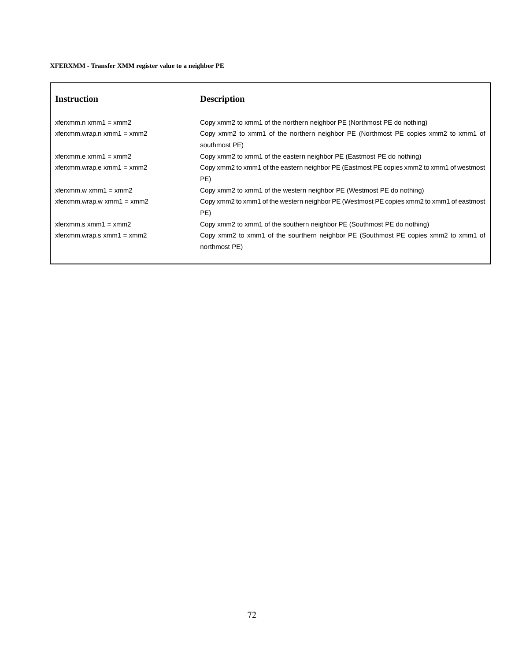# **XFERXMM - Transfer XMM register value to a neighbor PE**

| <b>Instruction</b>                      | <b>Description</b>                                                                                   |
|-----------------------------------------|------------------------------------------------------------------------------------------------------|
| $x$ ferxmm.n xmm1 = xmm2                | Copy xmm2 to xmm1 of the northern neighbor PE (Northmost PE do nothing)                              |
| $x$ ferxmm.wrap.n xmm1 = xmm2           | Copy xmm2 to xmm1 of the northern neighbor PE (Northmost PE copies xmm2 to xmm1 of<br>southmost PE)  |
| $x$ ferxmm.e xmm1 = xmm2                | Copy xmm2 to xmm1 of the eastern neighbor PE (Eastmost PE do nothing)                                |
| $x$ ferxmm.wrap.e $x$ mm $1 = x$ mm $2$ | Copy xmm2 to xmm1 of the eastern neighbor PE (Eastmost PE copies xmm2 to xmm1 of westmost<br>PE)     |
| $x$ ferxmm.w xmm1 = xmm2                | Copy xmm2 to xmm1 of the western neighbor PE (Westmost PE do nothing)                                |
| $x$ ferxmm.wrap.w xmm1 = xmm2           | Copy xmm2 to xmm1 of the western neighbor PE (Westmost PE copies xmm2 to xmm1 of eastmost<br>PE)     |
| $x$ ferxmm.s $x$ mm $1 = x$ mm $2$      | Copy xmm2 to xmm1 of the southern neighbor PE (Southmost PE do nothing)                              |
| xferxmm.wrap.s $xmm1 = xmm2$            | Copy xmm2 to xmm1 of the sourthern neighbor PE (Southmost PE copies xmm2 to xmm1 of<br>northmost PE) |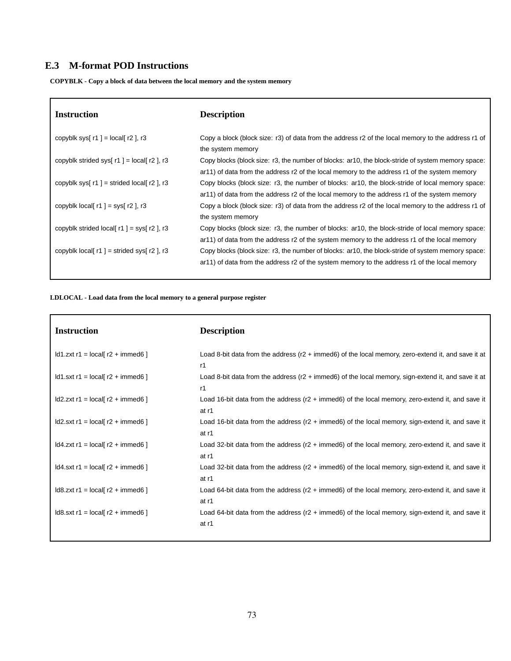# **E.3 M-format POD Instructions**

**COPYBLK - Copy a block of data between the local memory and the system memory**

| <b>Instruction</b>                                 | <b>Description</b>                                                                                                                                                                                |
|----------------------------------------------------|---------------------------------------------------------------------------------------------------------------------------------------------------------------------------------------------------|
| copyblk sys[ $r1$ ] = local[ $r2$ ], $r3$          | Copy a block (block size: r3) of data from the address r2 of the local memory to the address r1 of<br>the system memory                                                                           |
| copyblk strided sys[ $r1$ ] = local[ $r2$ ], r3    | Copy blocks (block size: r3, the number of blocks: ar10, the block-stride of system memory space:<br>ar11) of data from the address r2 of the local memory to the address r1 of the system memory |
| copyblk sys[ $r1$ ] = strided local[ $r2$ ], $r3$  | Copy blocks (block size: r3, the number of blocks: ar10, the block-stride of local memory space:<br>ar11) of data from the address r2 of the local memory to the address r1 of the system memory  |
| copyblk local $r1$ = sys $r2$ , $r3$               | Copy a block (block size: r3) of data from the address r2 of the local memory to the address r1 of<br>the system memory                                                                           |
| copyblk strided local $r1$ = sys $r2$ , $r3$       | Copy blocks (block size: r3, the number of blocks: ar10, the block-stride of local memory space:<br>ar11) of data from the address r2 of the system memory to the address r1 of the local memory  |
| copyblk $\text{local}$ r1 ] = strided sys r2 ], r3 | Copy blocks (block size: r3, the number of blocks: ar10, the block-stride of system memory space:<br>ar11) of data from the address r2 of the system memory to the address r1 of the local memory |

# **LDLOCAL - Load data from the local memory to a general purpose register**

| <b>Description</b>                                                                                                   |
|----------------------------------------------------------------------------------------------------------------------|
| Load 8-bit data from the address $(r2 + \text{immed6})$ of the local memory, zero-extend it, and save it at          |
| r1<br>Load 8-bit data from the address ( $r2 + \text{immed}6$ ) of the local memory, sign-extend it, and save it at  |
| r1                                                                                                                   |
| Load 16-bit data from the address $(r2 + immed6)$ of the local memory, zero-extend it, and save it<br>at r1          |
| Load 16-bit data from the address (r2 + immed6) of the local memory, sign-extend it, and save it<br>at r1            |
| Load 32-bit data from the address ( $r2$ + immed6) of the local memory, zero-extend it, and save it<br>at r1         |
| Load 32-bit data from the address $(r2 + \text{immed6})$ of the local memory, sign-extend it, and save it<br>at r1   |
| Load 64-bit data from the address ( $r2 + \text{immed6}$ ) of the local memory, zero-extend it, and save it<br>at r1 |
| Load 64-bit data from the address ( $r2$ + immed6) of the local memory, sign-extend it, and save it<br>at r1         |
|                                                                                                                      |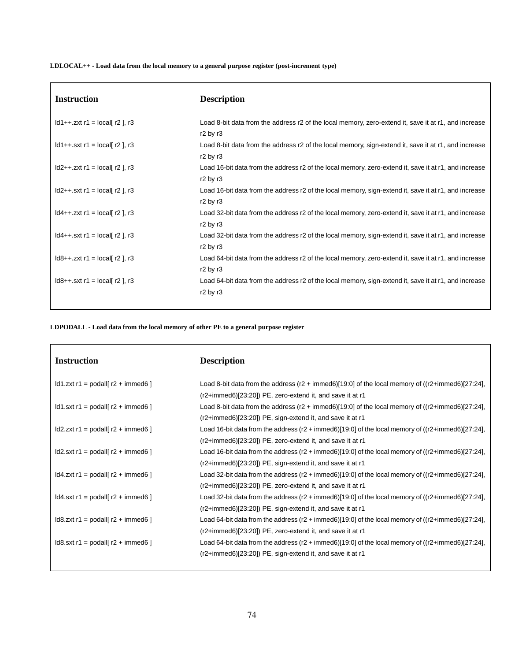**LDLOCAL++ - Load data from the local memory to a general purpose register (post-increment type)**

| <b>Instruction</b>                                     | <b>Description</b>                                                                                                                        |
|--------------------------------------------------------|-------------------------------------------------------------------------------------------------------------------------------------------|
| $\text{Id}1++.$ zxt r1 = local[ r2 ], r3               | Load 8-bit data from the address r2 of the local memory, zero-extend it, save it at r1, and increase<br>$r2$ by $r3$                      |
| $\text{Id}1++$ .sxt r1 = $\text{local}$ r2 ], r3       | Load 8-bit data from the address r2 of the local memory, sign-extend it, save it at r1, and increase<br>r <sub>2</sub> by r <sub>3</sub>  |
| $\text{Id2++}.zxt r1 = \text{local} [r2], r3$          | Load 16-bit data from the address r2 of the local memory, zero-extend it, save it at r1, and increase<br>$r2$ by $r3$                     |
| $\text{Id2++}.sxt r1 = \text{local} [r2], r3$          | Load 16-bit data from the address r2 of the local memory, sign-extend it, save it at r1, and increase<br>r <sub>2</sub> by r <sub>3</sub> |
| $\text{Id4++}.zxt r1 = \text{local} [r2], r3$          | Load 32-bit data from the address r2 of the local memory, zero-extend it, save it at r1, and increase<br>$r2$ by $r3$                     |
| $\text{Id4++}.sxt r1 = \text{local} [r2], r3$          | Load 32-bit data from the address r2 of the local memory, sign-extend it, save it at r1, and increase<br>$r2$ by $r3$                     |
| $\text{Id8++}.zxt r1 = \text{local} [r2], r3$          | Load 64-bit data from the address r2 of the local memory, zero-extend it, save it at r1, and increase<br>$r2$ by $r3$                     |
| $\text{Id8++}. \text{sxt } r1 = \text{local}$ r2 ], r3 | Load 64-bit data from the address r2 of the local memory, sign-extend it, save it at r1, and increase<br>$r2$ by $r3$                     |
|                                                        |                                                                                                                                           |

**LDPODALL - Load data from the local memory of other PE to a general purpose register**

| <b>Instruction</b>                                                    | <b>Description</b>                                                                                                     |
|-----------------------------------------------------------------------|------------------------------------------------------------------------------------------------------------------------|
| $\text{Id}1$ .zxt r1 = podall $\lceil$ r2 + immed6 $\rceil$           | Load 8-bit data from the address (r2 + immed6)[19:0] of the local memory of ((r2+immed6)[27:24],                       |
|                                                                       | $(r2+immed6)[23:20]$ PE, zero-extend it, and save it at r1                                                             |
| $\text{Id}1.\text{sxt}$ r1 = podall $\lceil$ r2 + immed6 $\rceil$     | Load 8-bit data from the address $(r2 + \text{immed6})[19.0]$ of the local memory of $((r2 + \text{immed6})[27.24]$ ,  |
|                                                                       | $(r2+immed6)[23:20]$ PE, sign-extend it, and save it at r1                                                             |
| $\text{Id2}$ .zxt r1 = podall $\lceil$ r2 + immed6 $\rceil$           | Load 16-bit data from the address (r2 + immed6)[19:0] of the local memory of ((r2+immed6)[27:24],                      |
|                                                                       | (r2+immed6)[23:20]) PE, zero-extend it, and save it at r1                                                              |
| $\text{Id2}.\text{sxt}$ r1 = podall $\text{I}$ r2 + immed6 $\text{I}$ | Load 16-bit data from the address (r2 + immed6)[19:0] of the local memory of ((r2+immed6)[27:24],                      |
|                                                                       | $(r2+immed6)[23:20]$ PE, sign-extend it, and save it at r1                                                             |
| $\text{Id}4$ .zxt r1 = podall[ r2 + immed6 ]                          | Load 32-bit data from the address (r2 + immed6)[19:0] of the local memory of ((r2+immed6)[27:24],                      |
|                                                                       | (r2+immed6)[23:20]) PE, zero-extend it, and save it at r1                                                              |
| $\text{Id}4.\text{sxt}$ r1 = podall $\lceil$ r2 + immed6 $\rceil$     | Load 32-bit data from the address $(r2 + \text{immed6})[19:0]$ of the local memory of $((r2 + \text{immed6})[27:24]$ , |
|                                                                       | $(r2+immed6)[23:20]$ PE, sign-extend it, and save it at r1                                                             |
| $\text{Id8}$ .zxt r1 = podall $\text{I}$ r2 + immed6 $\text{I}$       | Load 64-bit data from the address $(r2 + \text{immed6})[19:0]$ of the local memory of $((r2 + \text{immed6})[27:24]$ , |
|                                                                       | $(r2+immed6)[23:20]$ PE, zero-extend it, and save it at r1                                                             |
| $\text{Id8}.\text{sxt}$ r1 = podall $\text{I}$ r2 + immed6 $\text{I}$ | Load 64-bit data from the address (r2 + immed6)[19:0] of the local memory of ((r2+immed6)[27:24],                      |
|                                                                       | $(r2+immed6)[23:20]$ PE, sign-extend it, and save it at r1                                                             |
|                                                                       |                                                                                                                        |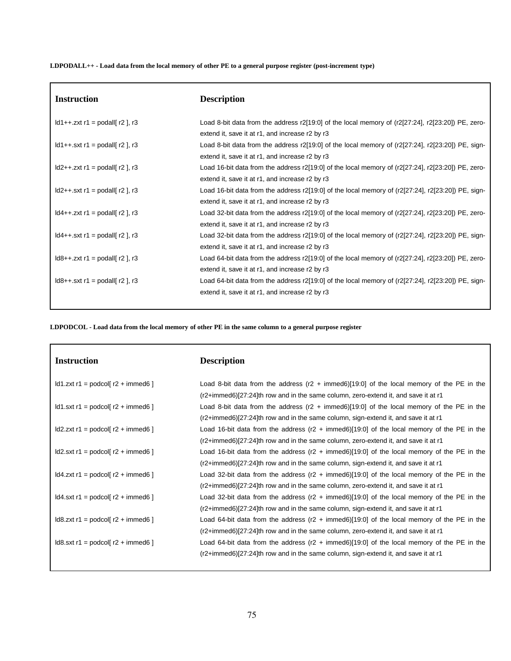LDPODALL++ - Load data from the local memory of other PE to a general purpose register (post-increment type)

| <b>Instruction</b>                                        | <b>Description</b>                                                                                         |
|-----------------------------------------------------------|------------------------------------------------------------------------------------------------------------|
| $\text{Id}1++$ .zxt r1 = podall $\lceil$ r2 $\rceil$ , r3 | Load 8-bit data from the address r2[19:0] of the local memory of ( $r2$ [27:24], $r2$ [23:20]) PE, zero-   |
|                                                           | extend it, save it at r1, and increase r2 by r3                                                            |
| $\text{Id}1++$ .sxt r1 = podall $\lceil$ r2 $\rceil$ , r3 | Load 8-bit data from the address $r2[19:0]$ of the local memory of ( $r2[27:24]$ , $r2[23:20]$ ) PE, sign- |
|                                                           | extend it, save it at r1, and increase r2 by r3                                                            |
| $\text{Id2++}.zxt r1 = \text{podall}$ r2, r3              | Load 16-bit data from the address r2[19:0] of the local memory of (r2[27:24], r2[23:20]) PE, zero-         |
|                                                           | extend it, save it at r1, and increase r2 by r3                                                            |
| $\text{Id2++}.sxt r1 = \text{podall}$ r2 ], r3            | Load 16-bit data from the address r2[19:0] of the local memory of (r2[27:24], r2[23:20]) PE, sign-         |
|                                                           | extend it, save it at r1, and increase r2 by r3                                                            |
| $\text{Id4++}.zxt r1 = \text{podall}$ r2 ], r3            | Load 32-bit data from the address r2[19:0] of the local memory of (r2[27:24], r2[23:20]) PE, zero-         |
|                                                           | extend it, save it at r1, and increase r2 by r3                                                            |
| $\text{Id4++}.sxt r1 = \text{podall}$ r2, r3              | Load 32-bit data from the address r2[19:0] of the local memory of ( $r2$ [27:24], $r2$ [23:20]) PE, sign-  |
|                                                           | extend it, save it at r1, and increase r2 by r3                                                            |
| $\frac{1}{8} + .2x$ t r1 = podall[ r2 ], r3               | Load 64-bit data from the address r2[19:0] of the local memory of ( $r2$ [27:24], $r2$ [23:20]) PE, zero-  |
|                                                           | extend it, save it at r1, and increase r2 by r3                                                            |
| $\text{Id8++}.sxt r1 = \text{podall}$ r2 ], r3            | Load 64-bit data from the address r2[19:0] of the local memory of ( $r2$ [27:24], $r2$ [23:20]) PE, sign-  |
|                                                           | extend it, save it at r1, and increase r2 by r3                                                            |

LDPODCOL - Load data from the local memory of other PE in the same column to a general purpose register

| <b>Instruction</b>                                             | <b>Description</b>                                                                                   |
|----------------------------------------------------------------|------------------------------------------------------------------------------------------------------|
| $\text{Id}1$ .zxt r1 = podcol[ r2 + immed6 ]                   | Load 8-bit data from the address ( $r2 + \text{immed6}$ )[19:0] of the local memory of the PE in the |
|                                                                | (r2+immed6)[27:24]th row and in the same column, zero-extend it, and save it at r1                   |
| $\text{Id}1.\text{sxt}$ r1 = podcol[ r2 + immed6 ]             | Load 8-bit data from the address ( $r2 + immed6$ )[19:0] of the local memory of the PE in the        |
|                                                                | (r2+immed6)[27:24]th row and in the same column, sign-extend it, and save it at r1                   |
| $\text{Id2}$ .zxt r1 = podcol[ r2 + immed6 ]                   | Load 16-bit data from the address (r2 + immed6)[19:0] of the local memory of the PE in the           |
|                                                                | (r2+immed6)[27:24]th row and in the same column, zero-extend it, and save it at r1                   |
| $\text{Id2.sxt r1} = \text{podcol}[\text{r2} + \text{immed6}]$ | Load 16-bit data from the address $(r2 + immed6)[19:0]$ of the local memory of the PE in the         |
|                                                                | (r2+immed6)[27:24]th row and in the same column, sign-extend it, and save it at r1                   |
| $\text{Id}4$ .zxt r1 = podcol[ r2 + immed6 ]                   | Load 32-bit data from the address $(r2 + immed6)[19:0]$ of the local memory of the PE in the         |
|                                                                | (r2+immed6)[27:24]th row and in the same column, zero-extend it, and save it at r1                   |
| $\text{Id}4.\text{sxt}$ r1 = podcol[ r2 + immed6 ]             | Load 32-bit data from the address $(r2 + immed6)[19:0]$ of the local memory of the PE in the         |
|                                                                | (r2+immed6)[27:24]th row and in the same column, sign-extend it, and save it at r1                   |
| $\text{Id8}.zxt r1 = \text{podcol}[r2 + \text{immed6}]$        | Load 64-bit data from the address $(r2 + immed6)[19:0]$ of the local memory of the PE in the         |
|                                                                | (r2+immed6)[27:24]th row and in the same column, zero-extend it, and save it at r1                   |
| $\text{Id8}.\text{sxt}$ r1 = podcol[ r2 + immed6 ]             | Load 64-bit data from the address $(r2 + immed6)[19:0]$ of the local memory of the PE in the         |
|                                                                | (r2+immed6)[27:24]th row and in the same column, sign-extend it, and save it at r1                   |
|                                                                |                                                                                                      |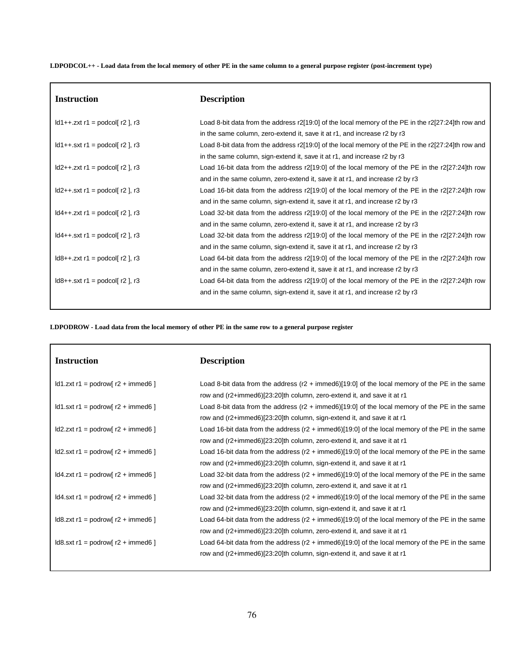LDPODCOL++ - Load data from the local memory of other PE in the same column to a general purpose register (post-increment type)

| <b>Instruction</b>                                          | <b>Description</b>                                                                                      |
|-------------------------------------------------------------|---------------------------------------------------------------------------------------------------------|
| $\text{Id}1++.$ zxt r1 = podcol[ r2 ], r3                   | Load 8-bit data from the address $r2[19:0]$ of the local memory of the PE in the $r2[27:24]$ th row and |
|                                                             | in the same column, zero-extend it, save it at r1, and increase r2 by r3                                |
| $\text{Id}1++$ .sxt r1 = podcol[ r2 ], r3                   | Load 8-bit data from the address $r2[19:0]$ of the local memory of the PE in the $r2[27:24]$ th row and |
|                                                             | in the same column, sign-extend it, save it at r1, and increase r2 by r3                                |
| $\text{Id2++}.zxt r1 = \text{podcol}[\ r2], r3$             | Load 16-bit data from the address $r2[19:0]$ of the local memory of the PE in the $r2[27:24]$ th row    |
|                                                             | and in the same column, zero-extend it, save it at r1, and increase r2 by r3                            |
| $\text{Id2++}.sxt r1 = \text{podcol}[\ r2], r3$             | Load 16-bit data from the address r2[19:0] of the local memory of the PE in the r2[27:24]th row         |
|                                                             | and in the same column, sign-extend it, save it at r1, and increase r2 by r3                            |
| $\text{Id4++}.zxt r1 = \text{podcol} \lceil r2 \rceil$ , r3 | Load 32-bit data from the address $r2[19:0]$ of the local memory of the PE in the $r2[27:24]$ th row    |
|                                                             | and in the same column, zero-extend it, save it at r1, and increase r2 by r3                            |
| $\text{Id4++}.sxt r1 = \text{podcol} \mid r2 \mid r3$       | Load 32-bit data from the address r2[19:0] of the local memory of the PE in the r2[27:24]th row         |
|                                                             | and in the same column, sign-extend it, save it at r1, and increase r2 by r3                            |
| $\text{Id8++}.$ zxt r1 = podcol[ r2 ], r3                   | Load 64-bit data from the address $r2[19:0]$ of the local memory of the PE in the $r2[27:24]$ th row    |
|                                                             | and in the same column, zero-extend it, save it at r1, and increase r2 by r3                            |
| $\text{Id8++}.sxt r1 = \text{podcol} \mid r2 \mid r3$       | Load 64-bit data from the address $r2[19:0]$ of the local memory of the PE in the $r2[27:24]$ th row    |
|                                                             | and in the same column, sign-extend it, save it at r1, and increase r2 by r3                            |

LDPODROW - Load data from the local memory of other PE in the same row to a general purpose register

| <b>Instruction</b>                                       | <b>Description</b>                                                                                         |
|----------------------------------------------------------|------------------------------------------------------------------------------------------------------------|
| $\text{Id}1$ .zxt r1 = podrow[ r2 + immed6 ]             | Load 8-bit data from the address $(r2 + \text{immed6})[19.0]$ of the local memory of the PE in the same    |
|                                                          | row and (r2+immed6)[23:20]th column, zero-extend it, and save it at r1                                     |
| $\text{Id}1.\text{sxt}$ r1 = podrow[ r2 + immed6 ]       | Load 8-bit data from the address ( $r2 + \text{immed6}$ )[19:0] of the local memory of the PE in the same  |
|                                                          | row and (r2+immed6)[23:20]th column, sign-extend it, and save it at r1                                     |
| $\text{Id2}$ .zxt r1 = podrow[ r2 + immed6 ]             | Load 16-bit data from the address ( $r2 + \text{immed6}$ )[19:0] of the local memory of the PE in the same |
|                                                          | row and (r2+immed6)[23:20]th column, zero-extend it, and save it at r1                                     |
| $\text{Id2.sxt r1} = \text{podrow}$ r2 + immed6 ]        | Load 16-bit data from the address ( $r2 + \text{immed6}$ )[19:0] of the local memory of the PE in the same |
|                                                          | row and (r2+immed6)[23:20]th column, sign-extend it, and save it at r1                                     |
| $\text{Id}4$ .zxt r1 = podrow[ r2 + immed6 ]             | Load 32-bit data from the address ( $r2 + \text{immed6}$ )[19:0] of the local memory of the PE in the same |
|                                                          | row and (r2+immed6)[23:20]th column, zero-extend it, and save it at r1                                     |
| $\text{Id}4.\text{sxt}$ r1 = podrow[ r2 + immed6 ]       | Load 32-bit data from the address ( $r2 + \text{immed6}$ )[19:0] of the local memory of the PE in the same |
|                                                          | row and (r2+immed6)[23:20]th column, sign-extend it, and save it at r1                                     |
| $\text{Id8}.zxt r1 = \text{podrow} [r2 + \text{immed6}]$ | Load 64-bit data from the address ( $r2 + \text{immed6}$ )[19:0] of the local memory of the PE in the same |
|                                                          | row and (r2+immed6)[23:20]th column, zero-extend it, and save it at r1                                     |
| $\text{Id8.txt}$ r1 = podrow[ r2 + immed6 ]              | Load 64-bit data from the address ( $r2 + \text{immed6}$ )[19:0] of the local memory of the PE in the same |
|                                                          | row and (r2+immed6)[23:20]th column, sign-extend it, and save it at r1                                     |
|                                                          |                                                                                                            |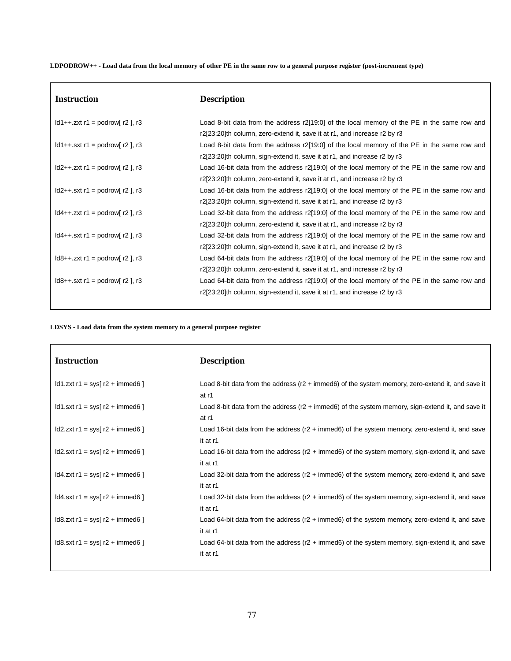LDPODROW++ - Load data from the local memory of other PE in the same row to a general purpose register (post-increment type)

| <b>Instruction</b>                                         | <b>Description</b>                                                                           |
|------------------------------------------------------------|----------------------------------------------------------------------------------------------|
| $\text{Id}1++$ .zxt r1 = podrow[r2], r3                    | Load 8-bit data from the address r2[19:0] of the local memory of the PE in the same row and  |
|                                                            | r2[23:20]th column, zero-extend it, save it at r1, and increase r2 by r3                     |
| $\text{Id}1++$ .sxt r1 = podrow[r2], r3                    | Load 8-bit data from the address r2[19:0] of the local memory of the PE in the same row and  |
|                                                            | r2[23:20]th column, sign-extend it, save it at r1, and increase r2 by r3                     |
| $\text{Id2++}.zxt r1 = \text{podrow}$ r2, r3               | Load 16-bit data from the address r2[19:0] of the local memory of the PE in the same row and |
|                                                            | r2[23:20]th column, zero-extend it, save it at r1, and increase r2 by r3                     |
| $\text{Id2++}.sxt r1 = \text{podrow}$ r2, $\text{ri}$ , r3 | Load 16-bit data from the address r2[19:0] of the local memory of the PE in the same row and |
|                                                            | r2[23:20]th column, sign-extend it, save it at r1, and increase r2 by r3                     |
| $\text{Id}4++$ .zxt r1 = podrow[ r2 ], r3                  | Load 32-bit data from the address r2[19:0] of the local memory of the PE in the same row and |
|                                                            | r2[23:20]th column, zero-extend it, save it at r1, and increase r2 by r3                     |
| $\text{Id4++}.sxt r1 = \text{podrow}$ r2 , r3              | Load 32-bit data from the address r2[19:0] of the local memory of the PE in the same row and |
|                                                            | r2[23:20]th column, sign-extend it, save it at r1, and increase r2 by r3                     |
| $\text{Id8++}.zxt r1 = \text{podrow}$ r2 ], r3             | Load 64-bit data from the address r2[19:0] of the local memory of the PE in the same row and |
|                                                            | r2[23:20]th column, zero-extend it, save it at r1, and increase r2 by r3                     |
| $\text{Id8++}. \text{sxt}$ r1 = podrow[ r2 ], r3           | Load 64-bit data from the address r2[19:0] of the local memory of the PE in the same row and |
|                                                            | r2[23:20]th column, sign-extend it, save it at r1, and increase r2 by r3                     |

**LDSYS - Load data from the system memory to a general purpose register**

 $\overline{\phantom{a}}$ 

| <b>Instruction</b>                                   | <b>Description</b>                                                                                                    |
|------------------------------------------------------|-----------------------------------------------------------------------------------------------------------------------|
| $\text{Id}1$ .zxt r1 = sys[ r2 + immed6 ]            | Load 8-bit data from the address (r2 + immed6) of the system memory, zero-extend it, and save it<br>at r1             |
| $\text{Id}1.\text{sxt}$ r1 = sys[ r2 + immed6 ]      | Load 8-bit data from the address ( $r2 + \text{immed}6$ ) of the system memory, sign-extend it, and save it<br>at r1  |
| $\text{Id2}$ .zxt r1 = sys[ r2 + immed6 ]            | Load 16-bit data from the address ( $r2 + \text{immed6}$ ) of the system memory, zero-extend it, and save<br>it at r1 |
| $\text{Id2.txt}$ r1 = sys[ r2 + immed6 ]             | Load 16-bit data from the address (r2 + immed6) of the system memory, sign-extend it, and save<br>it at r1            |
| $\text{Id}4$ .zxt r1 = sys[ r2 + immed6 ]            | Load 32-bit data from the address ( $r2 + \text{immed6}$ ) of the system memory, zero-extend it, and save<br>it at r1 |
| $\text{Id}4.\text{sxt}$ r1 = sys[ r2 + immed6 ]      | Load 32-bit data from the address (r2 + immed6) of the system memory, sign-extend it, and save<br>it at r1            |
| $\text{Id8}.zxt r1 = \text{sys}[r2 + \text{immed6}]$ | Load 64-bit data from the address ( $r2 + i$ mmed 6) of the system memory, zero-extend it, and save<br>it at r1       |
| $\text{Id8}.\text{sxt}$ r1 = sys[ r2 + immed6 ]      | Load 64-bit data from the address ( $r2 + \text{immed6}$ ) of the system memory, sign-extend it, and save<br>it at r1 |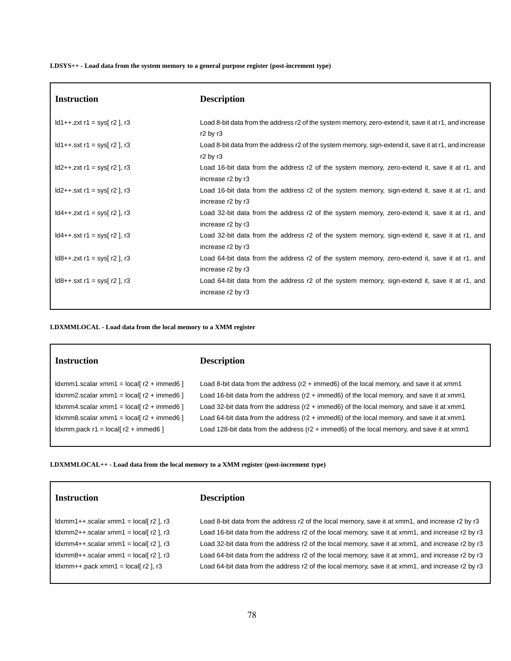**LDSYS++ - Load data from the system memory to a general purpose register (post-increment type)**

| <b>Instruction</b>                         | <b>Description</b>                                                                                                                        |
|--------------------------------------------|-------------------------------------------------------------------------------------------------------------------------------------------|
| $1d1++.zxt$ r1 = sys[ r2 ], r3             | Load 8-bit data from the address r2 of the system memory, zero-extend it, save it at r1, and increase<br>$r2$ by $r3$                     |
| $1 d1 + 1 sxt$ r1 = sys[ r2 ], r3          | Load 8-bit data from the address r2 of the system memory, sign-extend it, save it at r1, and increase<br>r <sub>2</sub> by r <sub>3</sub> |
| $\text{Id2++}.zxt r1 = \text{sys}[r2], r3$ | Load 16-bit data from the address r2 of the system memory, zero-extend it, save it at r1, and<br>increase r2 by r3                        |
| $\text{Id2++}.sxt r1 = \text{sys}[r2], r3$ | Load 16-bit data from the address r2 of the system memory, sign-extend it, save it at r1, and<br>increase r2 by r3                        |
| $1 d4++. zxt r1 = sys[r2], r3$             | Load 32-bit data from the address r2 of the system memory, zero-extend it, save it at r1, and<br>increase r2 by r3                        |
| $1 d4++ . sxt r1 = sys[ r2 ], r3$          | Load 32-bit data from the address r2 of the system memory, sign-extend it, save it at r1, and<br>increase r2 by r3                        |
| $1d8++.zxt r1 = sys[ r2 ], r3$             | Load 64-bit data from the address r2 of the system memory, zero-extend it, save it at r1, and<br>increase r2 by r3                        |
| $1 d8++ . sxt r1 = sys[ r2 ], r3$          | Load 64-bit data from the address r2 of the system memory, sign-extend it, save it at r1, and<br>increase r2 by r3                        |

**LDXMMLOCAL - Load data from the local memory to a XMM register**

| <b>Instruction</b> |  |
|--------------------|--|
|                    |  |

## **Instruction Description**

ldxmm1.scalar xmm1 = local[ r2 + immed6 ] Load 8-bit data from the address (r2 + immed6) of the local memory, and save it at xmm1 ldxmm2.scalar xmm1 = local[ r2 + immed6 ] Load 16-bit data from the address (r2 + immed6) of the local memory, and save it at xmm1 ldxmm4.scalar xmm1 = local[ r2 + immed6 ] Load 32-bit data from the address (r2 + immed6) of the local memory, and save it at xmm1 ldxmm8.scalar xmm1 = local[ r2 + immed6 ] Load 64-bit data from the address (r2 + immed6) of the local memory, and save it at xmm1 ldxmm.pack r1 = local[ r2 + immed6 ] Load 128-bit data from the address (r2 + immed6) of the local memory, and save it at xmm1

**LDXMMLOCAL++ - Load data from the local memory to a XMM register (post-increment type)**

# **Instruction Description**

ldxmm1++.scalar xmm1 = local[ r2 ], r3 Load 8-bit data from the address r2 of the local memory, save it at xmm1, and increase r2 by r3 ldxmm2++.scalar xmm1 = local[ r2 ], r3 Load 16-bit data from the address r2 of the local memory, save it at xmm1, and increase r2 by r3 ldxmm4++.scalar xmm1 = local[ r2 ], r3 Load 32-bit data from the address r2 of the local memory, save it at xmm1, and increase r2 by r3 ldxmm8++.scalar xmm1 = local[ r2 ], r3 Load 64-bit data from the address r2 of the local memory, save it at xmm1, and increase r2 by r3 ldxmm++.pack xmm1 = local[ r2 ], r3 Load 64-bit data from the address r2 of the local memory, save it at xmm1, and increase r2 by r3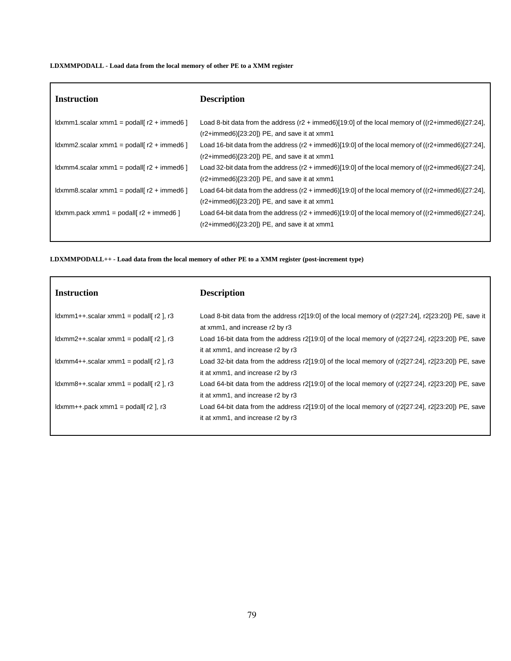# **LDXMMPODALL - Load data from the local memory of other PE to a XMM register**

| <b>Instruction</b>                                       | <b>Description</b>                                                                                                                                                     |
|----------------------------------------------------------|------------------------------------------------------------------------------------------------------------------------------------------------------------------------|
| $\lambda$ ldxmm1.scalar xmm1 = podall r2 + immed6 1      | Load 8-bit data from the address (r2 + immed6)[19:0] of the local memory of ((r2+immed6)[27:24],<br>$(r2+immed6)[23:20]$ PE, and save it at xmm1                       |
| $\frac{1}{2}$ dxmm2.scalar xmm1 = podall[r2 + immed6]    | Load 16-bit data from the address (r2 + immed6)[19:0] of the local memory of ((r2+immed6)[27:24],<br>$(r2+immed6)[23:20]$ PE, and save it at xmm1                      |
| $\lambda$ ldxmm4.scalar xmm1 = podall r2 + immed6 1      | Load 32-bit data from the address $(r2 + \text{immed6})[19:0]$ of the local memory of $((r2 + \text{immed6})[27:24],$<br>$(r2+immed6)[23:20])$ PE, and save it at xmm1 |
| $\frac{1}{2}$ ldxmm8.scalar xmm1 = podall[ r2 + immed6 ] | Load 64-bit data from the address (r2 + immed6)[19:0] of the local memory of ((r2+immed6)[27:24],<br>$(r2+immed6)[23:20]$ PE, and save it at xmm1                      |
| $\frac{1}{2}$ dxmm.pack xmm1 = podall r2 + immed6 1      | Load 64-bit data from the address (r2 + immed6)[19:0] of the local memory of ((r2+immed6)[27:24],<br>$(r2+immed6)[23:20]$ PE, and save it at xmm1                      |

**LDXMMPODALL++ - Load data from the local memory of other PE to a XMM register (post-increment type)**

| <b>Instruction</b>                                                                                                                                                                                                                                            | <b>Description</b>                                                                                                                            |
|---------------------------------------------------------------------------------------------------------------------------------------------------------------------------------------------------------------------------------------------------------------|-----------------------------------------------------------------------------------------------------------------------------------------------|
| $\lfloor \frac{1}{2} \rfloor$ , $\lfloor \frac{1}{2} \rfloor$ , $\lfloor \frac{1}{2} \rfloor$ , $\lfloor \frac{1}{2} \rfloor$ , $\lfloor \frac{1}{2} \rfloor$ , $\lfloor \frac{1}{2} \rfloor$ , $\lfloor \frac{1}{2} \rfloor$ , $\lfloor \frac{1}{2} \rfloor$ | Load 8-bit data from the address r2[19:0] of the local memory of (r2[27:24], r2[23:20]) PE, save it<br>at xmm1, and increase r2 by r3         |
| $\lfloor \frac{d}{dx} \right $ = $\lfloor \frac{d}{dx} \rfloor$ , r3                                                                                                                                                                                          | Load 16-bit data from the address $r2[19:0]$ of the local memory of $(r2[27:24]$ , $r2[23:20])$ PE, save<br>it at xmm1, and increase r2 by r3 |
| $\lfloor \frac{1}{2} \rfloor$ , $\lfloor \frac{1}{2} \rfloor$ , $\lfloor \frac{1}{2} \rfloor$ , $\lfloor \frac{1}{2} \rfloor$ , $\lfloor \frac{1}{2} \rfloor$ , $\lfloor \frac{1}{2} \rfloor$ , $\lfloor \frac{1}{2} \rfloor$ , $\lfloor \frac{1}{2} \rfloor$ | Load 32-bit data from the address $r2[19:0]$ of the local memory of $(r2[27:24]$ , $r2[23:20])$ PE, save<br>it at xmm1, and increase r2 by r3 |
| $\lfloor \frac{1}{2} \rfloor$ , $\lfloor \frac{1}{2} \rfloor$ , $\lfloor \frac{1}{2} \rfloor$ , $\lfloor \frac{1}{2} \rfloor$ , $\lfloor \frac{1}{2} \rfloor$ , $\lfloor \frac{1}{2} \rfloor$ , $\lfloor \frac{1}{2} \rfloor$ , $\lfloor \frac{1}{2} \rfloor$ | Load 64-bit data from the address $r2[19:0]$ of the local memory of $(r2[27:24]$ , $r2[23:20])$ PE, save<br>it at xmm1, and increase r2 by r3 |
| $\lfloor \frac{1}{2} \rfloor$ , $\lfloor \frac{1}{2} \rfloor$ , $\lfloor \frac{1}{2} \rfloor$ , $\lfloor \frac{1}{2} \rfloor$ , $\lfloor \frac{1}{2} \rfloor$ , $\lfloor \frac{1}{2} \rfloor$                                                                 | Load 64-bit data from the address $r2[19:0]$ of the local memory of $(r2[27:24]$ , $r2[23:20])$ PE, save<br>it at xmm1, and increase r2 by r3 |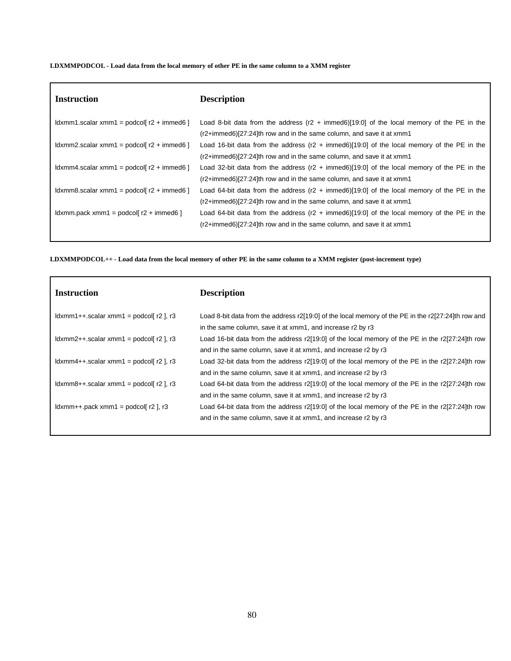# LDXMMPODCOL - Load data from the local memory of other PE in the same column to a XMM register

| <b>Instruction</b>                                                                                                                                                                                                                                                                                                                                                                                                                                                                                                                                          | <b>Description</b>                                                                                    |
|-------------------------------------------------------------------------------------------------------------------------------------------------------------------------------------------------------------------------------------------------------------------------------------------------------------------------------------------------------------------------------------------------------------------------------------------------------------------------------------------------------------------------------------------------------------|-------------------------------------------------------------------------------------------------------|
| $\lfloor \frac{\mathrm{d}}{\mathrm{d}} \times \mathrm{d} \cdot \mathrm{d} \cdot \mathrm{d} \cdot \mathrm{d} \cdot \mathrm{d} \cdot \mathrm{d} \cdot \mathrm{d} \cdot \mathrm{d} \cdot \mathrm{d} \cdot \mathrm{d} \cdot \mathrm{d} \cdot \mathrm{d} \cdot \mathrm{d} \cdot \mathrm{d} \cdot \mathrm{d} \cdot \mathrm{d} \cdot \mathrm{d} \cdot \mathrm{d} \cdot \mathrm{d} \cdot \mathrm{d} \cdot \mathrm{d} \cdot \mathrm{d} \cdot \mathrm{d} \cdot \mathrm{d} \cdot \mathrm{d} \cdot \mathrm{d} \cdot \mathrm{d} \cdot \mathrm{d} \cdot \mathrm{d} \cdot$ | Load 8-bit data from the address $(r2 + immed6)[19:0]$ of the local memory of the PE in the           |
|                                                                                                                                                                                                                                                                                                                                                                                                                                                                                                                                                             | $(r2+immed6)[27:24]$ th row and in the same column, and save it at xmm1                               |
| $\lfloor \frac{\mathrm{d}}{\mathrm{d}} \times \mathrm{d} \cdot \mathrm{d} \cdot \mathrm{d} \cdot \mathrm{d} \cdot \mathrm{d} \cdot \mathrm{d} \cdot \mathrm{d} \cdot \mathrm{d} \cdot \mathrm{d} \cdot \mathrm{d} \cdot \mathrm{d} \cdot \mathrm{d} \cdot \mathrm{d} \cdot \mathrm{d} \cdot \mathrm{d} \cdot \mathrm{d} \cdot \mathrm{d} \cdot \mathrm{d} \cdot \mathrm{d} \cdot \mathrm{d} \cdot \mathrm{d} \cdot \mathrm{d} \cdot \mathrm{d} \cdot \mathrm{d} \cdot \mathrm{d} \cdot \mathrm{d} \cdot \mathrm{d} \cdot \mathrm{d} \cdot \mathrm{d} \cdot$ | Load 16-bit data from the address $(r2 + immed6)[19:0]$ of the local memory of the PE in the          |
|                                                                                                                                                                                                                                                                                                                                                                                                                                                                                                                                                             | $(r2+immed6)[27:24]$ th row and in the same column, and save it at xmm1                               |
| $\lfloor \frac{\mathrm{d}}{\mathrm{d}} \times \mathrm{d} \cdot \mathrm{d} \cdot \mathrm{d} \cdot \mathrm{d} \cdot \mathrm{d} \cdot \mathrm{d} \cdot \mathrm{d} \cdot \mathrm{d} \cdot \mathrm{d} \cdot \mathrm{d} \cdot \mathrm{d} \cdot \mathrm{d} \cdot \mathrm{d} \cdot \mathrm{d} \cdot \mathrm{d} \cdot \mathrm{d} \cdot \mathrm{d} \cdot \mathrm{d} \cdot \mathrm{d} \cdot \mathrm{d} \cdot \mathrm{d} \cdot \mathrm{d} \cdot \mathrm{d} \cdot \mathrm{d} \cdot \mathrm{d} \cdot \mathrm{d} \cdot \mathrm{d} \cdot \mathrm{d} \cdot \mathrm{d} \cdot$ | Load 32-bit data from the address $(r2 + immed6)[19:0]$ of the local memory of the PE in the          |
|                                                                                                                                                                                                                                                                                                                                                                                                                                                                                                                                                             | $(r2+immed6)[27:24]$ th row and in the same column, and save it at xmm1                               |
| $\lambda$ ldxmm8.scalar xmm1 = podcol $r^2$ + immed6 1                                                                                                                                                                                                                                                                                                                                                                                                                                                                                                      | Load 64-bit data from the address ( $r2 + \text{immed6}$ )[19:0] of the local memory of the PE in the |
|                                                                                                                                                                                                                                                                                                                                                                                                                                                                                                                                                             | $(r2+immed6)[27:24]$ th row and in the same column, and save it at xmm1                               |
| $\lambda$ ldxmm.pack xmm1 = podcol[ $r2 + \lambda$ immed6]                                                                                                                                                                                                                                                                                                                                                                                                                                                                                                  | Load 64-bit data from the address $(r2 + immed6)[19:0]$ of the local memory of the PE in the          |
|                                                                                                                                                                                                                                                                                                                                                                                                                                                                                                                                                             | $(r2+immed6)[27:24]$ th row and in the same column, and save it at xmm1                               |
|                                                                                                                                                                                                                                                                                                                                                                                                                                                                                                                                                             |                                                                                                       |

LDXMMPODCOL++ - Load data from the local memory of other PE in the same column to a XMM register (post-increment type)

| <b>Instruction</b>                                                                                                                                                                                                            | <b>Description</b>                                                                                                                                                     |
|-------------------------------------------------------------------------------------------------------------------------------------------------------------------------------------------------------------------------------|------------------------------------------------------------------------------------------------------------------------------------------------------------------------|
| $\lambda$ dxmm1++.scalar xmm1 = podcol[ r2 ], r3                                                                                                                                                                              | Load 8-bit data from the address r2[19:0] of the local memory of the PE in the r2[27:24]th row and<br>in the same column, save it at xmm1, and increase r2 by r3       |
| $\frac{1}{2}$ , $\frac{1}{2}$ , $\frac{1}{2}$ , $\frac{1}{2}$ , $\frac{1}{2}$ , $\frac{1}{2}$ , $\frac{1}{2}$ , $\frac{1}{2}$ , $\frac{1}{2}$ , $\frac{1}{2}$                                                                 | Load 16-bit data from the address $r2[19:0]$ of the local memory of the PE in the $r2[27:24]$ th row<br>and in the same column, save it at xmm1, and increase r2 by r3 |
| $\lfloor \frac{1}{2} \rfloor$ , $\lfloor \frac{1}{2} \rfloor$ , $\lfloor \frac{1}{2} \rfloor$ , $\lfloor \frac{1}{2} \rfloor$ , $\lfloor \frac{1}{2} \rfloor$ , $\lfloor \frac{1}{2} \rfloor$ , $\lfloor \frac{1}{2} \rfloor$ | Load 32-bit data from the address $r2[19:0]$ of the local memory of the PE in the $r2[27:24]$ th row<br>and in the same column, save it at xmm1, and increase r2 by r3 |
| $\lfloor \frac{d}{dx} \right $ = $\lfloor \frac{d}{dx} \rfloor$ , r3                                                                                                                                                          | Load 64-bit data from the address $r2[19.0]$ of the local memory of the PE in the $r2[27.24]$ th row<br>and in the same column, save it at xmm1, and increase r2 by r3 |
| $\lfloor \frac{1}{2} \rfloor$ , $\lfloor \frac{1}{2} \rfloor$ , $\lfloor \frac{1}{2} \rfloor$ , $\lfloor \frac{1}{2} \rfloor$ , $\lfloor \frac{1}{2} \rfloor$ , $\lfloor \frac{1}{2} \rfloor$ , $\lfloor \frac{1}{2} \rfloor$ | Load 64-bit data from the address $r2[19:0]$ of the local memory of the PE in the $r2[27:24]$ th row<br>and in the same column, save it at xmm1, and increase r2 by r3 |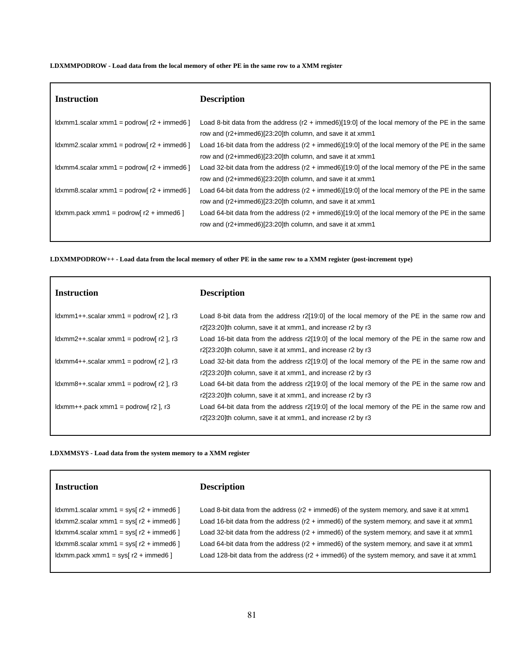#### **LDXMMPODROW - Load data from the local memory of other PE in the same row to a XMM register**

| <b>Instruction</b>                                                                                                                                                                                                                                                                                                                                                                                                                                                                                                                                          | <b>Description</b>                                                                                                                                                     |
|-------------------------------------------------------------------------------------------------------------------------------------------------------------------------------------------------------------------------------------------------------------------------------------------------------------------------------------------------------------------------------------------------------------------------------------------------------------------------------------------------------------------------------------------------------------|------------------------------------------------------------------------------------------------------------------------------------------------------------------------|
| $\frac{1}{2}$ dxmm1.scalar xmm1 = podrow $r^2$ + immed6 $\frac{1}{2}$                                                                                                                                                                                                                                                                                                                                                                                                                                                                                       | Load 8-bit data from the address ( $r2 + \text{immed6}$ )[19:0] of the local memory of the PE in the same<br>row and (r2+immed6)[23:20]th column, and save it at xmm1  |
| $\frac{1}{2}$ dxmm2.scalar xmm1 = podrow $r^2$ + immed6 $\frac{1}{2}$                                                                                                                                                                                                                                                                                                                                                                                                                                                                                       | Load 16-bit data from the address ( $r2 + \text{immed6}$ )[19:0] of the local memory of the PE in the same<br>row and (r2+immed6)[23:20]th column, and save it at xmm1 |
| $ldxmm4.scalar xmm1 = podrow[ r2 + immedi6 ]$                                                                                                                                                                                                                                                                                                                                                                                                                                                                                                               | Load 32-bit data from the address $(r2 + i m \cdot 66)[19:0]$ of the local memory of the PE in the same<br>row and (r2+immed6)[23:20]th column, and save it at xmm1    |
| $\frac{1}{2}$ dxmm8.scalar xmm1 = podrow[r2 + immed6]                                                                                                                                                                                                                                                                                                                                                                                                                                                                                                       | Load 64-bit data from the address ( $r2 + \text{immed6}$ )[19:0] of the local memory of the PE in the same<br>row and (r2+immed6)[23:20]th column, and save it at xmm1 |
| $\lfloor \frac{\mathrm{d}}{\mathrm{d}} \times \mathrm{d} \cdot \mathrm{d} \cdot \mathrm{d} \cdot \mathrm{d} \cdot \mathrm{d} \cdot \mathrm{d} \cdot \mathrm{d} \cdot \mathrm{d} \cdot \mathrm{d} \cdot \mathrm{d} \cdot \mathrm{d} \cdot \mathrm{d} \cdot \mathrm{d} \cdot \mathrm{d} \cdot \mathrm{d} \cdot \mathrm{d} \cdot \mathrm{d} \cdot \mathrm{d} \cdot \mathrm{d} \cdot \mathrm{d} \cdot \mathrm{d} \cdot \mathrm{d} \cdot \mathrm{d} \cdot \mathrm{d} \cdot \mathrm{d} \cdot \mathrm{d} \cdot \mathrm{d} \cdot \mathrm{d} \cdot \mathrm{d} \cdot$ | Load 64-bit data from the address ( $r2 + \text{immed6}$ )[19:0] of the local memory of the PE in the same<br>row and (r2+immed6)[23:20]th column, and save it at xmm1 |

LDXMMPODROW++ - Load data from the local memory of other PE in the same row to a XMM register (post-increment type)

| <b>Instruction</b>                                                                                                                                                                                                                                            | <b>Description</b>                                                                           |
|---------------------------------------------------------------------------------------------------------------------------------------------------------------------------------------------------------------------------------------------------------------|----------------------------------------------------------------------------------------------|
| $\lambda$ dxmm1++.scalar xmm1 = podrow $\alpha$   $\alpha$   $\alpha$                                                                                                                                                                                         | Load 8-bit data from the address r2[19:0] of the local memory of the PE in the same row and  |
|                                                                                                                                                                                                                                                               | r2[23:20]th column, save it at xmm1, and increase r2 by r3                                   |
| $\frac{1}{2}$ , $\frac{1}{2}$ , $\frac{1}{2}$ , $\frac{1}{2}$ , $\frac{1}{2}$ , $\frac{1}{2}$ , $\frac{1}{2}$ , $\frac{1}{2}$ , $\frac{1}{2}$ , $\frac{1}{2}$                                                                                                 | Load 16-bit data from the address r2[19:0] of the local memory of the PE in the same row and |
|                                                                                                                                                                                                                                                               | r2[23:20]th column, save it at xmm1, and increase r2 by r3                                   |
| $\lfloor \frac{1}{2} \rfloor$ , $\lfloor \frac{1}{2} \rfloor$ , $\lfloor \frac{1}{2} \rfloor$ , $\lfloor \frac{1}{2} \rfloor$ , $\lfloor \frac{1}{2} \rfloor$ , $\lfloor \frac{1}{2} \rfloor$ , $\lfloor \frac{1}{2} \rfloor$ , $\lfloor \frac{1}{2} \rfloor$ | Load 32-bit data from the address r2[19:0] of the local memory of the PE in the same row and |
|                                                                                                                                                                                                                                                               | r2[23:20]th column, save it at xmm1, and increase r2 by r3                                   |
| $\frac{1}{2}$ , $\frac{1}{2}$ , $\frac{1}{2}$ , $\frac{1}{2}$ , $\frac{1}{2}$ , $\frac{1}{2}$ , $\frac{1}{2}$ , $\frac{1}{2}$ , $\frac{1}{2}$ , $\frac{1}{2}$                                                                                                 | Load 64-bit data from the address r2[19:0] of the local memory of the PE in the same row and |
|                                                                                                                                                                                                                                                               | r2[23:20]th column, save it at xmm1, and increase r2 by r3                                   |
| $\lambda$ dxmm++.pack xmm1 = podrow $r$ 2 $\lambda$ , r3                                                                                                                                                                                                      | Load 64-bit data from the address r2[19:0] of the local memory of the PE in the same row and |
|                                                                                                                                                                                                                                                               | r2[23:20]th column, save it at xmm1, and increase r2 by r3                                   |

**LDXMMSYS - Load data from the system memory to a XMM register**

| <b>Instruction</b> |
|--------------------|
|--------------------|

# **Instruction Description**

ldxmm1.scalar xmm1 = sys[ r2 + immed6 ] Load 8-bit data from the address (r2 + immed6) of the system memory, and save it at xmm1 ldxmm2.scalar xmm1 = sys[ r2 + immed6 ] Load 16-bit data from the address (r2 + immed6) of the system memory, and save it at xmm1 ldxmm4.scalar xmm1 = sys[ r2 + immed6 ] Load 32-bit data from the address (r2 + immed6) of the system memory, and save it at xmm1 ldxmm8.scalar xmm1 = sys[ r2 + immed6 ] Load 64-bit data from the address (r2 + immed6) of the system memory, and save it at xmm1 ldxmm.pack xmm1 = sys[ r2 + immed6 ] Load 128-bit data from the address (r2 + immed6) of the system memory, and save it at xmm1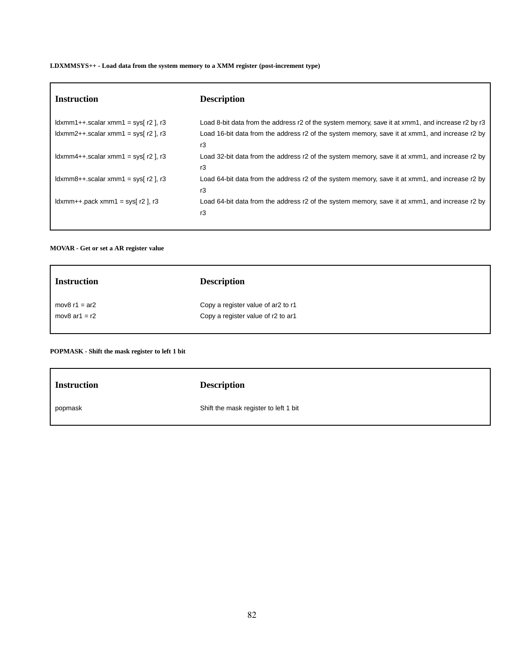**LDXMMSYS++ - Load data from the system memory to a XMM register (post-increment type)**

| <b>Instruction</b>                                                                                                                                                                                                            | <b>Description</b>                                                                                   |
|-------------------------------------------------------------------------------------------------------------------------------------------------------------------------------------------------------------------------------|------------------------------------------------------------------------------------------------------|
| $\lambda$ dxmm1++.scalar xmm1 = sys[ r2 ], r3                                                                                                                                                                                 | Load 8-bit data from the address r2 of the system memory, save it at xmm1, and increase r2 by r3     |
| $\frac{1}{2}$ dxmm2++.scalar xmm1 = sys[ r2 ], r3                                                                                                                                                                             | Load 16-bit data from the address r2 of the system memory, save it at xmm1, and increase r2 by<br>r3 |
| $\lambda$ dxmm4++.scalar xmm1 = sys $\alpha$ r2 $\lambda$ , r3                                                                                                                                                                | Load 32-bit data from the address r2 of the system memory, save it at xmm1, and increase r2 by<br>r3 |
| $ldxmm8++.scalar xmm1 = sys[ r2 ], r3$                                                                                                                                                                                        | Load 64-bit data from the address r2 of the system memory, save it at xmm1, and increase r2 by<br>r3 |
| $\lfloor \frac{1}{2} \rfloor$   $\lfloor \frac{1}{2} \rfloor$   $\lfloor \frac{1}{2} \rfloor$   $\lfloor \frac{1}{2} \rfloor$   $\lfloor \frac{1}{2} \rfloor$   $\lfloor \frac{1}{2} \rfloor$   $\lfloor \frac{1}{2} \rfloor$ | Load 64-bit data from the address r2 of the system memory, save it at xmm1, and increase r2 by<br>r3 |

**MOVAR - Get or set a AR register value**

| <b>Instruction</b> | <b>Description</b>                 |
|--------------------|------------------------------------|
| mov $8$ r1 = ar2   | Copy a register value of ar2 to r1 |
| mov $8$ ar1 = r2   | Copy a register value of r2 to ar1 |
|                    |                                    |

# **POPMASK - Shift the mask register to left 1 bit**

| <b>Instruction</b> | <b>Description</b>                    |
|--------------------|---------------------------------------|
| popmask            | Shift the mask register to left 1 bit |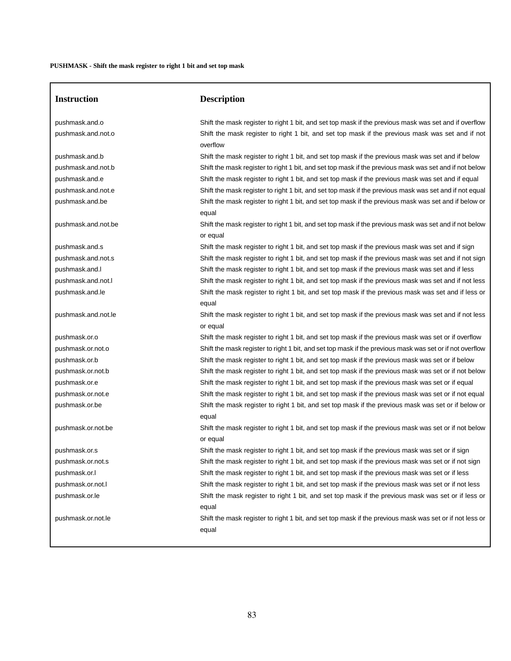$\sqrt{2}$ 

| <b>Instruction</b>                   | <b>Description</b>                                                                                                                                                                                        |
|--------------------------------------|-----------------------------------------------------------------------------------------------------------------------------------------------------------------------------------------------------------|
| pushmask.and.o<br>pushmask.and.not.o | Shift the mask register to right 1 bit, and set top mask if the previous mask was set and if overflow<br>Shift the mask register to right 1 bit, and set top mask if the previous mask was set and if not |
|                                      | overflow                                                                                                                                                                                                  |
| pushmask.and.b                       | Shift the mask register to right 1 bit, and set top mask if the previous mask was set and if below                                                                                                        |
| pushmask.and.not.b                   | Shift the mask register to right 1 bit, and set top mask if the previous mask was set and if not below                                                                                                    |
| pushmask.and.e                       | Shift the mask register to right 1 bit, and set top mask if the previous mask was set and if equal                                                                                                        |
| pushmask.and.not.e                   | Shift the mask register to right 1 bit, and set top mask if the previous mask was set and if not equal                                                                                                    |
| pushmask.and.be                      | Shift the mask register to right 1 bit, and set top mask if the previous mask was set and if below or<br>equal                                                                                            |
| pushmask.and.not.be                  | Shift the mask register to right 1 bit, and set top mask if the previous mask was set and if not below<br>or equal                                                                                        |
| pushmask.and.s                       | Shift the mask register to right 1 bit, and set top mask if the previous mask was set and if sign                                                                                                         |
| pushmask.and.not.s                   | Shift the mask register to right 1 bit, and set top mask if the previous mask was set and if not sign                                                                                                     |
| pushmask.and.l                       | Shift the mask register to right 1 bit, and set top mask if the previous mask was set and if less                                                                                                         |
| pushmask.and.not.l                   | Shift the mask register to right 1 bit, and set top mask if the previous mask was set and if not less                                                                                                     |
| pushmask.and.le                      | Shift the mask register to right 1 bit, and set top mask if the previous mask was set and if less or<br>equal                                                                                             |
| pushmask.and.not.le                  | Shift the mask register to right 1 bit, and set top mask if the previous mask was set and if not less<br>or equal                                                                                         |
| pushmask.or.o                        | Shift the mask register to right 1 bit, and set top mask if the previous mask was set or if overflow                                                                                                      |
| pushmask.or.not.o                    | Shift the mask register to right 1 bit, and set top mask if the previous mask was set or if not overflow                                                                                                  |
| pushmask.or.b                        | Shift the mask register to right 1 bit, and set top mask if the previous mask was set or if below                                                                                                         |
| pushmask.or.not.b                    | Shift the mask register to right 1 bit, and set top mask if the previous mask was set or if not below                                                                                                     |
| pushmask.or.e                        | Shift the mask register to right 1 bit, and set top mask if the previous mask was set or if equal                                                                                                         |
| pushmask.or.not.e                    | Shift the mask register to right 1 bit, and set top mask if the previous mask was set or if not equal                                                                                                     |
| pushmask.or.be                       | Shift the mask register to right 1 bit, and set top mask if the previous mask was set or if below or<br>equal                                                                                             |
| pushmask.or.not.be                   | Shift the mask register to right 1 bit, and set top mask if the previous mask was set or if not below<br>or equal                                                                                         |
| pushmask.or.s                        | Shift the mask register to right 1 bit, and set top mask if the previous mask was set or if sign                                                                                                          |
| pushmask.or.not.s                    | Shift the mask register to right 1 bit, and set top mask if the previous mask was set or if not sign                                                                                                      |
| pushmask.or.l                        | Shift the mask register to right 1 bit, and set top mask if the previous mask was set or if less                                                                                                          |
| pushmask.or.not.l                    | Shift the mask register to right 1 bit, and set top mask if the previous mask was set or if not less                                                                                                      |
| pushmask.or.le                       | Shift the mask register to right 1 bit, and set top mask if the previous mask was set or if less or<br>equal                                                                                              |
| pushmask.or.not.le                   | Shift the mask register to right 1 bit, and set top mask if the previous mask was set or if not less or<br>equal                                                                                          |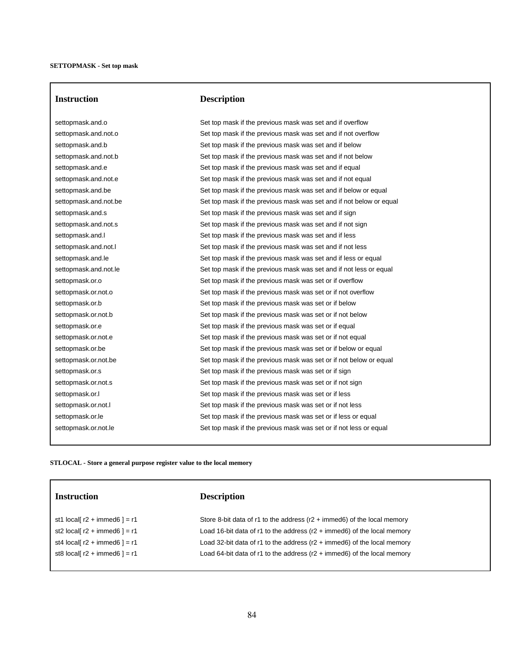# **Instruction Description**

settopmask.and.o Set top mask if the previous mask was set and if overflow settopmask.and.not.o Set top mask if the previous mask was set and if not overflow settopmask.and.b Set top mask if the previous mask was set and if below settopmask.and.not.b Set top mask if the previous mask was set and if not below settopmask.and.e Set top mask if the previous mask was set and if equal settopmask.and.not.e Set top mask if the previous mask was set and if not equal settopmask.and.be Set top mask if the previous mask was set and if below or equal settopmask.and.not.be Set top mask if the previous mask was set and if not below or equal settopmask.and.s Set top mask if the previous mask was set and if sign settopmask.and.not.s Set top mask if the previous mask was set and if not sign settopmask.and.l Set top mask if the previous mask was set and if less settopmask.and.not.l Set top mask if the previous mask was set and if not less settopmask.and.le Set top mask if the previous mask was set and if less or equal settopmask.and.not.le Set top mask if the previous mask was set and if not less or equal settopmask.or.o Set top mask if the previous mask was set or if overflow settopmask.or.not.o Set top mask if the previous mask was set or if not overflow settopmask.or.b Set top mask if the previous mask was set or if below settopmask.or.not.b Set top mask if the previous mask was set or if not below settopmask.or.e Set top mask if the previous mask was set or if equal settopmask.or.not.e Set top mask if the previous mask was set or if not equal settopmask.or.be Set top mask if the previous mask was set or if below or equal settopmask.or.not.be Set top mask if the previous mask was set or if not below or equal settopmask.or.s Set top mask if the previous mask was set or if sign settopmask.or.not.s Set top mask if the previous mask was set or if not sign settopmask.or.l Set top mask if the previous mask was set or if less settopmask.or.not.l Set top mask if the previous mask was set or if not less settopmask.or.le Set top mask if the previous mask was set or if less or equal settopmask.or.not.le Set top mask if the previous mask was set or if not less or equal

## **STLOCAL - Store a general purpose register value to the local memory**

| <b>Instruction</b>                     | <b>Description</b>                                                               |
|----------------------------------------|----------------------------------------------------------------------------------|
| st1 local[ $r2 + \text{immed6}$ ] = r1 | Store 8-bit data of r1 to the address $(r2 + \text{immed6})$ of the local memory |
| st2 local[ $r2 + \text{immed6}$ ] = r1 | Load 16-bit data of r1 to the address $(r2 + \text{immed6})$ of the local memory |
| st4 local[ $r2 + \text{immed6}$ ] = r1 | Load 32-bit data of r1 to the address $(r2 + \text{immed6})$ of the local memory |
| st8 local[ $r2 + \text{immed6}$ ] = r1 | Load 64-bit data of r1 to the address $(r2 + \text{immed6})$ of the local memory |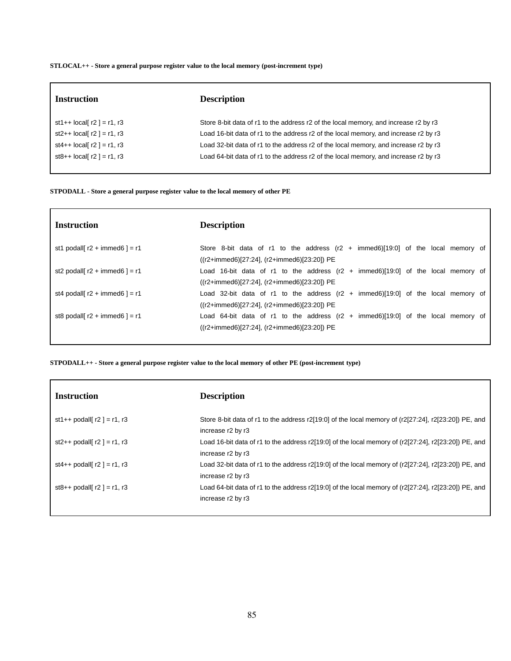**STLOCAL++ - Store a general purpose register value to the local memory (post-increment type)**

| <b>Instruction</b>         | <b>Description</b>                                                                  |
|----------------------------|-------------------------------------------------------------------------------------|
| st1++ $local[r2] = r1, r3$ | Store 8-bit data of r1 to the address r2 of the local memory, and increase r2 by r3 |
| st2++ $local[r2] = r1, r3$ | Load 16-bit data of r1 to the address r2 of the local memory, and increase r2 by r3 |
| st4++ $local[r2] = r1, r3$ | Load 32-bit data of r1 to the address r2 of the local memory, and increase r2 by r3 |
| st8++ $local[r2] = r1, r3$ | Load 64-bit data of r1 to the address r2 of the local memory, and increase r2 by r3 |
|                            |                                                                                     |

### **STPODALL - Store a general purpose register value to the local memory of other PE**

| <b>Instruction</b>                      | <b>Description</b>                                                                        |
|-----------------------------------------|-------------------------------------------------------------------------------------------|
| st1 podall[ $r2 + \text{immed6}$ ] = r1 | Store 8-bit data of r1 to the address $(r2 + immed6)[19:0]$ of the local memory of        |
|                                         | $((r2+immed6)[27:24], (r2+immed6)[23:20])$ PE                                             |
| st2 podall[ $r2 + \text{immed6}$ ] = r1 | Load 16-bit data of r1 to the address $(r2 + \text{immed6})[19:0]$ of the local memory of |
|                                         | $((r2+immed6)[27:24], (r2+immed6)[23:20])$ PE                                             |
| st4 podall[ $r2 + \text{immed6}$ ] = r1 | Load 32-bit data of r1 to the address $(r2 + immed6)[19:0]$ of the local memory of        |
|                                         | $((r2+immed6)[27:24], (r2+immed6)[23:20])$ PE                                             |
| st8 podall[ $r2 + \text{immed6}$ ] = r1 | Load 64-bit data of r1 to the address $(r2 + immed6)[19:0]$ of the local memory of        |
|                                         | $((r2+immed6)[27:24], (r2+immed6)[23:20])$ PE                                             |
|                                         |                                                                                           |

**STPODALL++ - Store a general purpose register value to the local memory of other PE (post-increment type)**

| <b>Instruction</b>            | <b>Description</b>                                                                                                        |
|-------------------------------|---------------------------------------------------------------------------------------------------------------------------|
| st1++ podall[ $r2$ ] = r1, r3 | Store 8-bit data of r1 to the address r2[19:0] of the local memory of (r2[27:24], r2[23:20]) PE, and<br>increase r2 by r3 |
| st2++ podall[ $r2$ ] = r1, r3 | Load 16-bit data of r1 to the address r2[19:0] of the local memory of (r2[27:24], r2[23:20]) PE, and<br>increase r2 by r3 |
| st4++ podall[ $r2$ ] = r1, r3 | Load 32-bit data of r1 to the address r2[19:0] of the local memory of (r2[27:24], r2[23:20]) PE, and<br>increase r2 by r3 |
| st8++ podall[ $r2$ ] = r1, r3 | Load 64-bit data of r1 to the address r2[19:0] of the local memory of (r2[27:24], r2[23:20]) PE, and<br>increase r2 by r3 |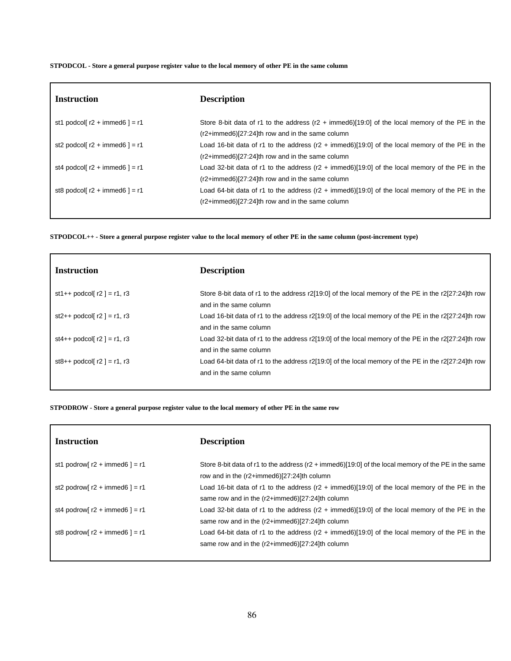STPODCOL - Store a general purpose register value to the local memory of other PE in the same column

| <b>Instruction</b>                      | <b>Description</b>                                                                                        |
|-----------------------------------------|-----------------------------------------------------------------------------------------------------------|
| st1 podcol[ $r2 + \text{immed6}$ ] = r1 | Store 8-bit data of r1 to the address $(r2 + immed6)[19:0]$ of the local memory of the PE in the          |
|                                         | (r2+immed6)[27:24]th row and in the same column                                                           |
| st2 podcol[ $r2 + \text{immed6}$ ] = r1 | Load 16-bit data of r1 to the address ( $r2 + \text{immed6}$ )[19:0] of the local memory of the PE in the |
|                                         | $(r2+immed6)[27:24]$ th row and in the same column                                                        |
| st4 podcol[ $r2 + \text{immed6}$ ] = r1 | Load 32-bit data of r1 to the address ( $r2 + \text{immed6}$ )[19:0] of the local memory of the PE in the |
|                                         | $(r2+immed6)[27:24]$ th row and in the same column                                                        |
| st8 podcol[ $r2 + \text{immed6}$ ] = r1 | Load 64-bit data of r1 to the address (r2 + immed6)[19:0] of the local memory of the PE in the            |
|                                         | $(r2+immed6)[27:24]$ th row and in the same column                                                        |
|                                         |                                                                                                           |

STPODCOL++ - Store a general purpose register value to the local memory of other PE in the same column (post-increment type)

| <b>Instruction</b>                 | <b>Description</b>                                                                                                            |
|------------------------------------|-------------------------------------------------------------------------------------------------------------------------------|
| st1++ podcol[ $r2$ ] = r1, r3      | Store 8-bit data of r1 to the address r2[19:0] of the local memory of the PE in the r2[27:24]th row<br>and in the same column |
| st2++ podcol[ $r2$ ] = r1, r3      | Load 16-bit data of r1 to the address r2[19:0] of the local memory of the PE in the r2[27:24]th row<br>and in the same column |
| st4++ podcol[ $r2$ ] = $r1$ , $r3$ | Load 32-bit data of r1 to the address r2[19:0] of the local memory of the PE in the r2[27:24]th row<br>and in the same column |
| st8++ podcol[ $r2$ ] = $r1$ , $r3$ | Load 64-bit data of r1 to the address r2[19:0] of the local memory of the PE in the r2[27:24]th row<br>and in the same column |

STPODROW - Store a general purpose register value to the local memory of other PE in the same row

| <b>Instruction</b>                      | <b>Description</b>                                                                                                                                           |
|-----------------------------------------|--------------------------------------------------------------------------------------------------------------------------------------------------------------|
| st1 podrow[ $r2 + \text{immed6}$ ] = r1 | Store 8-bit data of r1 to the address (r2 + immed6)[19:0] of the local memory of the PE in the same<br>row and in the (r2+immed6)[27:24]th column            |
| st2 podrow[ $r2 + \text{immed6}$ ] = r1 | Load 16-bit data of r1 to the address ( $r2 + \text{immed6}$ )[19:0] of the local memory of the PE in the                                                    |
| st4 podrow[ $r2 + \text{immed6}$ ] = r1 | same row and in the (r2+immed6)[27:24]th column<br>Load 32-bit data of r1 to the address $(r2 + \text{immed6})[19.0]$ of the local memory of the PE in the   |
| st8 podrow[ $r2 + \text{immed6}$ ] = r1 | same row and in the (r2+immed6)[27:24]th column<br>Load 64-bit data of r1 to the address ( $r2 + \text{immed6}$ )[19:0] of the local memory of the PE in the |
|                                         | same row and in the $(r2+immed6)[27:24]$ th column                                                                                                           |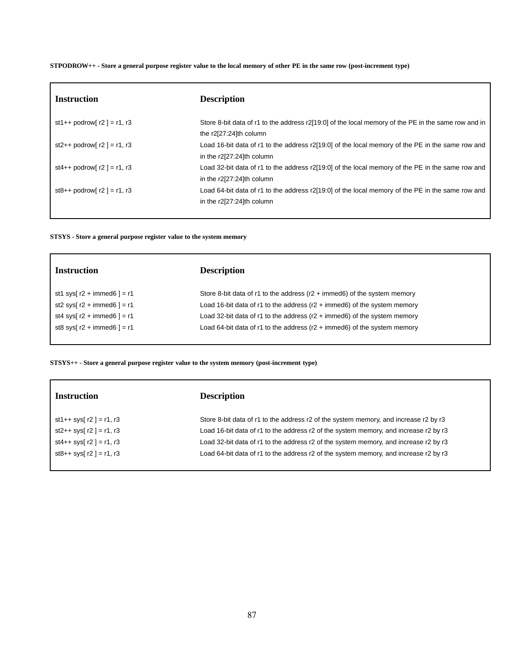STPODROW++ - Store a general purpose register value to the local memory of other PE in the same row (post-increment type)

| <b>Instruction</b>                 | <b>Description</b>                                                                                                            |
|------------------------------------|-------------------------------------------------------------------------------------------------------------------------------|
| st1++ podrow[ $r2$ ] = r1, r3      | Store 8-bit data of r1 to the address r2[19:0] of the local memory of the PE in the same row and in<br>the r2[27:24]th column |
| st2++ podrow[ $r2$ ] = r1, r3      | Load 16-bit data of r1 to the address r2[19:0] of the local memory of the PE in the same row and<br>in the r2[27:24]th column |
| st4++ podrow[ $r2$ ] = $r1$ , $r3$ | Load 32-bit data of r1 to the address r2[19:0] of the local memory of the PE in the same row and<br>in the r2[27:24]th column |
| st8++ podrow[ $r2$ ] = r1, r3      | Load 64-bit data of r1 to the address r2[19:0] of the local memory of the PE in the same row and<br>in the r2[27:24]th column |
|                                    |                                                                                                                               |

## **STSYS - Store a general purpose register value to the system memory**

| <b>Instruction</b>                   | <b>Description</b>                                                                |
|--------------------------------------|-----------------------------------------------------------------------------------|
| st1 sys[ $r2 + \text{immed6}$ ] = r1 | Store 8-bit data of r1 to the address $(r2 + \text{immed6})$ of the system memory |
| st2 sys[ $r2 + \text{immed6}$ ] = r1 | Load 16-bit data of r1 to the address $(r2 + \text{immed6})$ of the system memory |
| st4 sys[ $r2 + \text{immed6}$ ] = r1 | Load 32-bit data of r1 to the address $(r2 + \text{immed6})$ of the system memory |
| st8 sys[ $r2 + \text{immed6}$ ] = r1 | Load 64-bit data of r1 to the address $(r2 + \text{immed6})$ of the system memory |

**STSYS++ - Store a general purpose register value to the system memory (post-increment type)**

| <b>Instruction</b>         | <b>Description</b>                                                                   |
|----------------------------|--------------------------------------------------------------------------------------|
| st1++ sys[ $r2$ ] = r1, r3 | Store 8-bit data of r1 to the address r2 of the system memory, and increase r2 by r3 |
| st2++ sys[ $r2$ ] = r1, r3 | Load 16-bit data of r1 to the address r2 of the system memory, and increase r2 by r3 |
| st4++ sys[ $r2$ ] = r1, r3 | Load 32-bit data of r1 to the address r2 of the system memory, and increase r2 by r3 |
| $st8++$ sys[ r2 ] = r1, r3 | Load 64-bit data of r1 to the address r2 of the system memory, and increase r2 by r3 |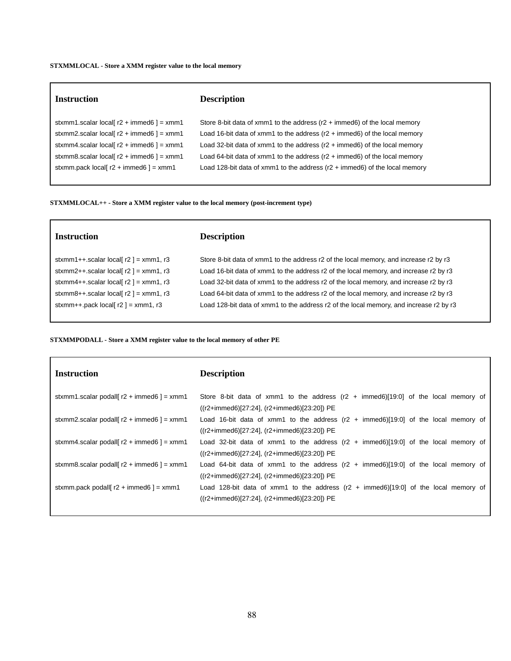#### **STXMMLOCAL - Store a XMM register value to the local memory**

 $\Gamma$ 

# **Instruction Description** stxmm1.scalar local[ $r2 + \text{immed6 }$ ] = xmm1 Store 8-bit data of xmm1 to the address ( $r2 + \text{immed6}$ ) of the local memory stxmm2.scalar local[ r2 + immed6 ] = xmm1 Load 16-bit data of xmm1 to the address (r2 + immed6) of the local memory stxmm4.scalar local[ r2 + immed6 ] = xmm1 Load 32-bit data of xmm1 to the address (r2 + immed6) of the local memory stxmm8.scalar local[ r2 + immed6 ] = xmm1 Load 64-bit data of xmm1 to the address (r2 + immed6) of the local memory stxmm.pack local[ r2 + immed6 ] = xmm1 Load 128-bit data of xmm1 to the address (r2 + immed6) of the local memory

**STXMMLOCAL++ - Store a XMM register value to the local memory (post-increment type)**

| <b>Instruction</b>                       | <b>Description</b>                                                                     |
|------------------------------------------|----------------------------------------------------------------------------------------|
| stxmm1++.scalar local $r2$ = xmm1, r3    | Store 8-bit data of xmm1 to the address r2 of the local memory, and increase r2 by r3  |
| stxmm2++.scalar local[ $r2$ ] = xmm1, r3 | Load 16-bit data of xmm1 to the address r2 of the local memory, and increase r2 by r3  |
| stxmm4++.scalar local[ $r2$ ] = xmm1, r3 | Load 32-bit data of xmm1 to the address r2 of the local memory, and increase r2 by r3  |
| stxmm8++.scalar local[ $r2$ ] = xmm1, r3 | Load 64-bit data of xmm1 to the address r2 of the local memory, and increase r2 by r3  |
| stxmm++.pack local[ $r2$ ] = xmm1, r3    | Load 128-bit data of xmm1 to the address r2 of the local memory, and increase r2 by r3 |
|                                          |                                                                                        |

### **STXMMPODALL - Store a XMM register value to the local memory of other PE**

| <b>Instruction</b>                                                      | <b>Description</b>                                                                          |
|-------------------------------------------------------------------------|---------------------------------------------------------------------------------------------|
| stxmm1.scalar podall $\lceil r^2 + \text{immed6} \rceil = \text{mm}$ 1  | Store 8-bit data of xmm1 to the address $(r2 + immed6)[19:0]$ of the local memory of        |
|                                                                         | $((r2+immed6)[27:24], (r2+immed6)[23:20])$ PE                                               |
| stxmm2.scalar podall $\lceil r^2 + \text{immed} 6 \rceil = \text{mm} 1$ | Load 16-bit data of xmm1 to the address $(r2 + \text{immed6})[19:0]$ of the local memory of |
|                                                                         | ((r2+immed6)[27:24], (r2+immed6)[23:20]) PE                                                 |
| stxmm4.scalar podall[ $r2 + \text{immed6}$ ] = xmm1                     | Load 32-bit data of xmm1 to the address $(r2 + immed6)[19:0]$ of the local memory of        |
|                                                                         | $((r2+immed6)[27:24], (r2+immed6)[23:20])$ PE                                               |
| stxmm8.scalar podall $r2 + \text{immed6}$ = xmm1                        | Load 64-bit data of xmm1 to the address $(r2 + \text{immed6})[19:0]$ of the local memory of |
|                                                                         | $((r2+immed6)[27:24], (r2+immed6)[23:20])$ PE                                               |
| stxmm.pack podall $r2 + \text{immed6}$ = xmm1                           | Load 128-bit data of xmm1 to the address $(r2 + immed6)[19:0]$ of the local memory of       |
|                                                                         | ((r2+immed6)[27:24], (r2+immed6)[23:20]) PE                                                 |
|                                                                         |                                                                                             |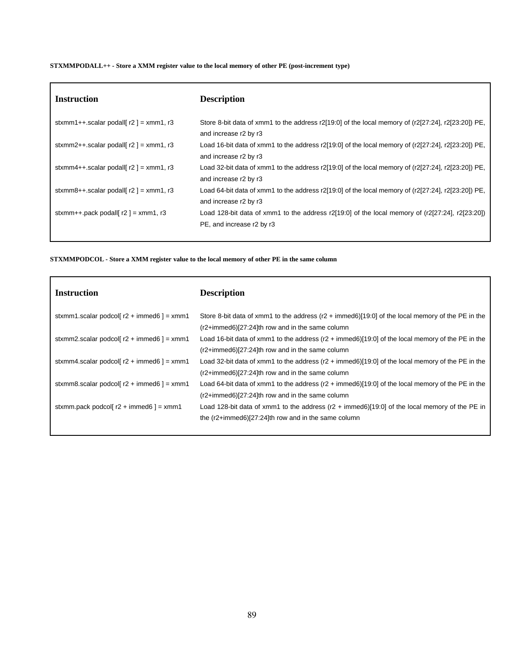# **STXMMPODALL++ - Store a XMM register value to the local memory of other PE (post-increment type)**

| <b>Instruction</b>                        | <b>Description</b>                                                                                                                   |
|-------------------------------------------|--------------------------------------------------------------------------------------------------------------------------------------|
| stxmm1++.scalar podall[ $r2$ ] = xmm1, r3 | Store 8-bit data of xmm1 to the address r2[19:0] of the local memory of (r2[27:24], r2[23:20]) PE,<br>and increase r2 by r3          |
| stxmm2++.scalar podall[ $r2$ ] = xmm1, r3 | Load 16-bit data of xmm1 to the address r2[19:0] of the local memory of (r2[27:24], r2[23:20]) PE,<br>and increase r2 by r3          |
| stxmm4++.scalar podall[ $r2$ ] = xmm1, r3 | Load 32-bit data of xmm1 to the address r2[19:0] of the local memory of (r2[27:24], r2[23:20]) PE,<br>and increase r2 by r3          |
| stxmm8++.scalar podall[ $r2$ ] = xmm1, r3 | Load 64-bit data of xmm1 to the address $r2[19:0]$ of the local memory of ( $r2[27:24]$ , $r2[23:20]$ ) PE,<br>and increase r2 by r3 |
| stxmm++.pack podall[ $r2$ ] = xmm1, r3    | Load 128-bit data of xmm1 to the address r2[19:0] of the local memory of $(r2[27:24], r2[23:20])$<br>PE, and increase r2 by r3       |

**STXMMPODCOL - Store a XMM register value to the local memory of other PE in the same column**

| <b>Instruction</b>                                  | <b>Description</b>                                                                                          |
|-----------------------------------------------------|-------------------------------------------------------------------------------------------------------------|
| stxmm1.scalar podcol[ $r2 + \text{immed6}$ ] = xmm1 | Store 8-bit data of xmm1 to the address ( $r2 + \text{immed6}$ )[19:0] of the local memory of the PE in the |
|                                                     | $(r2+immed6)[27:24]$ th row and in the same column                                                          |
| stxmm2.scalar podcol[ $r2 + \text{immed6}$ ] = xmm1 | Load 16-bit data of xmm1 to the address ( $r2 + \text{immed6}$ )[19:0] of the local memory of the PE in the |
|                                                     | $(r2+immed6)[27:24]$ th row and in the same column                                                          |
| stxmm4.scalar podcol[ $r2 + \text{immed6}$ ] = xmm1 | Load 32-bit data of xmm1 to the address $(r2 + \text{immed6})[19:0]$ of the local memory of the PE in the   |
|                                                     | $(r2+immed6)[27:24]$ th row and in the same column                                                          |
| stxmm8.scalar podcol[ $r2 + \text{immed6}$ ] = xmm1 | Load 64-bit data of xmm1 to the address ( $r2$ + immed6)[19:0] of the local memory of the PE in the         |
|                                                     | $(r2+immed6)[27:24]$ th row and in the same column                                                          |
| stxmm.pack podcol[ $r2 + \text{immed6}$ ] = xmm1    | Load 128-bit data of xmm1 to the address $(r2 + \text{immed6})[19:0]$ of the local memory of the PE in      |
|                                                     | the $(r2+immed6)[27:24]$ th row and in the same column                                                      |
|                                                     |                                                                                                             |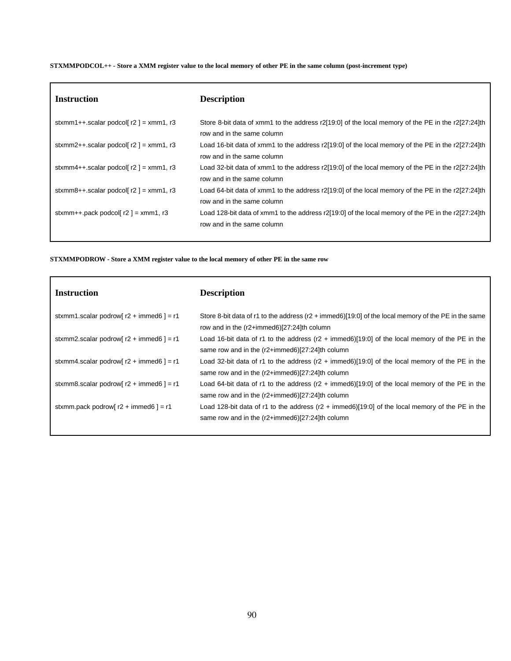STXMMPODCOL++ - Store a XMM register value to the local memory of other PE in the same column (post-increment type)

| <b>Instruction</b>                        | <b>Description</b>                                                                                                               |
|-------------------------------------------|----------------------------------------------------------------------------------------------------------------------------------|
| stxmm1++.scalar podcol[ $r2$ ] = xmm1, r3 | Store 8-bit data of xmm1 to the address r2[19:0] of the local memory of the PE in the r2[27:24]th<br>row and in the same column  |
| stxmm2++.scalar podcol[ $r2$ ] = xmm1, r3 | Load 16-bit data of xmm1 to the address r2[19:0] of the local memory of the PE in the r2[27:24]th<br>row and in the same column  |
| stxmm4++.scalar podcol[ $r2$ ] = xmm1, r3 | Load 32-bit data of xmm1 to the address r2[19:0] of the local memory of the PE in the r2[27:24]th<br>row and in the same column  |
| stxmm8++.scalar podcol[ $r2$ ] = xmm1, r3 | Load 64-bit data of xmm1 to the address r2[19:0] of the local memory of the PE in the r2[27:24]th<br>row and in the same column  |
| stxmm++.pack podcol[ $r2$ ] = xmm1, r3    | Load 128-bit data of xmm1 to the address r2[19:0] of the local memory of the PE in the r2[27:24]th<br>row and in the same column |

**STXMMPODROW - Store a XMM register value to the local memory of other PE in the same row**

| <b>Instruction</b>                                | <b>Description</b>                                                                                                                                              |
|---------------------------------------------------|-----------------------------------------------------------------------------------------------------------------------------------------------------------------|
| stxmm1.scalar podrow[ $r2 + \text{immed6}$ ] = r1 | Store 8-bit data of r1 to the address (r2 + immed6)[19:0] of the local memory of the PE in the same<br>row and in the (r2+immed6)[27:24]th column               |
| stxmm2.scalar podrow[ $r2 + \text{immed6}$ ] = r1 | Load 16-bit data of r1 to the address ( $r2 + \text{immed6}$ )[19:0] of the local memory of the PE in the<br>same row and in the $(r2+immed6)[27:24]$ th column |
| stxmm4.scalar podrow[ $r2 + \text{immed6}$ ] = r1 | Load 32-bit data of r1 to the address ( $r2 + \text{immed6}$ )[19:0] of the local memory of the PE in the<br>same row and in the (r2+immed6)[27:24]th column    |
| stxmm8.scalar podrow[ $r2 + \text{immed6}$ ] = r1 | Load 64-bit data of r1 to the address (r2 + immed6)[19:0] of the local memory of the PE in the<br>same row and in the $(r2+immed6)[27:24]$ th column            |
| stxmm.pack podrow[ $r2 + \text{immed6}$ ] = r1    | Load 128-bit data of r1 to the address (r2 + immed6)[19:0] of the local memory of the PE in the<br>same row and in the (r2+immed6)[27:24]th column              |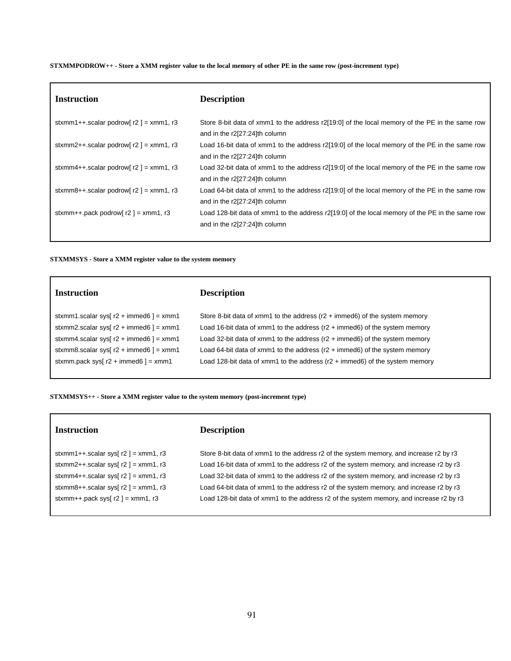STXMMPODROW++ - Store a XMM register value to the local memory of other PE in the same row (post-increment type)

| <b>Instruction</b>                        | <b>Description</b>                                                                                                               |
|-------------------------------------------|----------------------------------------------------------------------------------------------------------------------------------|
| stxmm1++.scalar podrow[ $r2$ ] = xmm1, r3 | Store 8-bit data of xmm1 to the address r2[19:0] of the local memory of the PE in the same row<br>and in the r2[27:24]th column  |
| stxmm2++.scalar podrow[ $r2$ ] = xmm1, r3 | Load 16-bit data of xmm1 to the address r2[19:0] of the local memory of the PE in the same row<br>and in the r2[27:24]th column  |
| stxmm4++.scalar podrow[ $r2$ ] = xmm1, r3 | Load 32-bit data of xmm1 to the address r2[19:0] of the local memory of the PE in the same row<br>and in the r2[27:24]th column  |
| stxmm8++.scalar podrow[ $r2$ ] = xmm1, r3 | Load 64-bit data of xmm1 to the address r2[19:0] of the local memory of the PE in the same row<br>and in the r2[27:24]th column  |
| stxmm++.pack podrow[ $r2$ ] = xmm1, r3    | Load 128-bit data of xmm1 to the address r2[19:0] of the local memory of the PE in the same row<br>and in the r2[27:24]th column |

#### **STXMMSYS - Store a XMM register value to the system memory**

| <b>Instruction</b>                               | <b>Description</b>                                                                        |
|--------------------------------------------------|-------------------------------------------------------------------------------------------|
| stxmm1.scalar sys $r2 + \text{immed6}$ = xmm1    | Store 8-bit data of xmm1 to the address $(r2 + i m \cdot m \cdot d)$ of the system memory |
| stxmm2.scalar sys[ $r2 + \text{immed6}$ ] = xmm1 | Load 16-bit data of xmm1 to the address $(r2 + \text{immed}6)$ of the system memory       |
| stxmm4.scalar sys[ $r2 + \text{immed6}$ ] = xmm1 | Load 32-bit data of xmm1 to the address $(r2 + \text{immed}6)$ of the system memory       |
| stxmm8.scalar sys[ $r2 + \text{immed6}$ ] = xmm1 | Load 64-bit data of xmm1 to the address ( $r2 + i$ mmed6) of the system memory            |
| stxmm.pack sys[ $r2 + \text{immed6}$ ] = xmm1    | Load 128-bit data of xmm1 to the address $(r2 + \text{immed6})$ of the system memory      |
|                                                  |                                                                                           |

**STXMMSYS++ - Store a XMM register value to the system memory (post-increment type)**

# **Instruction Description**

stxmm1++.scalar sys[ r2 ] = xmm1, r3 Store 8-bit data of xmm1 to the address r2 of the system memory, and increase r2 by r3 stxmm2++.scalar sys[ r2 ] = xmm1, r3 Load 16-bit data of xmm1 to the address r2 of the system memory, and increase r2 by r3 stxmm4++.scalar sys[ r2 ] = xmm1, r3 Load 32-bit data of xmm1 to the address r2 of the system memory, and increase r2 by r3 stxmm8++.scalar sys[ r2 ] = xmm1, r3 Load 64-bit data of xmm1 to the address r2 of the system memory, and increase r2 by r3 stxmm++.pack sys[ r2 ] = xmm1, r3 Load 128-bit data of xmm1 to the address r2 of the system memory, and increase r2 by r3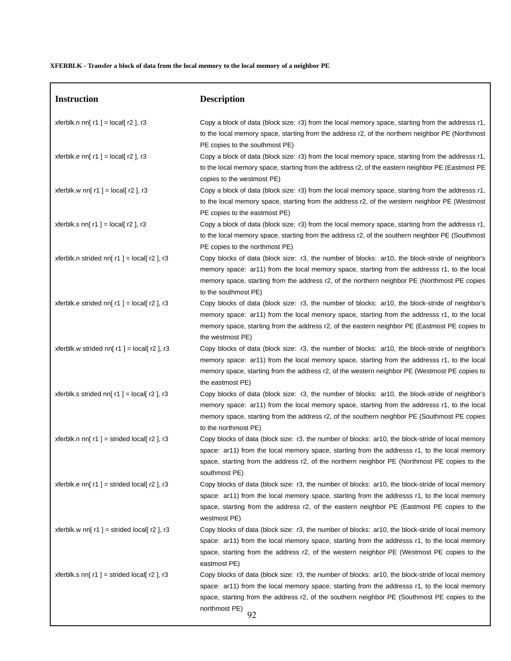# XFERBLK - Transfer a block of data from the local memory to the local memory of a neighbor PE

| <b>Instruction</b>                               | <b>Description</b>                                                                                                                                                                                                                                                                                                       |
|--------------------------------------------------|--------------------------------------------------------------------------------------------------------------------------------------------------------------------------------------------------------------------------------------------------------------------------------------------------------------------------|
| xferblk.n nn[ $r1$ ] = local[ $r2$ ], r3         | Copy a block of data (block size: r3) from the local memory space, starting from the addresss r1,<br>to the local memory space, starting from the address r2, of the northern neighbor PE (Northmost<br>PE copies to the southmost PE)                                                                                   |
| xferblk.e nn[ $r1$ ] = local[ $r2$ ], r3         | Copy a block of data (block size: r3) from the local memory space, starting from the addresss r1,<br>to the local memory space, starting from the address r2, of the eastern neighbor PE (Eastmost PE<br>copies to the westmost PE)                                                                                      |
| xferblk.w nn[ $r1$ ] = local[ $r2$ ], r3         | Copy a block of data (block size: r3) from the local memory space, starting from the addresss r1,<br>to the local memory space, starting from the address r2, of the western neighbor PE (Westmost<br>PE copies to the eastmost PE)                                                                                      |
| xferblk.s nn[ $r1$ ] = local[ $r2$ ], r3         | Copy a block of data (block size: r3) from the local memory space, starting from the addresss r1,<br>to the local memory space, starting from the address r2, of the southern neighbor PE (Southmost<br>PE copies to the northmost PE)                                                                                   |
| xferblk.n strided nn[ $r1$ ] = local[ $r2$ ], r3 | Copy blocks of data (block size: r3, the number of blocks: ar10, the block-stride of neighbor's<br>memory space: ar11) from the local memory space, starting from the addresss r1, to the local<br>memory space, starting from the address r2, of the northern neighbor PE (Northmost PE copies<br>to the southmost PE)  |
| xferblk.e strided nn[ $r1$ ] = local[ $r2$ ], r3 | Copy blocks of data (block size: r3, the number of blocks: ar10, the block-stride of neighbor's<br>memory space: ar11) from the local memory space, starting from the addresss r1, to the local<br>memory space, starting from the address r2, of the eastern neighbor PE (Eastmost PE copies to<br>the westmost PE)     |
| xferblk.w strided nn[ $r1$ ] = local[ $r2$ ], r3 | Copy blocks of data (block size: r3, the number of blocks: ar10, the block-stride of neighbor's<br>memory space: ar11) from the local memory space, starting from the addresss r1, to the local<br>memory space, starting from the address r2, of the western neighbor PE (Westmost PE copies to<br>the eastmost PE)     |
| xferblk.s strided nn[ $r1$ ] = local[ $r2$ ], r3 | Copy blocks of data (block size: r3, the number of blocks: ar10, the block-stride of neighbor's<br>memory space: ar11) from the local memory space, starting from the addresss r1, to the local<br>memory space, starting from the address r2, of the southern neighbor PE (Southmost PE copies<br>to the northmost PE)  |
| xferblk.n nn[ $r1$ ] = strided local[ $r2$ ], r3 | Copy blocks of data (block size: r3, the number of blocks: ar10, the block-stride of local memory<br>space: ar11) from the local memory space, starting from the addresss r1, to the local memory<br>space, starting from the address r2, of the northern neighbor PE (Northmost PE copies to the<br>southmost PE)       |
| xferblk.e nn[ $r1$ ] = strided local[ $r2$ ], r3 | Copy blocks of data (block size: r3, the number of blocks: ar10, the block-stride of local memory<br>space: ar11) from the local memory space, starting from the addresss r1, to the local memory<br>space, starting from the address r2, of the eastern neighbor PE (Eastmost PE copies to the<br>westmost PE)          |
| xferblk.w nn[ $r1$ ] = strided local[ $r2$ ], r3 | Copy blocks of data (block size: r3, the number of blocks: ar10, the block-stride of local memory<br>space: ar11) from the local memory space, starting from the addresss r1, to the local memory<br>space, starting from the address r2, of the western neighbor PE (Westmost PE copies to the<br>eastmost PE)          |
| xferblk.s nn[ $r1$ ] = strided local[ $r2$ ], r3 | Copy blocks of data (block size: r3, the number of blocks: ar10, the block-stride of local memory<br>space: ar11) from the local memory space, starting from the addresss r1, to the local memory<br>space, starting from the address r2, of the southern neighbor PE (Southmost PE copies to the<br>northmost PE)<br>92 |